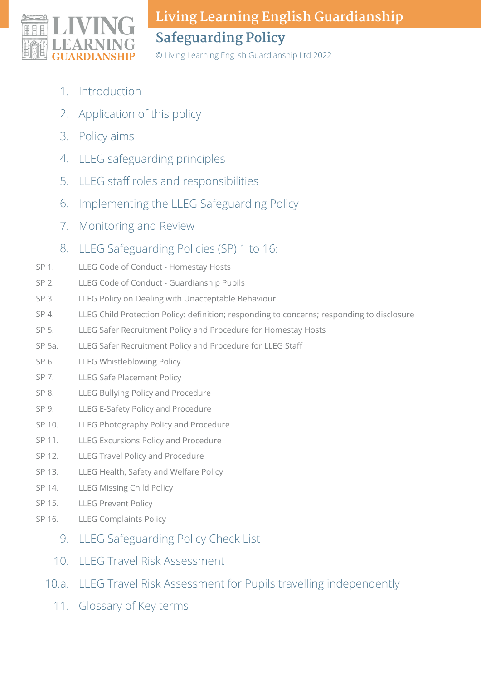

© Living Learning English Guardianship Ltd 2022

- Introduction 1.
- Application of this policy 2.
- 3. Policy aims
- LLEG safeguarding principles 4.
- LLEG staff roles and responsibilities 5.
- Implementing the LLEG Safeguarding Policy 6.
- 7. Monitoring and Review
- LLEG Safeguarding Policies (SP) 1 to 16: 8.
- LLEG Code of Conduct Homestay Hosts SP 1.
- LLEG Code of Conduct Guardianship Pupils SP 2.
- LLEG Policy on Dealing with Unacceptable Behaviour SP 3.
- LLEG Child Protection Policy: definition; responding to concerns; responding to disclosure SP 4.
- LLEG Safer Recruitment Policy and Procedure for Homestay Hosts SP 5.
- LLEG Safer Recruitment Policy and Procedure for LLEG Staff SP 5a.
- LLEG Whistleblowing Policy SP 6.
- LLEG Safe Placement Policy SP 7.
- LLEG Bullying Policy and Procedure SP 8.
- LLEG E-Safety Policy and Procedure SP 9.
- LLEG Photography Policy and Procedure SP 10.
- LLEG Excursions Policy and Procedure SP 11.
- LLEG Travel Policy and Procedure SP 12.
- LLEG Health, Safety and Welfare Policy SP 13.
- LLEG Missing Child Policy SP 14.
- LLEG Prevent Policy SP 15.
- LLEG Complaints Policy SP 16.
	- 9. LLEG Safeguarding Policy Check List
	- 10. LLEG Travel Risk Assessment
	- 10.a. LLEG Travel Risk Assessment for Pupils travelling independently
		- 11. Glossary of Key terms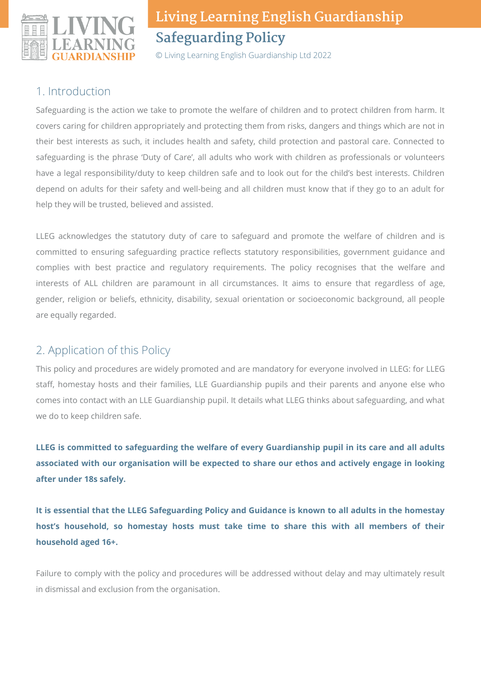

© Living Learning English Guardianship Ltd 2022

### 1. Introduction

Safeguarding is the action we take to promote the welfare of children and to protect children from harm. It covers caring for children appropriately and protecting them from risks, dangers and things which are not in their best interests as such, it includes health and safety, child protection and pastoral care. Connected to safeguarding is the phrase 'Duty of Care', all adults who work with children as professionals or volunteers have a legal responsibility/duty to keep children safe and to look out for the child's best interests. Children depend on adults for their safety and well-being and all children must know that if they go to an adult for help they will be trusted, believed and assisted.

LLEG acknowledges the statutory duty of care to safeguard and promote the welfare of children and is committed to ensuring safeguarding practice reflects statutory responsibilities, government guidance and complies with best practice and regulatory requirements. The policy recognises that the welfare and interests of ALL children are paramount in all circumstances. It aims to ensure that regardless of age, gender, religion or beliefs, ethnicity, disability, sexual orientation or socioeconomic background, all people are equally regarded.

## 2. Application of this Policy

This policy and procedures are widely promoted and are mandatory for everyone involved in LLEG: for LLEG staff, homestay hosts and their families, LLE Guardianship pupils and their parents and anyone else who comes into contact with an LLE Guardianship pupil. It details what LLEG thinks about safeguarding, and what we do to keep children safe.

**LLEG is committed to safeguarding the welfare of every Guardianship pupil in its care and all adults associated with our organisation will be expected to share our ethos and actively engage in looking after under 18s safely.**

It is essential that the LLEG Safeguarding Policy and Guidance is known to all adults in the homestay **host's household, so homestay hosts must take time to share this with all members of their household aged 16+.**

Failure to comply with the policy and procedures will be addressed without delay and may ultimately result in dismissal and exclusion from the organisation.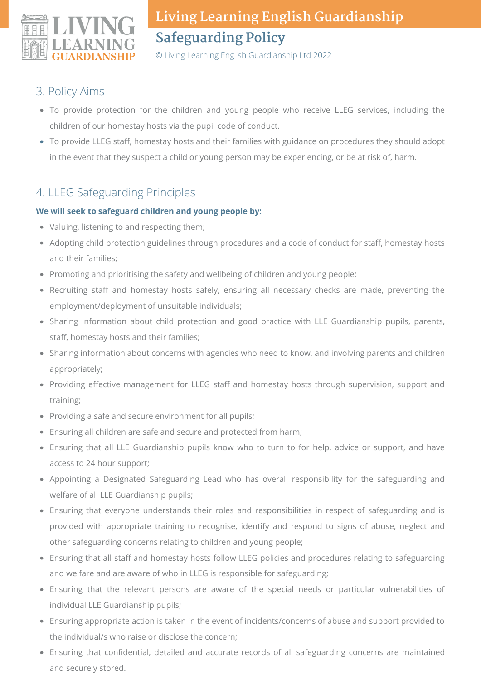

© Living Learning English Guardianship Ltd 2022

### 3. Policy Aims

- To provide protection for the children and young people who receive LLEG services, including the children of our homestay hosts via the pupil code of conduct.
- To provide LLEG staff, homestay hosts and their families with guidance on procedures they should adopt in the event that they suspect a child or young person may be experiencing, or be at risk of, harm.

## 4. LLEG Safeguarding Principles

#### **We will seek to safeguard children and young people by:**

- Valuing, listening to and respecting them;
- Adopting child protection guidelines through procedures and a code of conduct for staff, homestay hosts and their families;
- Promoting and prioritising the safety and wellbeing of children and young people;
- Recruiting staff and homestay hosts safely, ensuring all necessary checks are made, preventing the employment/deployment of unsuitable individuals;
- Sharing information about child protection and good practice with LLE Guardianship pupils, parents, staff, homestay hosts and their families;
- Sharing information about concerns with agencies who need to know, and involving parents and children appropriately;
- Providing effective management for LLEG staff and homestay hosts through supervision, support and training;
- Providing a safe and secure environment for all pupils;
- Ensuring all children are safe and secure and protected from harm;
- Ensuring that all LLE Guardianship pupils know who to turn to for help, advice or support, and have access to 24 hour support;
- Appointing a Designated Safeguarding Lead who has overall responsibility for the safeguarding and welfare of all LLE Guardianship pupils;
- Ensuring that everyone understands their roles and responsibilities in respect of safeguarding and is provided with appropriate training to recognise, identify and respond to signs of abuse, neglect and other safeguarding concerns relating to children and young people;
- Ensuring that all staff and homestay hosts follow LLEG policies and procedures relating to safeguarding and welfare and are aware of who in LLEG is responsible for safeguarding;
- Ensuring that the relevant persons are aware of the special needs or particular vulnerabilities of individual LLE Guardianship pupils;
- Ensuring appropriate action is taken in the event of incidents/concerns of abuse and support provided to the individual/s who raise or disclose the concern;
- Ensuring that confidential, detailed and accurate records of all safeguarding concerns are maintained and securely stored.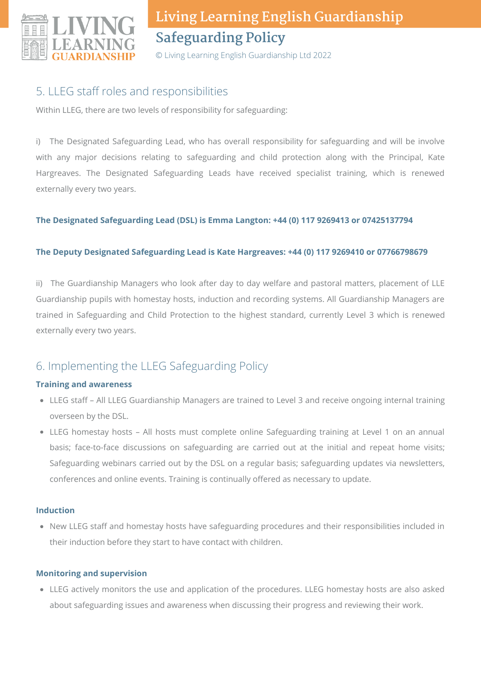

© Living Learning English Guardianship Ltd 2022

## 5. LLEG staff roles and responsibilities

Within LLEG, there are two levels of responsibility for safeguarding:

i) The Designated Safeguarding Lead, who has overall responsibility for safeguarding and will be involve with any major decisions relating to safeguarding and child protection along with the Principal, Kate Hargreaves. The Designated Safeguarding Leads have received specialist training, which is renewed externally every two years.

#### **The Designated Safeguarding Lead (DSL) is Emma Langton: +44 (0) 117 9269413 or 07425137794**

#### **The Deputy Designated Safeguarding Lead is Kate Hargreaves: +44 (0) 117 9269410 or 07766798679**

ii) The Guardianship Managers who look after day to day welfare and pastoral matters, placement of LLE Guardianship pupils with homestay hosts, induction and recording systems. All Guardianship Managers are trained in Safeguarding and Child Protection to the highest standard, currently Level 3 which is renewed externally every two years.

## 6. Implementing the LLEG Safeguarding Policy

#### **Training and awareness**

- LLEG staff All LLEG Guardianship Managers are trained to Level 3 and receive ongoing internal training overseen by the DSL.
- LLEG homestay hosts All hosts must complete online Safeguarding training at Level 1 on an annual basis; face-to-face discussions on safeguarding are carried out at the initial and repeat home visits; Safeguarding webinars carried out by the DSL on a regular basis; safeguarding updates via newsletters, conferences and online events. Training is continually offered as necessary to update.

#### **Induction**

New LLEG staff and homestay hosts have safeguarding procedures and their responsibilities included in their induction before they start to have contact with children.

#### **Monitoring and supervision**

LLEG actively monitors the use and application of the procedures. LLEG homestay hosts are also asked about safeguarding issues and awareness when discussing their progress and reviewing their work.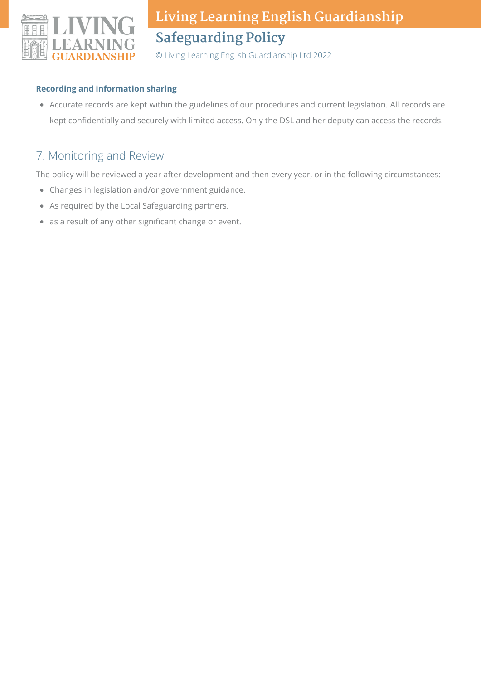

© Living Learning English Guardianship Ltd 2022

#### **Recording and information sharing**

Accurate records are kept within the guidelines of our procedures and current legislation. All records are kept confidentially and securely with limited access. Only the DSL and her deputy can access the records.

### 7. Monitoring and Review

The policy will be reviewed a year after development and then every year, or in the following circumstances:

- Changes in legislation and/or government guidance.
- As required by the Local Safeguarding partners.
- as a result of any other significant change or event.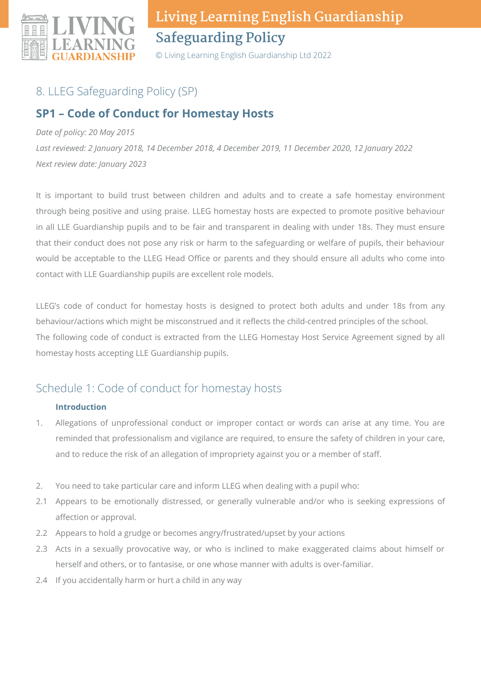

© Living Learning English Guardianship Ltd 2022

## 8. LLEG Safeguarding Policy (SP)

## **SP1 – Code of Conduct for Homestay Hosts**

#### *Date of policy: 20 May 2015*

*Last reviewed: 2 January 2018, 14 December 2018, 4 December 2019, 11 December 2020, 12 January 2022 Next review date: January 2023*

It is important to build trust between children and adults and to create a safe homestay environment through being positive and using praise. LLEG homestay hosts are expected to promote positive behaviour in all LLE Guardianship pupils and to be fair and transparent in dealing with under 18s. They must ensure that their conduct does not pose any risk or harm to the safeguarding or welfare of pupils, their behaviour would be acceptable to the LLEG Head Office or parents and they should ensure all adults who come into contact with LLE Guardianship pupils are excellent role models.

LLEG's code of conduct for homestay hosts is designed to protect both adults and under 18s from any behaviour/actions which might be misconstrued and it reflects the child-centred principles of the school. The following code of conduct is extracted from the LLEG Homestay Host Service Agreement signed by all homestay hosts accepting LLE Guardianship pupils.

## Schedule 1: Code of conduct for homestay hosts

#### **Introduction**

- Allegations of unprofessional conduct or improper contact or words can arise at any time. You are reminded that professionalism and vigilance are required, to ensure the safety of children in your care, and to reduce the risk of an allegation of impropriety against you or a member of staff. 1.
- You need to take particular care and inform LLEG when dealing with a pupil who: 2.
- Appears to be emotionally distressed, or generally vulnerable and/or who is seeking expressions of 2.1 affection or approval.
- Appears to hold a grudge or becomes angry/frustrated/upset by your actions 2.2
- Acts in a sexually provocative way, or who is inclined to make exaggerated claims about himself or 2.3 herself and others, or to fantasise, or one whose manner with adults is over-familiar.
- 2.4 If you accidentally harm or hurt a child in any way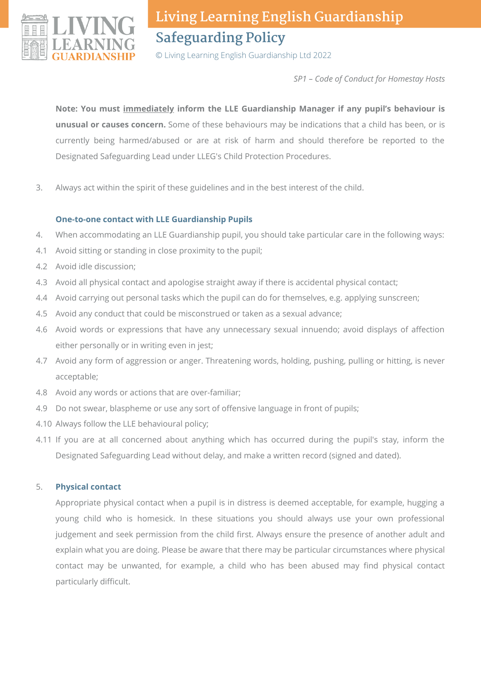

© Living Learning English Guardianship Ltd 2022

*SP1 – Code of Conduct for Homestay Hosts*

**Note: You must immediately inform the LLE Guardianship Manager if any pupil's behaviour is unusual or causes concern.** Some of these behaviours may be indications that a child has been, or is currently being harmed/abused or are at risk of harm and should therefore be reported to the Designated Safeguarding Lead under LLEG's Child Protection Procedures.

Always act within the spirit of these guidelines and in the best interest of the child. 3.

#### **One-to-one contact with LLE Guardianship Pupils**

- When accommodating an LLE Guardianship pupil, you should take particular care in the following ways: 4.
- Avoid sitting or standing in close proximity to the pupil; 4.1
- Avoid idle discussion; 4.2
- 4.3 Avoid all physical contact and apologise straight away if there is accidental physical contact;
- 4.4 Avoid carrying out personal tasks which the pupil can do for themselves, e.g. applying sunscreen;
- Avoid any conduct that could be misconstrued or taken as a sexual advance; 4.5
- 4.6 Avoid words or expressions that have any unnecessary sexual innuendo; avoid displays of affection either personally or in writing even in jest;
- 4.7 Avoid any form of aggression or anger. Threatening words, holding, pushing, pulling or hitting, is never acceptable;
- 4.8 Avoid any words or actions that are over-familiar;
- 4.9 Do not swear, blaspheme or use any sort of offensive language in front of pupils;
- 4.10 Always follow the LLE behavioural policy;
- If you are at all concerned about anything which has occurred during the pupil's stay, inform the 4.11 Designated Safeguarding Lead without delay, and make a written record (signed and dated).

#### **Physical contact** 5.

Appropriate physical contact when a pupil is in distress is deemed acceptable, for example, hugging a young child who is homesick. In these situations you should always use your own professional judgement and seek permission from the child first. Always ensure the presence of another adult and explain what you are doing. Please be aware that there may be particular circumstances where physical contact may be unwanted, for example, a child who has been abused may find physical contact particularly difficult.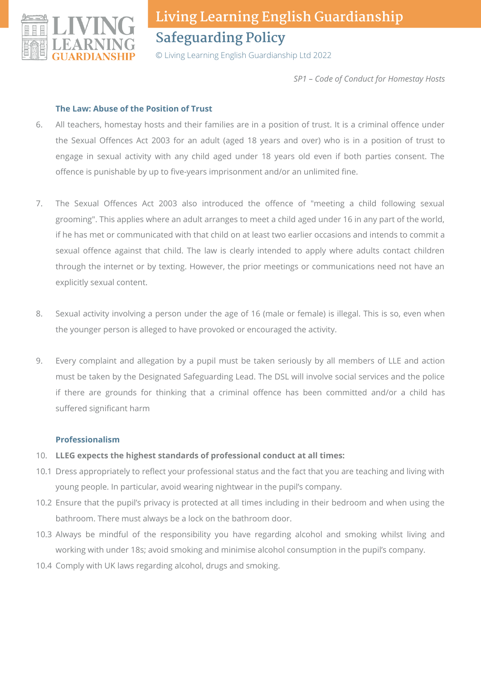

© Living Learning English Guardianship Ltd 2022

*SP1 – Code of Conduct for Homestay Hosts*

#### **The Law: Abuse of the Position of Trust**

- All teachers, homestay hosts and their families are in a position of trust. It is a criminal offence under the Sexual Offences Act 2003 for an adult (aged 18 years and over) who is in a position of trust to engage in sexual activity with any child aged under 18 years old even if both parties consent. The offence is punishable by up to five-years imprisonment and/or an unlimited fine. 6.
- The Sexual Offences Act 2003 also introduced the offence of "meeting a child following sexual grooming". This applies where an adult arranges to meet a child aged under 16 in any part of the world, if he has met or communicated with that child on at least two earlier occasions and intends to commit a sexual offence against that child. The law is clearly intended to apply where adults contact children through the internet or by texting. However, the prior meetings or communications need not have an explicitly sexual content. 7.
- Sexual activity involving a person under the age of 16 (male or female) is illegal. This is so, even when the younger person is alleged to have provoked or encouraged the activity. 8.
- Every complaint and allegation by a pupil must be taken seriously by all members of LLE and action must be taken by the Designated Safeguarding Lead. The DSL will involve social services and the police if there are grounds for thinking that a criminal offence has been committed and/or a child has suffered significant harm 9.

#### **Professionalism**

- **LLEG expects the highest standards of professional conduct at all times:** 10.
- 10.1 Dress appropriately to reflect your professional status and the fact that you are teaching and living with young people. In particular, avoid wearing nightwear in the pupil's company.
- 10.2 Ensure that the pupil's privacy is protected at all times including in their bedroom and when using the bathroom. There must always be a lock on the bathroom door.
- 10.3 Always be mindful of the responsibility you have regarding alcohol and smoking whilst living and working with under 18s; avoid smoking and minimise alcohol consumption in the pupil's company.
- 10.4 Comply with UK laws regarding alcohol, drugs and smoking.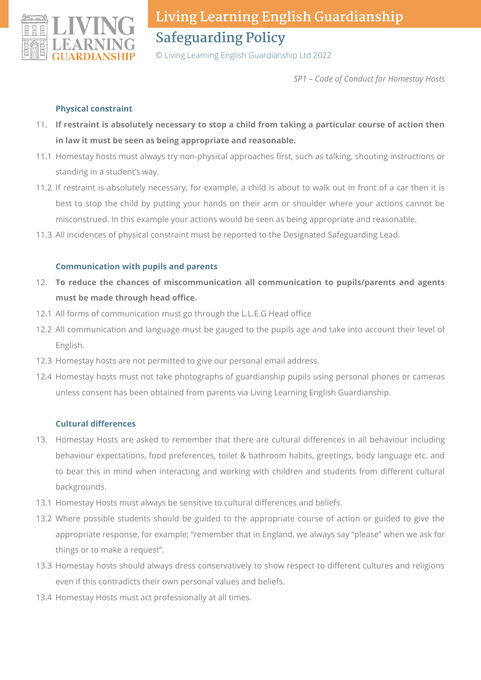

© Living Learning English Guardianship Ltd 2022

*SP1 – Code of Conduct for Homestay Hosts*

#### **Physical constraint**

- **If restraint is absolutely necessary to stop a child from taking a particular course of action then** 11. **in law it must be seen as being appropriate and reasonable.**
- 11.1 Homestay hosts must always try non-physical approaches first, such as talking, shouting instructions or standing in a student's way.
- 11.2 If restraint is absolutely necessary, for example, a child is about to walk out in front of a car then it is best to stop the child by putting your hands on their arm or shoulder where your actions cannot be misconstrued. In this example your actions would be seen as being appropriate and reasonable.
- 11.3 All incidences of physical constraint must be reported to the Designated Safeguarding Lead.

#### **Communication with pupils and parents**

- **To reduce the chances of miscommunication all communication to pupils/parents and agents** 12. **must be made through head office.**
- 12.1 All forms of communication must go through the L.L.E.G Head office
- 12.2 All communication and language must be gauged to the pupils age and take into account their level of English.
- 12.3 Homestay hosts are not permitted to give our personal email address.
- 12.4 Homestay hosts must not take photographs of guardianship pupils using personal phones or cameras unless consent has been obtained from parents via Living Learning English Guardianship.

#### **Cultural differences**

- 13. Homestay Hosts are asked to remember that there are cultural differences in all behaviour including behaviour expectations, food preferences, toilet & bathroom habits, greetings, body language etc. and to bear this in mind when interacting and working with children and students from different cultural backgrounds.
- 13.1 Homestay Hosts must always be sensitive to cultural differences and beliefs.
- 13.2 Where possible students should be guided to the appropriate course of action or guided to give the appropriate response, for example; "remember that in England, we always say "please" when we ask for things or to make a request".
- 13.3 Homestay hosts should always dress conservatively to show respect to different cultures and religions even if this contradicts their own personal values and beliefs.
- 13.4 Homestay Hosts must act professionally at all times.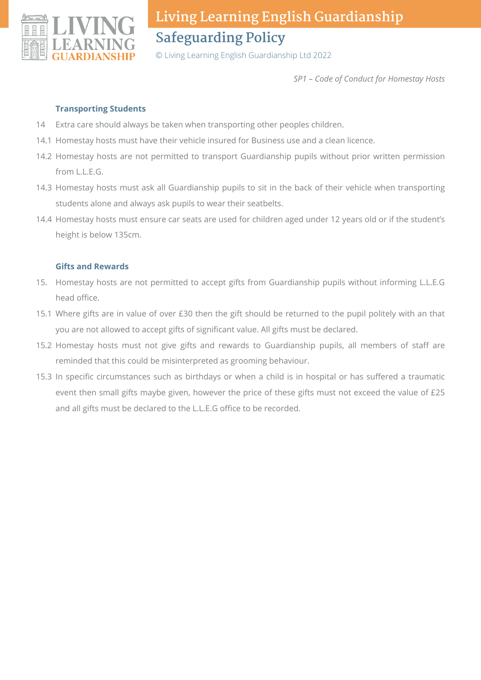

© Living Learning English Guardianship Ltd 2022

*SP1 – Code of Conduct for Homestay Hosts*

#### **Transporting Students**

- Extra care should always be taken when transporting other peoples children. 14
- 14.1 Homestay hosts must have their vehicle insured for Business use and a clean licence.
- 14.2 Homestay hosts are not permitted to transport Guardianship pupils without prior written permission from L.L.E.G.
- 14.3 Homestay hosts must ask all Guardianship pupils to sit in the back of their vehicle when transporting students alone and always ask pupils to wear their seatbelts.
- 14.4 Homestay hosts must ensure car seats are used for children aged under 12 years old or if the student's height is below 135cm.

#### **Gifts and Rewards**

- 15. Homestay hosts are not permitted to accept gifts from Guardianship pupils without informing L.L.E.G head office.
- 15.1 Where gifts are in value of over £30 then the gift should be returned to the pupil politely with an that you are not allowed to accept gifts of significant value. All gifts must be declared.
- 15.2 Homestay hosts must not give gifts and rewards to Guardianship pupils, all members of staff are reminded that this could be misinterpreted as grooming behaviour.
- 15.3 In specific circumstances such as birthdays or when a child is in hospital or has suffered a traumatic event then small gifts maybe given, however the price of these gifts must not exceed the value of £25 and all gifts must be declared to the L.L.E.G office to be recorded.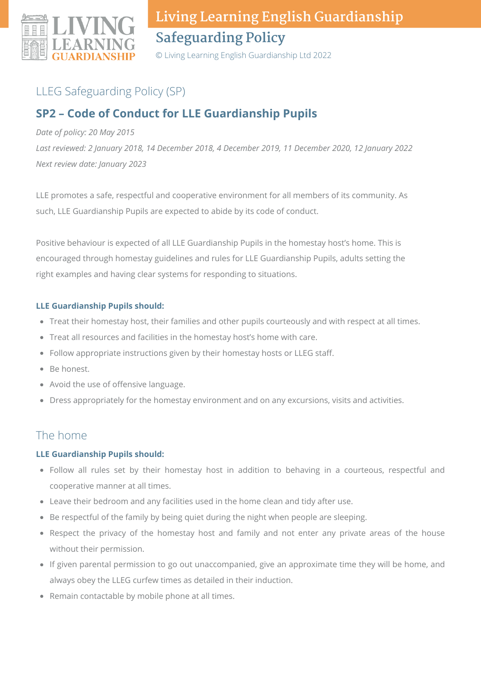

© Living Learning English Guardianship Ltd 2022

## LLEG Safeguarding Policy (SP)

## **SP2 – Code of Conduct for LLE Guardianship Pupils**

#### *Date of policy: 20 May 2015*

*Last reviewed: 2 January 2018, 14 December 2018, 4 December 2019, 11 December 2020, 12 January 2022 Next review date: January 2023*

LLE promotes a safe, respectful and cooperative environment for all members of its community. As such, LLE Guardianship Pupils are expected to abide by its code of conduct.

Positive behaviour is expected of all LLE Guardianship Pupils in the homestay host's home. This is encouraged through homestay guidelines and rules for LLE Guardianship Pupils, adults setting the right examples and having clear systems for responding to situations.

#### **LLE Guardianship Pupils should:**

- Treat their homestay host, their families and other pupils courteously and with respect at all times.
- Treat all resources and facilities in the homestay host's home with care.
- Follow appropriate instructions given by their homestay hosts or LLEG staff.
- Be honest.
- Avoid the use of offensive language.
- Dress appropriately for the homestay environment and on any excursions, visits and activities.

## The home

#### **LLE Guardianship Pupils should:**

- Follow all rules set by their homestay host in addition to behaving in a courteous, respectful and cooperative manner at all times.
- Leave their bedroom and any facilities used in the home clean and tidy after use.
- Be respectful of the family by being quiet during the night when people are sleeping.
- Respect the privacy of the homestay host and family and not enter any private areas of the house without their permission.
- If given parental permission to go out unaccompanied, give an approximate time they will be home, and always obey the LLEG curfew times as detailed in their induction.
- Remain contactable by mobile phone at all times.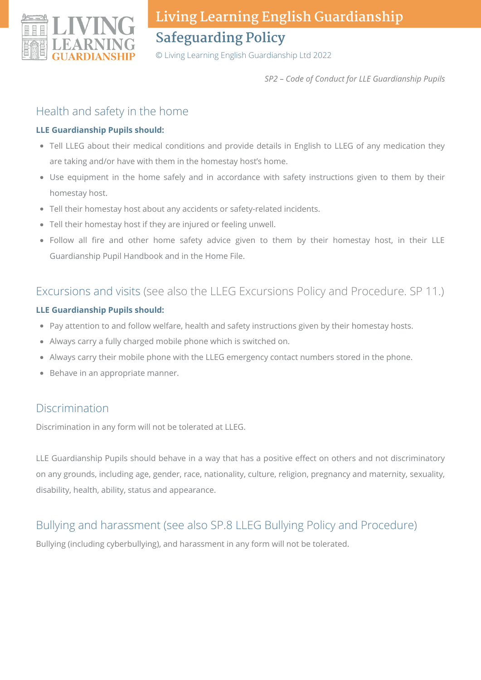

© Living Learning English Guardianship Ltd 2022

*SP2 – Code of Conduct for LLE Guardianship Pupils*

### Health and safety in the home

#### **LLE Guardianship Pupils should:**

- Tell LLEG about their medical conditions and provide details in English to LLEG of any medication they are taking and/or have with them in the homestay host's home.
- Use equipment in the home safely and in accordance with safety instructions given to them by their homestay host.
- Tell their homestay host about any accidents or safety-related incidents.
- Tell their homestay host if they are injured or feeling unwell.
- Follow all fire and other home safety advice given to them by their homestay host, in their LLE Guardianship Pupil Handbook and in the Home File.

### Excursions and visits (see also the LLEG Excursions Policy and Procedure. SP 11.)

#### **LLE Guardianship Pupils should:**

- Pay attention to and follow welfare, health and safety instructions given by their homestay hosts.
- Always carry a fully charged mobile phone which is switched on.
- Always carry their mobile phone with the LLEG emergency contact numbers stored in the phone.
- Behave in an appropriate manner.

### Discrimination

Discrimination in any form will not be tolerated at LLEG.

LLE Guardianship Pupils should behave in a way that has a positive effect on others and not discriminatory on any grounds, including age, gender, race, nationality, culture, religion, pregnancy and maternity, sexuality, disability, health, ability, status and appearance.

## Bullying and harassment (see also SP.8 LLEG Bullying Policy and Procedure)

Bullying (including cyberbullying), and harassment in any form will not be tolerated.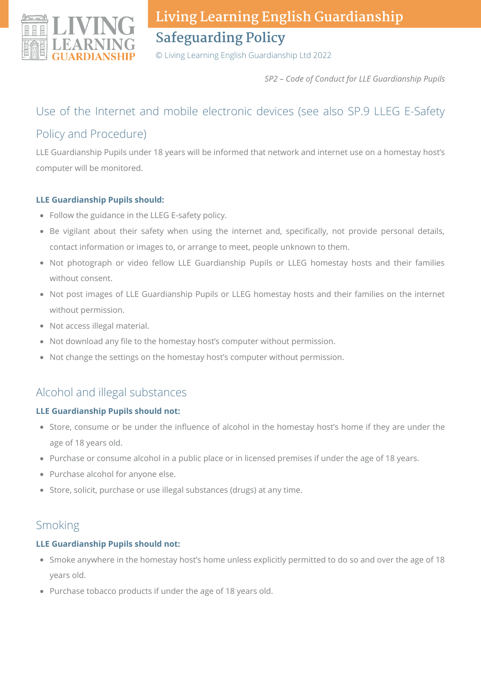

© Living Learning English Guardianship Ltd 2022

*SP2 – Code of Conduct for LLE Guardianship Pupils*

## Use of the Internet and mobile electronic devices (see also SP.9 LLEG E-Safety Policy and Procedure)

LLE Guardianship Pupils under 18 years will be informed that network and internet use on a homestay host's computer will be monitored.

#### **LLE Guardianship Pupils should:**

- Follow the guidance in the LLEG E-safety policy.
- Be vigilant about their safety when using the internet and, specifically, not provide personal details, contact information or images to, or arrange to meet, people unknown to them.
- Not photograph or video fellow LLE Guardianship Pupils or LLEG homestay hosts and their families without consent.
- Not post images of LLE Guardianship Pupils or LLEG homestay hosts and their families on the internet without permission.
- Not access illegal material.
- Not download any file to the homestay host's computer without permission.
- Not change the settings on the homestay host's computer without permission.

## Alcohol and illegal substances

#### **LLE Guardianship Pupils should not:**

- Store, consume or be under the influence of alcohol in the homestay host's home if they are under the age of 18 years old.
- Purchase or consume alcohol in a public place or in licensed premises if under the age of 18 years.
- Purchase alcohol for anyone else.
- Store, solicit, purchase or use illegal substances (drugs) at any time.

### Smoking

### **LLE Guardianship Pupils should not:**

- Smoke anywhere in the homestay host's home unless explicitly permitted to do so and over the age of 18 years old.
- Purchase tobacco products if under the age of 18 years old.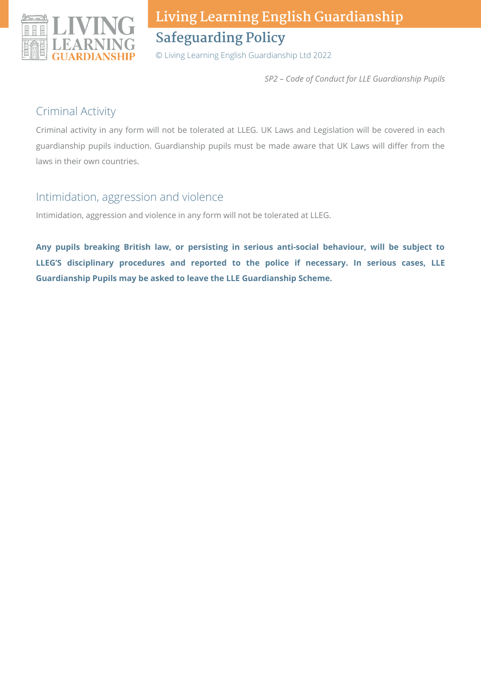

© Living Learning English Guardianship Ltd 2022

*SP2 – Code of Conduct for LLE Guardianship Pupils*

### Criminal Activity

Criminal activity in any form will not be tolerated at LLEG. UK Laws and Legislation will be covered in each guardianship pupils induction. Guardianship pupils must be made aware that UK Laws will differ from the laws in their own countries.

### Intimidation, aggression and violence

Intimidation, aggression and violence in any form will not be tolerated at LLEG.

**Any pupils breaking British law, or persisting in serious anti-social behaviour, will be subject to LLEG'S disciplinary procedures and reported to the police if necessary. In serious cases, LLE Guardianship Pupils may be asked to leave the LLE Guardianship Scheme.**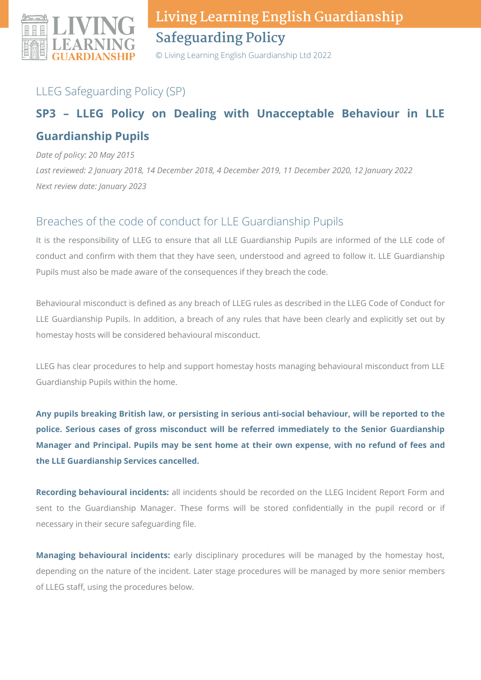

© Living Learning English Guardianship Ltd 2022

## LLEG Safeguarding Policy (SP)

## **SP3 – LLEG Policy on Dealing with Unacceptable Behaviour in LLE Guardianship Pupils**

*Date of policy: 20 May 2015*

*Last reviewed: 2 January 2018, 14 December 2018, 4 December 2019, 11 December 2020, 12 January 2022 Next review date: January 2023*

## Breaches of the code of conduct for LLE Guardianship Pupils

It is the responsibility of LLEG to ensure that all LLE Guardianship Pupils are informed of the LLE code of conduct and confirm with them that they have seen, understood and agreed to follow it. LLE Guardianship Pupils must also be made aware of the consequences if they breach the code.

Behavioural misconduct is defined as any breach of LLEG rules as described in the LLEG Code of Conduct for LLE Guardianship Pupils. In addition, a breach of any rules that have been clearly and explicitly set out by homestay hosts will be considered behavioural misconduct.

LLEG has clear procedures to help and support homestay hosts managing behavioural misconduct from LLE Guardianship Pupils within the home.

**Any pupils breaking British law, or persisting in serious anti-social behaviour, will be reported to the police. Serious cases of gross misconduct will be referred immediately to the Senior Guardianship Manager and Principal. Pupils may be sent home at their own expense, with no refund of fees and the LLE Guardianship Services cancelled.**

**Recording behavioural incidents:** all incidents should be recorded on the LLEG Incident Report Form and sent to the Guardianship Manager. These forms will be stored confidentially in the pupil record or if necessary in their secure safeguarding file.

**Managing behavioural incidents:** early disciplinary procedures will be managed by the homestay host, depending on the nature of the incident. Later stage procedures will be managed by more senior members of LLEG staff, using the procedures below.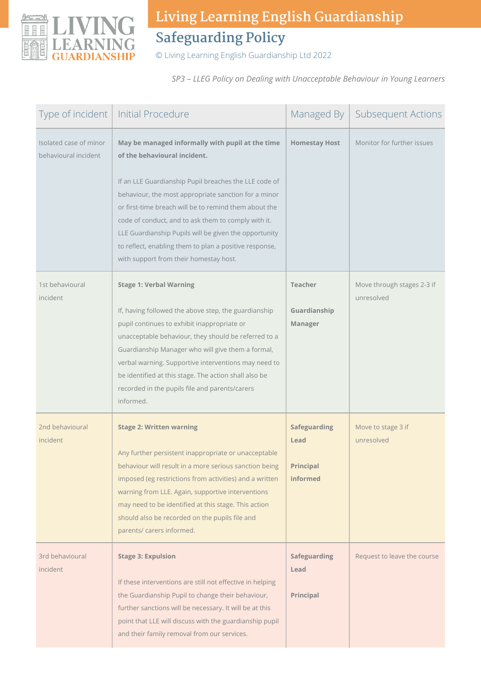

© Living Learning English Guardianship Ltd 2022

*SP3 – LLEG Policy on Dealing with Unacceptable Behaviour in Young Learners*

| Type of incident                               | <b>Initial Procedure</b>                                                                                                                                                                                                                                                                                                                                                                                                                                                       | Managed By                                                         | <b>Subsequent Actions</b>                |
|------------------------------------------------|--------------------------------------------------------------------------------------------------------------------------------------------------------------------------------------------------------------------------------------------------------------------------------------------------------------------------------------------------------------------------------------------------------------------------------------------------------------------------------|--------------------------------------------------------------------|------------------------------------------|
| Isolated case of minor<br>behavioural incident | May be managed informally with pupil at the time<br>of the behavioural incident.<br>If an LLE Guardianship Pupil breaches the LLE code of<br>behaviour, the most appropriate sanction for a minor<br>or first-time breach will be to remind them about the<br>code of conduct, and to ask them to comply with it.<br>LLE Guardianship Pupils will be given the opportunity<br>to reflect, enabling them to plan a positive response,<br>with support from their homestay host. | <b>Homestay Host</b>                                               | Monitor for further issues               |
| 1st behavioural<br>incident                    | <b>Stage 1: Verbal Warning</b><br>If, having followed the above step, the guardianship<br>pupil continues to exhibit inappropriate or<br>unacceptable behaviour, they should be referred to a<br>Guardianship Manager who will give them a formal,<br>verbal warning. Supportive interventions may need to<br>be identified at this stage. The action shall also be<br>recorded in the pupils file and parents/carers<br>informed.                                             | <b>Teacher</b><br>Guardianship<br>Manager                          | Move through stages 2-3 if<br>unresolved |
| 2nd behavioural<br>incident                    | <b>Stage 2: Written warning</b><br>Any further persistent inappropriate or unacceptable<br>behaviour will result in a more serious sanction being<br>imposed (eg restrictions from activities) and a written<br>warning from LLE. Again, supportive interventions<br>may need to be identified at this stage. This action<br>should also be recorded on the pupils file and<br>parents/ carers informed.                                                                       | <b>Safeguarding</b><br>Lead<br><b>Principal</b><br><b>informed</b> | Move to stage 3 if<br>unresolved         |
| 3rd behavioural<br>incident                    | <b>Stage 3: Expulsion</b><br>If these interventions are still not effective in helping<br>the Guardianship Pupil to change their behaviour,<br>further sanctions will be necessary. It will be at this<br>point that LLE will discuss with the guardianship pupil<br>and their family removal from our services.                                                                                                                                                               | <b>Safeguarding</b><br>Lead<br>Principal                           | Request to leave the course              |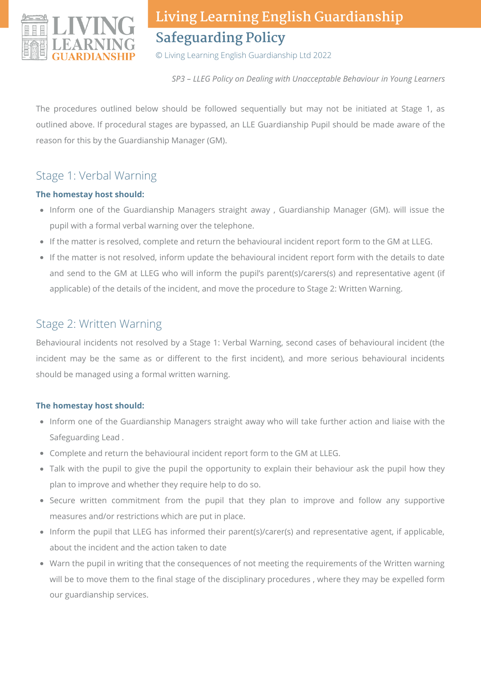

© Living Learning English Guardianship Ltd 2022

*SP3 – LLEG Policy on Dealing with Unacceptable Behaviour in Young Learners*

The procedures outlined below should be followed sequentially but may not be initiated at Stage 1, as outlined above. If procedural stages are bypassed, an LLE Guardianship Pupil should be made aware of the reason for this by the Guardianship Manager (GM).

## Stage 1: Verbal Warning

#### **The homestay host should:**

- Inform one of the Guardianship Managers straight away, Guardianship Manager (GM). will issue the pupil with a formal verbal warning over the telephone.
- If the matter is resolved, complete and return the behavioural incident report form to the GM at LLEG.
- If the matter is not resolved, inform update the behavioural incident report form with the details to date and send to the GM at LLEG who will inform the pupil's parent(s)/carers(s) and representative agent (if applicable) of the details of the incident, and move the procedure to Stage 2: Written Warning.

### Stage 2: Written Warning

Behavioural incidents not resolved by a Stage 1: Verbal Warning, second cases of behavioural incident (the incident may be the same as or different to the first incident), and more serious behavioural incidents should be managed using a formal written warning.

#### **The homestay host should:**

- Inform one of the Guardianship Managers straight away who will take further action and liaise with the Safeguarding Lead .
- Complete and return the behavioural incident report form to the GM at LLEG.
- Talk with the pupil to give the pupil the opportunity to explain their behaviour ask the pupil how they plan to improve and whether they require help to do so.
- Secure written commitment from the pupil that they plan to improve and follow any supportive measures and/or restrictions which are put in place.
- Inform the pupil that LLEG has informed their parent(s)/carer(s) and representative agent, if applicable, about the incident and the action taken to date
- Warn the pupil in writing that the consequences of not meeting the requirements of the Written warning will be to move them to the final stage of the disciplinary procedures , where they may be expelled form our guardianship services.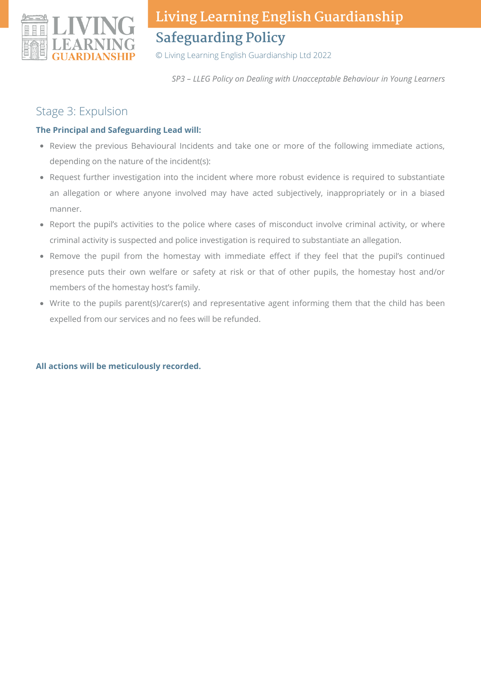

© Living Learning English Guardianship Ltd 2022

*SP3 – LLEG Policy on Dealing with Unacceptable Behaviour in Young Learners*

### Stage 3: Expulsion

#### **The Principal and Safeguarding Lead will:**

- Review the previous Behavioural Incidents and take one or more of the following immediate actions, depending on the nature of the incident(s):
- Request further investigation into the incident where more robust evidence is required to substantiate an allegation or where anyone involved may have acted subjectively, inappropriately or in a biased manner.
- Report the pupil's activities to the police where cases of misconduct involve criminal activity, or where criminal activity is suspected and police investigation is required to substantiate an allegation.
- Remove the pupil from the homestay with immediate effect if they feel that the pupil's continued presence puts their own welfare or safety at risk or that of other pupils, the homestay host and/or members of the homestay host's family.
- Write to the pupils parent(s)/carer(s) and representative agent informing them that the child has been expelled from our services and no fees will be refunded.

#### **All actions will be meticulously recorded.**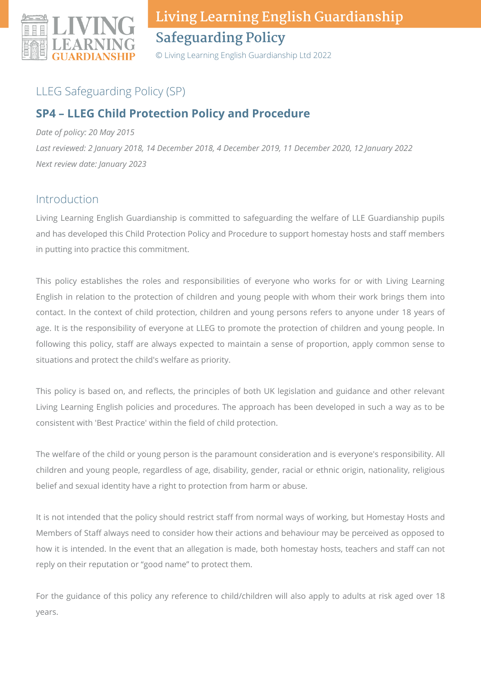

© Living Learning English Guardianship Ltd 2022

## LLEG Safeguarding Policy (SP)

## **SP4 – LLEG Child Protection Policy and Procedure**

*Date of policy: 20 May 2015*

*Last reviewed: 2 January 2018, 14 December 2018, 4 December 2019, 11 December 2020, 12 January 2022 Next review date: January 2023*

### Introduction

Living Learning English Guardianship is committed to safeguarding the welfare of LLE Guardianship pupils and has developed this Child Protection Policy and Procedure to support homestay hosts and staff members in putting into practice this commitment.

This policy establishes the roles and responsibilities of everyone who works for or with Living Learning English in relation to the protection of children and young people with whom their work brings them into contact. In the context of child protection, children and young persons refers to anyone under 18 years of age. It is the responsibility of everyone at LLEG to promote the protection of children and young people. In following this policy, staff are always expected to maintain a sense of proportion, apply common sense to situations and protect the child's welfare as priority.

This policy is based on, and reflects, the principles of both UK legislation and guidance and other relevant Living Learning English policies and procedures. The approach has been developed in such a way as to be consistent with 'Best Practice' within the field of child protection.

The welfare of the child or young person is the paramount consideration and is everyone's responsibility. All children and young people, regardless of age, disability, gender, racial or ethnic origin, nationality, religious belief and sexual identity have a right to protection from harm or abuse.

It is not intended that the policy should restrict staff from normal ways of working, but Homestay Hosts and Members of Staff always need to consider how their actions and behaviour may be perceived as opposed to how it is intended. In the event that an allegation is made, both homestay hosts, teachers and staff can not reply on their reputation or "good name" to protect them.

For the guidance of this policy any reference to child/children will also apply to adults at risk aged over 18 years.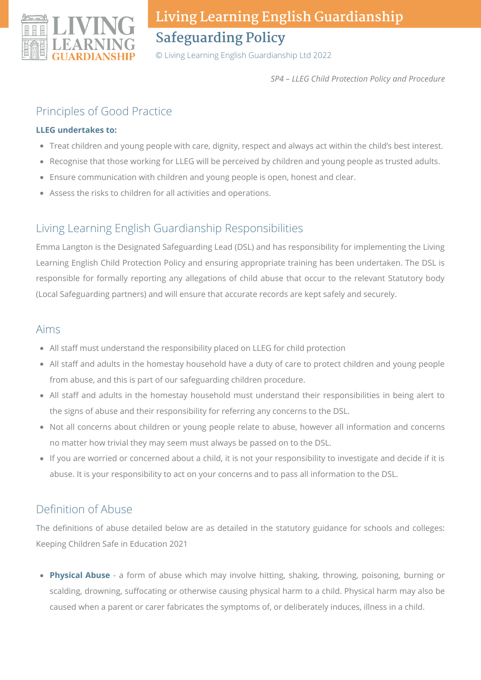

© Living Learning English Guardianship Ltd 2022

*SP4 – LLEG Child Protection Policy and Procedure*

### Principles of Good Practice

#### **LLEG undertakes to:**

- Treat children and young people with care, dignity, respect and always act within the child's best interest.
- Recognise that those working for LLEG will be perceived by children and young people as trusted adults.
- Ensure communication with children and young people is open, honest and clear.
- Assess the risks to children for all activities and operations.

## Living Learning English Guardianship Responsibilities

Emma Langton is the Designated Safeguarding Lead (DSL) and has responsibility for implementing the Living Learning English Child Protection Policy and ensuring appropriate training has been undertaken. The DSL is responsible for formally reporting any allegations of child abuse that occur to the relevant Statutory body (Local Safeguarding partners) and will ensure that accurate records are kept safely and securely.

### Aims

- All staff must understand the responsibility placed on LLEG for child protection
- All staff and adults in the homestay household have a duty of care to protect children and young people from abuse, and this is part of our safeguarding children procedure.
- All staff and adults in the homestay household must understand their responsibilities in being alert to the signs of abuse and their responsibility for referring any concerns to the DSL.
- Not all concerns about children or young people relate to abuse, however all information and concerns no matter how trivial they may seem must always be passed on to the DSL.
- If you are worried or concerned about a child, it is not your responsibility to investigate and decide if it is abuse. It is your responsibility to act on your concerns and to pass all information to the DSL.

## Definition of Abuse

The definitions of abuse detailed below are as detailed in the statutory guidance for schools and colleges: Keeping Children Safe in Education 2021

**Physical Abuse** - a form of abuse which may involve hitting, shaking, throwing, poisoning, burning or scalding, drowning, suffocating or otherwise causing physical harm to a child. Physical harm may also be caused when a parent or carer fabricates the symptoms of, or deliberately induces, illness in a child.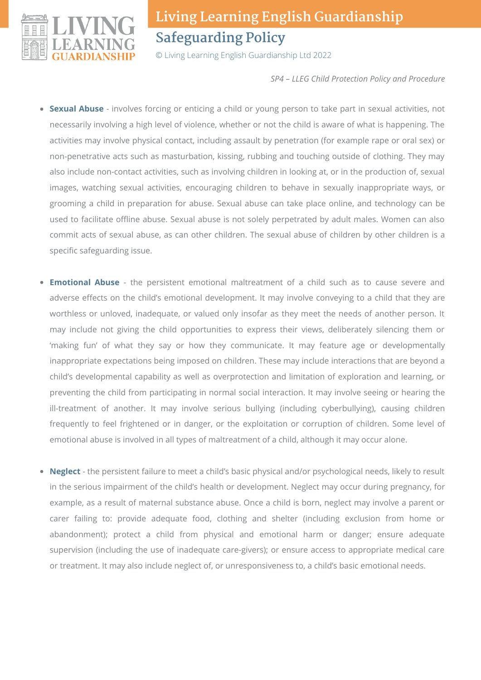

© Living Learning English Guardianship Ltd 2022

*SP4 – LLEG Child Protection Policy and Procedure*

- **Sexual Abuse** involves forcing or enticing a child or young person to take part in sexual activities, not necessarily involving a high level of violence, whether or not the child is aware of what is happening. The activities may involve physical contact, including assault by penetration (for example rape or oral sex) or non-penetrative acts such as masturbation, kissing, rubbing and touching outside of clothing. They may also include non-contact activities, such as involving children in looking at, or in the production of, sexual images, watching sexual activities, encouraging children to behave in sexually inappropriate ways, or grooming a child in preparation for abuse. Sexual abuse can take place online, and technology can be used to facilitate offline abuse. Sexual abuse is not solely perpetrated by adult males. Women can also commit acts of sexual abuse, as can other children. The sexual abuse of children by other children is a specific safeguarding issue.
- **Emotional Abuse** the persistent emotional maltreatment of a child such as to cause severe and adverse effects on the child's emotional development. It may involve conveying to a child that they are worthless or unloved, inadequate, or valued only insofar as they meet the needs of another person. It may include not giving the child opportunities to express their views, deliberately silencing them or 'making fun' of what they say or how they communicate. It may feature age or developmentally inappropriate expectations being imposed on children. These may include interactions that are beyond a child's developmental capability as well as overprotection and limitation of exploration and learning, or preventing the child from participating in normal social interaction. It may involve seeing or hearing the ill-treatment of another. It may involve serious bullying (including cyberbullying), causing children frequently to feel frightened or in danger, or the exploitation or corruption of children. Some level of emotional abuse is involved in all types of maltreatment of a child, although it may occur alone.
- **Neglect** the persistent failure to meet a child's basic physical and/or psychological needs, likely to result  $\bullet$ in the serious impairment of the child's health or development. Neglect may occur during pregnancy, for example, as a result of maternal substance abuse. Once a child is born, neglect may involve a parent or carer failing to: provide adequate food, clothing and shelter (including exclusion from home or abandonment); protect a child from physical and emotional harm or danger; ensure adequate supervision (including the use of inadequate care-givers); or ensure access to appropriate medical care or treatment. It may also include neglect of, or unresponsiveness to, a child's basic emotional needs.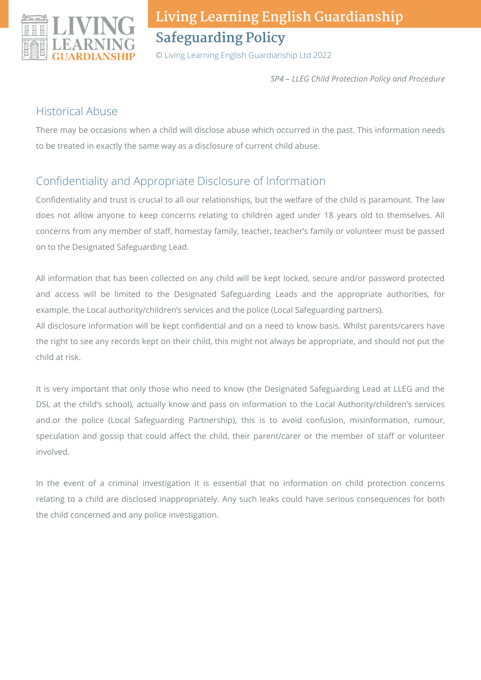

© Living Learning English Guardianship Ltd 2022

*SP4 – LLEG Child Protection Policy and Procedure*

### Historical Abuse

There may be occasions when a child will disclose abuse which occurred in the past. This information needs to be treated in exactly the same way as a disclosure of current child abuse.

## Confidentiality and Appropriate Disclosure of Information

Confidentiality and trust is crucial to all our relationships, but the welfare of the child is paramount. The law does not allow anyone to keep concerns relating to children aged under 18 years old to themselves. All concerns from any member of staff, homestay family, teacher, teacher's family or volunteer must be passed on to the Designated Safeguarding Lead.

All information that has been collected on any child will be kept locked, secure and/or password protected and access will be limited to the Designated Safeguarding Leads and the appropriate authorities, for example, the Local authority/children's services and the police (Local Safeguarding partners).

All disclosure information will be kept confidential and on a need to know basis. Whilst parents/carers have the right to see any records kept on their child, this might not always be appropriate, and should not put the child at risk.

It is very important that only those who need to know (the Designated Safeguarding Lead at LLEG and the DSL at the child's school), actually know and pass on information to the Local Authority/children's services and.or the police (Local Safeguarding Partnership), this is to avoid confusion, misinformation, rumour, speculation and gossip that could affect the child, their parent/carer or the member of staff or volunteer involved.

In the event of a criminal investigation it is essential that no information on child protection concerns relating to a child are disclosed inappropriately. Any such leaks could have serious consequences for both the child concerned and any police investigation.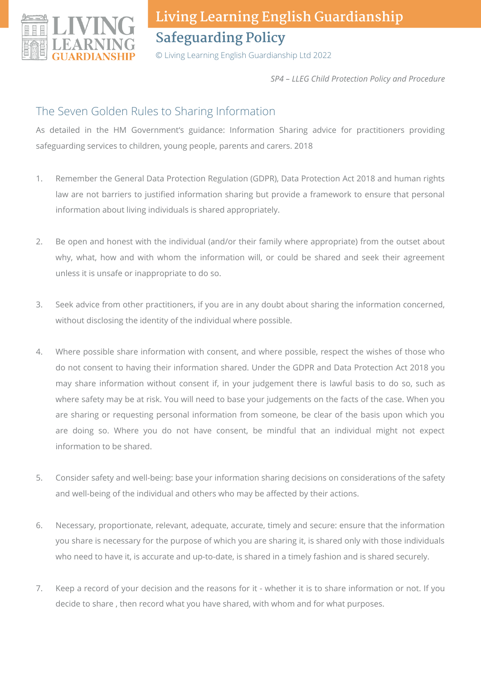

© Living Learning English Guardianship Ltd 2022

*SP4 – LLEG Child Protection Policy and Procedure*

### The Seven Golden Rules to Sharing Information

As detailed in the HM Government's guidance: Information Sharing advice for practitioners providing safeguarding services to children, young people, parents and carers. 2018

- Remember the General Data Protection Regulation (GDPR), Data Protection Act 2018 and human rights law are not barriers to justified information sharing but provide a framework to ensure that personal information about living individuals is shared appropriately. 1.
- Be open and honest with the individual (and/or their family where appropriate) from the outset about why, what, how and with whom the information will, or could be shared and seek their agreement unless it is unsafe or inappropriate to do so. 2.
- Seek advice from other practitioners, if you are in any doubt about sharing the information concerned, without disclosing the identity of the individual where possible. 3.
- Where possible share information with consent, and where possible, respect the wishes of those who do not consent to having their information shared. Under the GDPR and Data Protection Act 2018 you may share information without consent if, in your judgement there is lawful basis to do so, such as where safety may be at risk. You will need to base your judgements on the facts of the case. When you are sharing or requesting personal information from someone, be clear of the basis upon which you are doing so. Where you do not have consent, be mindful that an individual might not expect information to be shared. 4.
- Consider safety and well-being: base your information sharing decisions on considerations of the safety and well-being of the individual and others who may be affected by their actions. 5.
- Necessary, proportionate, relevant, adequate, accurate, timely and secure: ensure that the information you share is necessary for the purpose of which you are sharing it, is shared only with those individuals who need to have it, is accurate and up-to-date, is shared in a timely fashion and is shared securely. 6.
- Keep a record of your decision and the reasons for it whether it is to share information or not. If you decide to share , then record what you have shared, with whom and for what purposes. 7.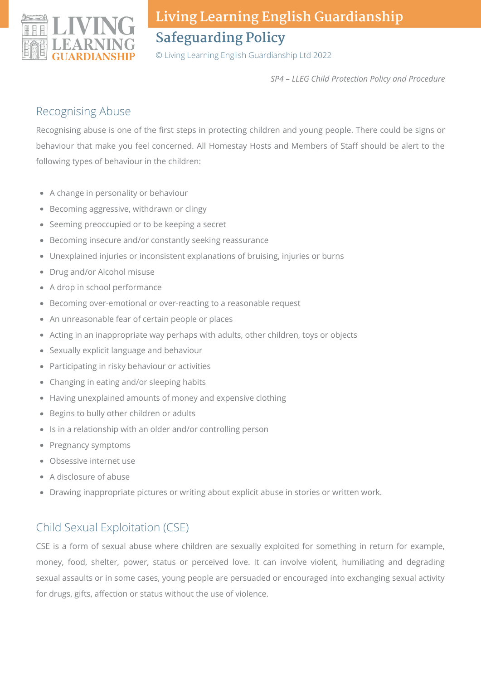

© Living Learning English Guardianship Ltd 2022

*SP4 – LLEG Child Protection Policy and Procedure*

### Recognising Abuse

Recognising abuse is one of the first steps in protecting children and young people. There could be signs or behaviour that make you feel concerned. All Homestay Hosts and Members of Staff should be alert to the following types of behaviour in the children:

- A change in personality or behaviour
- Becoming aggressive, withdrawn or clingy
- Seeming preoccupied or to be keeping a secret
- Becoming insecure and/or constantly seeking reassurance
- Unexplained injuries or inconsistent explanations of bruising, injuries or burns
- Drug and/or Alcohol misuse
- A drop in school performance
- Becoming over-emotional or over-reacting to a reasonable request
- An unreasonable fear of certain people or places
- Acting in an inappropriate way perhaps with adults, other children, toys or objects
- Sexually explicit language and behaviour
- Participating in risky behaviour or activities
- Changing in eating and/or sleeping habits
- Having unexplained amounts of money and expensive clothing
- Begins to bully other children or adults
- Is in a relationship with an older and/or controlling person
- Pregnancy symptoms
- Obsessive internet use
- A disclosure of abuse
- Drawing inappropriate pictures or writing about explicit abuse in stories or written work.

## Child Sexual Exploitation (CSE)

CSE is a form of sexual abuse where children are sexually exploited for something in return for example, money, food, shelter, power, status or perceived love. It can involve violent, humiliating and degrading sexual assaults or in some cases, young people are persuaded or encouraged into exchanging sexual activity for drugs, gifts, affection or status without the use of violence.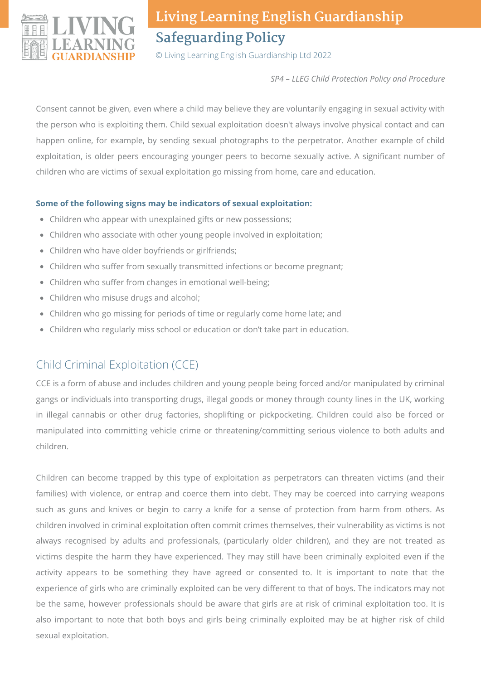

© Living Learning English Guardianship Ltd 2022

*SP4 – LLEG Child Protection Policy and Procedure*

Consent cannot be given, even where a child may believe they are voluntarily engaging in sexual activity with the person who is exploiting them. Child sexual exploitation doesn't always involve physical contact and can happen online, for example, by sending sexual photographs to the perpetrator. Another example of child exploitation, is older peers encouraging younger peers to become sexually active. A significant number of children who are victims of sexual exploitation go missing from home, care and education.

#### **Some of the following signs may be indicators of sexual exploitation:**

- Children who appear with unexplained gifts or new possessions;
- Children who associate with other young people involved in exploitation;
- Children who have older boyfriends or girlfriends;
- Children who suffer from sexually transmitted infections or become pregnant;
- Children who suffer from changes in emotional well-being;
- Children who misuse drugs and alcohol;
- Children who go missing for periods of time or regularly come home late; and
- Children who regularly miss school or education or don't take part in education.

## Child Criminal Exploitation (CCE)

CCE is a form of abuse and includes children and young people being forced and/or manipulated by criminal gangs or individuals into transporting drugs, illegal goods or money through county lines in the UK, working in illegal cannabis or other drug factories, shoplifting or pickpocketing. Children could also be forced or manipulated into committing vehicle crime or threatening/committing serious violence to both adults and children.

Children can become trapped by this type of exploitation as perpetrators can threaten victims (and their families) with violence, or entrap and coerce them into debt. They may be coerced into carrying weapons such as guns and knives or begin to carry a knife for a sense of protection from harm from others. As children involved in criminal exploitation often commit crimes themselves, their vulnerability as victims is not always recognised by adults and professionals, (particularly older children), and they are not treated as victims despite the harm they have experienced. They may still have been criminally exploited even if the activity appears to be something they have agreed or consented to. It is important to note that the experience of girls who are criminally exploited can be very different to that of boys. The indicators may not be the same, however professionals should be aware that girls are at risk of criminal exploitation too. It is also important to note that both boys and girls being criminally exploited may be at higher risk of child sexual exploitation.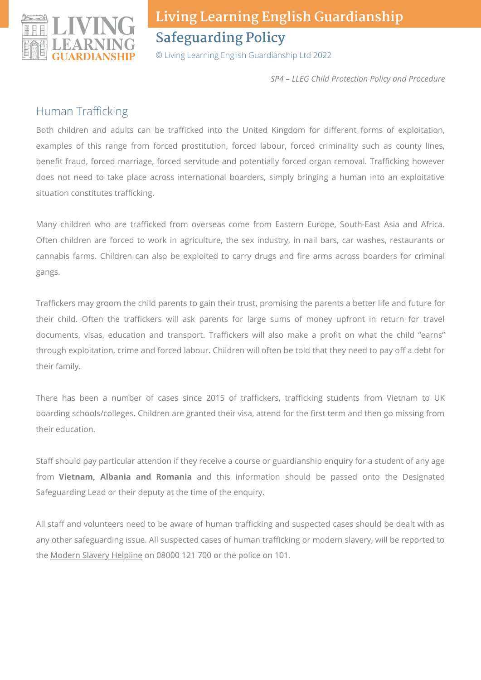

© Living Learning English Guardianship Ltd 2022

*SP4 – LLEG Child Protection Policy and Procedure*

### Human Trafficking

Both children and adults can be trafficked into the United Kingdom for different forms of exploitation, examples of this range from forced prostitution, forced labour, forced criminality such as county lines, benefit fraud, forced marriage, forced servitude and potentially forced organ removal. Trafficking however does not need to take place across international boarders, simply bringing a human into an exploitative situation constitutes trafficking.

Many children who are trafficked from overseas come from Eastern Europe, South-East Asia and Africa. Often children are forced to work in agriculture, the sex industry, in nail bars, car washes, restaurants or cannabis farms. Children can also be exploited to carry drugs and fire arms across boarders for criminal gangs.

Traffickers may groom the child parents to gain their trust, promising the parents a better life and future for their child. Often the traffickers will ask parents for large sums of money upfront in return for travel documents, visas, education and transport. Traffickers will also make a profit on what the child "earns" through exploitation, crime and forced labour. Children will often be told that they need to pay off a debt for their family.

There has been a number of cases since 2015 of traffickers, trafficking students from Vietnam to UK boarding schools/colleges. Children are granted their visa, attend for the first term and then go missing from their education.

Staff should pay particular attention if they receive a course or guardianship enquiry for a student of any age from **Vietnam, Albania and Romania** and this information should be passed onto the Designated Safeguarding Lead or their deputy at the time of the enquiry.

All staff and volunteers need to be aware of human trafficking and suspected cases should be dealt with as any other safeguarding issue. All suspected cases of human trafficking or modern slavery, will be reported to the Modern Slavery Helpline on 08000 121 700 or the police on 101.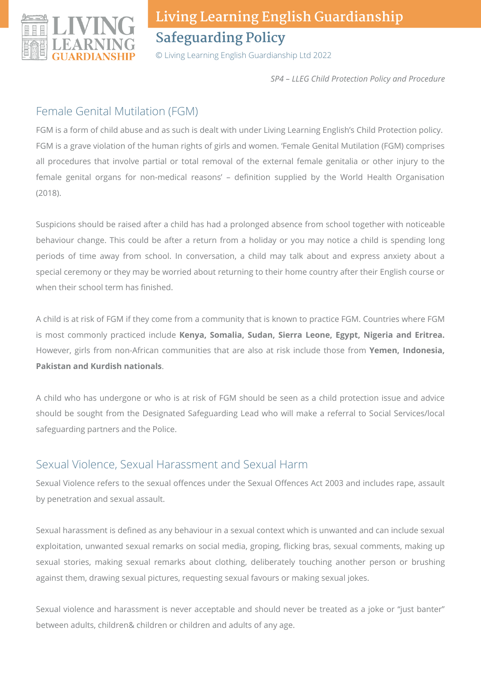

© Living Learning English Guardianship Ltd 2022

*SP4 – LLEG Child Protection Policy and Procedure*

### Female Genital Mutilation (FGM)

FGM is a form of child abuse and as such is dealt with under Living Learning English's Child Protection policy. FGM is a grave violation of the human rights of girls and women. 'Female Genital Mutilation (FGM) comprises all procedures that involve partial or total removal of the external female genitalia or other injury to the female genital organs for non-medical reasons' – definition supplied by the World Health Organisation (2018).

Suspicions should be raised after a child has had a prolonged absence from school together with noticeable behaviour change. This could be after a return from a holiday or you may notice a child is spending long periods of time away from school. In conversation, a child may talk about and express anxiety about a special ceremony or they may be worried about returning to their home country after their English course or when their school term has finished.

A child is at risk of FGM if they come from a community that is known to practice FGM. Countries where FGM is most commonly practiced include **Kenya, Somalia, Sudan, Sierra Leone, Egypt, Nigeria and Eritrea.** However, girls from non-African communities that are also at risk include those from **Yemen, Indonesia, Pakistan and Kurdish nationals**.

A child who has undergone or who is at risk of FGM should be seen as a child protection issue and advice should be sought from the Designated Safeguarding Lead who will make a referral to Social Services/local safeguarding partners and the Police.

## Sexual Violence, Sexual Harassment and Sexual Harm

Sexual Violence refers to the sexual offences under the Sexual Offences Act 2003 and includes rape, assault by penetration and sexual assault.

Sexual harassment is defined as any behaviour in a sexual context which is unwanted and can include sexual exploitation, unwanted sexual remarks on social media, groping, flicking bras, sexual comments, making up sexual stories, making sexual remarks about clothing, deliberately touching another person or brushing against them, drawing sexual pictures, requesting sexual favours or making sexual jokes.

Sexual violence and harassment is never acceptable and should never be treated as a joke or "just banter" between adults, children& children or children and adults of any age.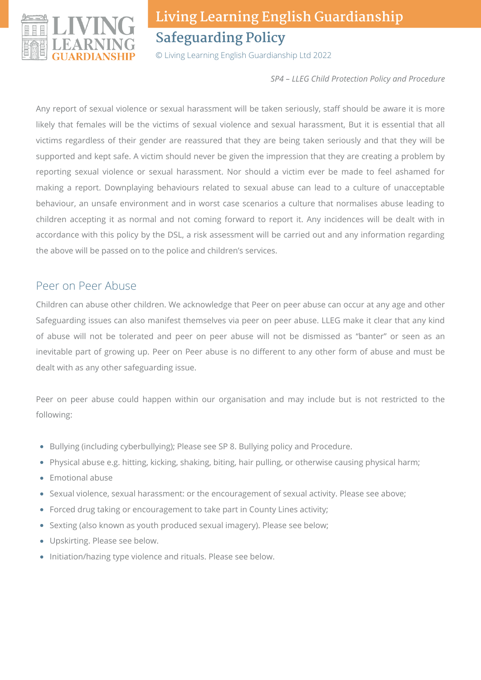

© Living Learning English Guardianship Ltd 2022

*SP4 – LLEG Child Protection Policy and Procedure*

Any report of sexual violence or sexual harassment will be taken seriously, staff should be aware it is more likely that females will be the victims of sexual violence and sexual harassment, But it is essential that all victims regardless of their gender are reassured that they are being taken seriously and that they will be supported and kept safe. A victim should never be given the impression that they are creating a problem by reporting sexual violence or sexual harassment. Nor should a victim ever be made to feel ashamed for making a report. Downplaying behaviours related to sexual abuse can lead to a culture of unacceptable behaviour, an unsafe environment and in worst case scenarios a culture that normalises abuse leading to children accepting it as normal and not coming forward to report it. Any incidences will be dealt with in accordance with this policy by the DSL, a risk assessment will be carried out and any information regarding the above will be passed on to the police and children's services.

### Peer on Peer Abuse

Children can abuse other children. We acknowledge that Peer on peer abuse can occur at any age and other Safeguarding issues can also manifest themselves via peer on peer abuse. LLEG make it clear that any kind of abuse will not be tolerated and peer on peer abuse will not be dismissed as "banter" or seen as an inevitable part of growing up. Peer on Peer abuse is no different to any other form of abuse and must be dealt with as any other safeguarding issue.

Peer on peer abuse could happen within our organisation and may include but is not restricted to the following:

- Bullying (including cyberbullying); Please see SP 8. Bullying policy and Procedure.
- Physical abuse e.g. hitting, kicking, shaking, biting, hair pulling, or otherwise causing physical harm;  $\bullet$
- Emotional abuse
- Sexual violence, sexual harassment: or the encouragement of sexual activity. Please see above;
- Forced drug taking or encouragement to take part in County Lines activity;
- Sexting (also known as youth produced sexual imagery). Please see below;
- Upskirting. Please see below.
- Initiation/hazing type violence and rituals. Please see below.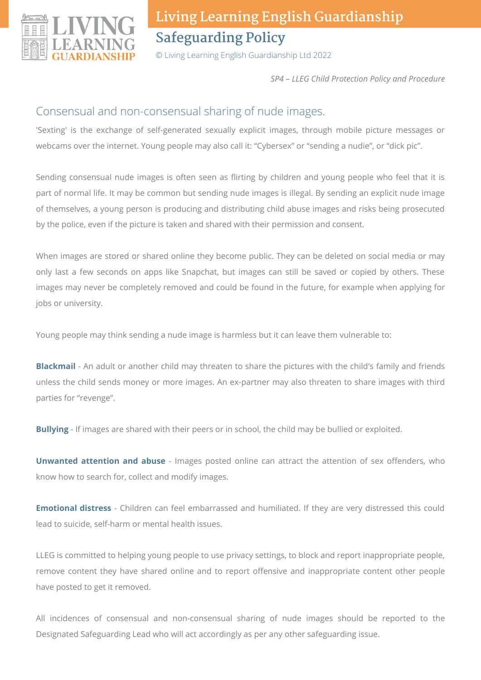

© Living Learning English Guardianship Ltd 2022

*SP4 – LLEG Child Protection Policy and Procedure*

### Consensual and non-consensual sharing of nude images.

'Sexting' is the exchange of self-generated sexually explicit images, through mobile picture messages or webcams over the internet. Young people may also call it: "Cybersex" or "sending a nudie", or "dick pic".

Sending consensual nude images is often seen as flirting by children and young people who feel that it is part of normal life. It may be common but sending nude images is illegal. By sending an explicit nude image of themselves, a young person is producing and distributing child abuse images and risks being prosecuted by the police, even if the picture is taken and shared with their permission and consent.

When images are stored or shared online they become public. They can be deleted on social media or may only last a few seconds on apps like Snapchat, but images can still be saved or copied by others. These images may never be completely removed and could be found in the future, for example when applying for jobs or university.

Young people may think sending a nude image is harmless but it can leave them vulnerable to:

**Blackmail** - An adult or another child may threaten to share the pictures with the child's family and friends unless the child sends money or more images. An ex-partner may also threaten to share images with third parties for "revenge".

**Bullying** - If images are shared with their peers or in school, the child may be bullied or exploited.

**Unwanted attention and abuse** - Images posted online can attract the attention of sex offenders, who know how to search for, collect and modify images.

**Emotional distress** - Children can feel embarrassed and humiliated. If they are very distressed this could lead to suicide, self-harm or mental health issues.

LLEG is committed to helping young people to use privacy settings, to block and report inappropriate people, remove content they have shared online and to report offensive and inappropriate content other people have posted to get it removed.

All incidences of consensual and non-consensual sharing of nude images should be reported to the Designated Safeguarding Lead who will act accordingly as per any other safeguarding issue.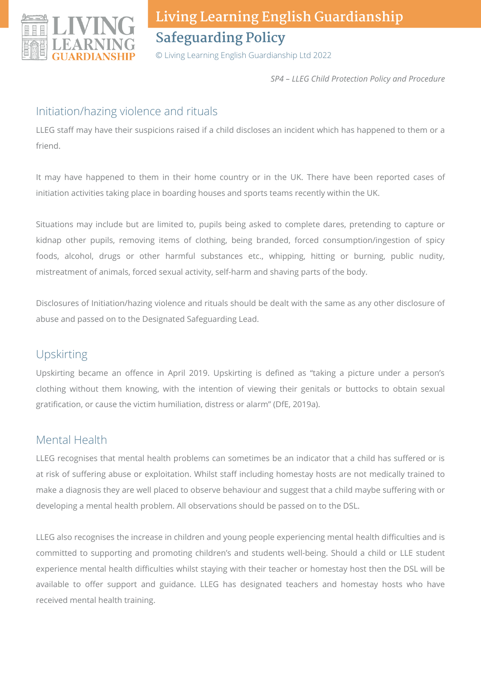

© Living Learning English Guardianship Ltd 2022

*SP4 – LLEG Child Protection Policy and Procedure*

### Initiation/hazing violence and rituals

LLEG staff may have their suspicions raised if a child discloses an incident which has happened to them or a friend.

It may have happened to them in their home country or in the UK. There have been reported cases of initiation activities taking place in boarding houses and sports teams recently within the UK.

Situations may include but are limited to, pupils being asked to complete dares, pretending to capture or kidnap other pupils, removing items of clothing, being branded, forced consumption/ingestion of spicy foods, alcohol, drugs or other harmful substances etc., whipping, hitting or burning, public nudity, mistreatment of animals, forced sexual activity, self-harm and shaving parts of the body.

Disclosures of Initiation/hazing violence and rituals should be dealt with the same as any other disclosure of abuse and passed on to the Designated Safeguarding Lead.

## Upskirting

Upskirting became an offence in April 2019. Upskirting is defined as "taking a picture under a person's clothing without them knowing, with the intention of viewing their genitals or buttocks to obtain sexual gratification, or cause the victim humiliation, distress or alarm" (DfE, 2019a).

### Mental Health

LLEG recognises that mental health problems can sometimes be an indicator that a child has suffered or is at risk of suffering abuse or exploitation. Whilst staff including homestay hosts are not medically trained to make a diagnosis they are well placed to observe behaviour and suggest that a child maybe suffering with or developing a mental health problem. All observations should be passed on to the DSL.

LLEG also recognises the increase in children and young people experiencing mental health difficulties and is committed to supporting and promoting children's and students well-being. Should a child or LLE student experience mental health difficulties whilst staying with their teacher or homestay host then the DSL will be available to offer support and guidance. LLEG has designated teachers and homestay hosts who have received mental health training.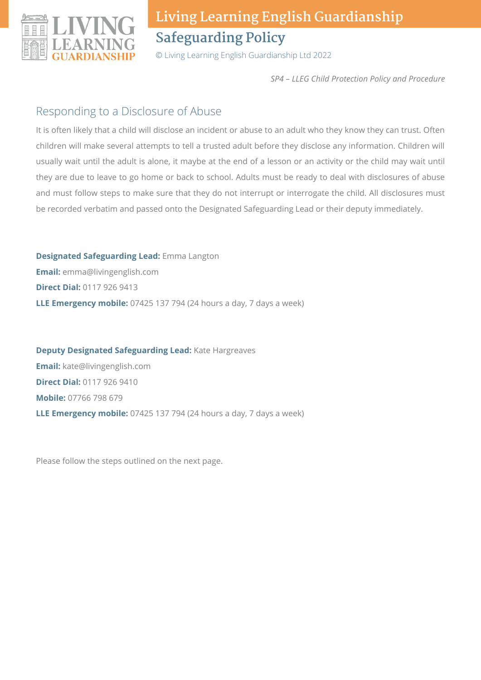

© Living Learning English Guardianship Ltd 2022

*SP4 – LLEG Child Protection Policy and Procedure*

### Responding to a Disclosure of Abuse

It is often likely that a child will disclose an incident or abuse to an adult who they know they can trust. Often children will make several attempts to tell a trusted adult before they disclose any information. Children will usually wait until the adult is alone, it maybe at the end of a lesson or an activity or the child may wait until they are due to leave to go home or back to school. Adults must be ready to deal with disclosures of abuse and must follow steps to make sure that they do not interrupt or interrogate the child. All disclosures must be recorded verbatim and passed onto the Designated Safeguarding Lead or their deputy immediately.

**Designated Safeguarding Lead:** Emma Langton **Email:** emma@livingenglish.com **Direct Dial:** 0117 926 9413 **LLE Emergency mobile:** 07425 137 794 (24 hours a day, 7 days a week)

**Deputy Designated Safeguarding Lead:** Kate Hargreaves **Email:** kate@livingenglish.com **Direct Dial:** 0117 926 9410 **Mobile:** 07766 798 679 **LLE Emergency mobile:** 07425 137 794 (24 hours a day, 7 days a week)

Please follow the steps outlined on the next page.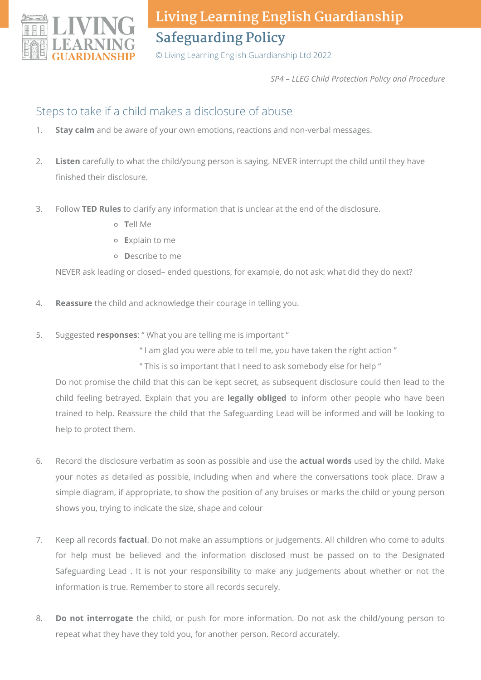

© Living Learning English Guardianship Ltd 2022

*SP4 – LLEG Child Protection Policy and Procedure*

### Steps to take if a child makes a disclosure of abuse

- **Stay calm** and be aware of your own emotions, reactions and non-verbal messages. 1.
- **Listen** carefully to what the child/young person is saying. NEVER interrupt the child until they have finished their disclosure. 2.
- Follow **TED Rules** to clarify any information that is unclear at the end of the disclosure. 3.
	- **T**ell Me
	- **E**xplain to me
	- **D**escribe to me

NEVER ask leading or closed– ended questions, for example, do not ask: what did they do next?

- **Reassure** the child and acknowledge their courage in telling you. 4.
- Suggested **responses**: " What you are telling me is important " 5.
	- " I am glad you were able to tell me, you have taken the right action "
	- " This is so important that I need to ask somebody else for help "

Do not promise the child that this can be kept secret, as subsequent disclosure could then lead to the child feeling betrayed. Explain that you are **legally obliged** to inform other people who have been trained to help. Reassure the child that the Safeguarding Lead will be informed and will be looking to help to protect them.

- Record the disclosure verbatim as soon as possible and use the **actual words** used by the child. Make your notes as detailed as possible, including when and where the conversations took place. Draw a simple diagram, if appropriate, to show the position of any bruises or marks the child or young person shows you, trying to indicate the size, shape and colour 6.
- Keep all records **factual**. Do not make an assumptions or judgements. All children who come to adults for help must be believed and the information disclosed must be passed on to the Designated Safeguarding Lead . It is not your responsibility to make any judgements about whether or not the information is true. Remember to store all records securely. 7.
- **Do not interrogate** the child, or push for more information. Do not ask the child/young person to repeat what they have they told you, for another person. Record accurately. 8.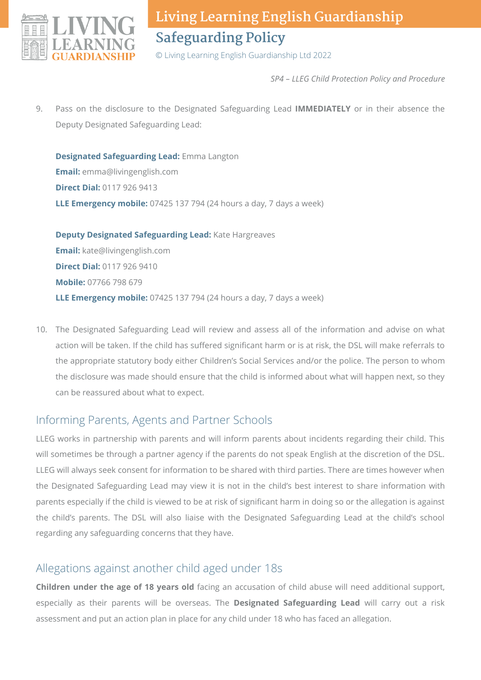

© Living Learning English Guardianship Ltd 2022

*SP4 – LLEG Child Protection Policy and Procedure*

Pass on the disclosure to the Designated Safeguarding Lead **IMMEDIATELY** or in their absence the Deputy Designated Safeguarding Lead: 9.

**Designated Safeguarding Lead:** Emma Langton **Email:** emma@livingenglish.com **Direct Dial:** 0117 926 9413 **LLE Emergency mobile:** 07425 137 794 (24 hours a day, 7 days a week)

**Deputy Designated Safeguarding Lead:** Kate Hargreaves **Email:** kate@livingenglish.com **Direct Dial:** 0117 926 9410 **Mobile:** 07766 798 679 **LLE Emergency mobile:** 07425 137 794 (24 hours a day, 7 days a week)

The Designated Safeguarding Lead will review and assess all of the information and advise on what 10. action will be taken. If the child has suffered significant harm or is at risk, the DSL will make referrals to the appropriate statutory body either Children's Social Services and/or the police. The person to whom the disclosure was made should ensure that the child is informed about what will happen next, so they can be reassured about what to expect.

### Informing Parents, Agents and Partner Schools

LLEG works in partnership with parents and will inform parents about incidents regarding their child. This will sometimes be through a partner agency if the parents do not speak English at the discretion of the DSL. LLEG will always seek consent for information to be shared with third parties. There are times however when the Designated Safeguarding Lead may view it is not in the child's best interest to share information with parents especially if the child is viewed to be at risk of significant harm in doing so or the allegation is against the child's parents. The DSL will also liaise with the Designated Safeguarding Lead at the child's school regarding any safeguarding concerns that they have.

### Allegations against another child aged under 18s

**Children under the age of 18 years old** facing an accusation of child abuse will need additional support, especially as their parents will be overseas. The **Designated Safeguarding Lead** will carry out a risk assessment and put an action plan in place for any child under 18 who has faced an allegation.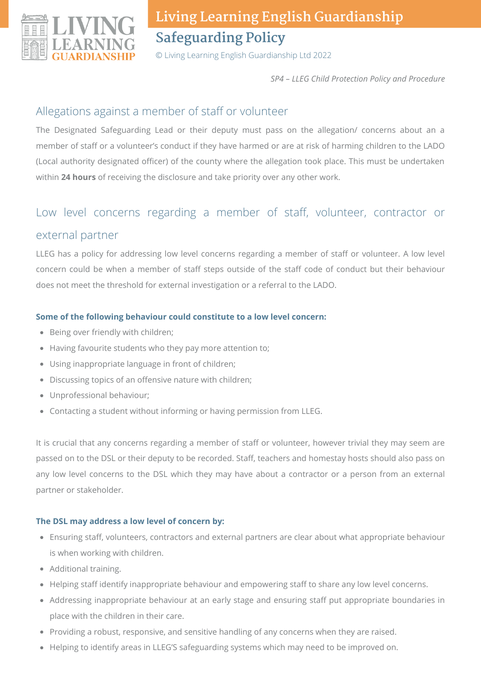

© Living Learning English Guardianship Ltd 2022

*SP4 – LLEG Child Protection Policy and Procedure*

### Allegations against a member of staff or volunteer

The Designated Safeguarding Lead or their deputy must pass on the allegation/ concerns about an a member of staff or a volunteer's conduct if they have harmed or are at risk of harming children to the LADO (Local authority designated officer) of the county where the allegation took place. This must be undertaken within **24 hours** of receiving the disclosure and take priority over any other work.

## Low level concerns regarding a member of staff, volunteer, contractor or external partner

LLEG has a policy for addressing low level concerns regarding a member of staff or volunteer. A low level concern could be when a member of staff steps outside of the staff code of conduct but their behaviour does not meet the threshold for external investigation or a referral to the LADO.

#### **Some of the following behaviour could constitute to a low level concern:**

- Being over friendly with children;
- Having favourite students who they pay more attention to;
- Using inappropriate language in front of children;
- Discussing topics of an offensive nature with children;
- Unprofessional behaviour;
- Contacting a student without informing or having permission from LLEG.

It is crucial that any concerns regarding a member of staff or volunteer, however trivial they may seem are passed on to the DSL or their deputy to be recorded. Staff, teachers and homestay hosts should also pass on any low level concerns to the DSL which they may have about a contractor or a person from an external partner or stakeholder.

#### **The DSL may address a low level of concern by:**

- Ensuring staff, volunteers, contractors and external partners are clear about what appropriate behaviour is when working with children.
- Additional training.
- Helping staff identify inappropriate behaviour and empowering staff to share any low level concerns.
- Addressing inappropriate behaviour at an early stage and ensuring staff put appropriate boundaries in place with the children in their care.
- Providing a robust, responsive, and sensitive handling of any concerns when they are raised.
- Helping to identify areas in LLEG'S safeguarding systems which may need to be improved on.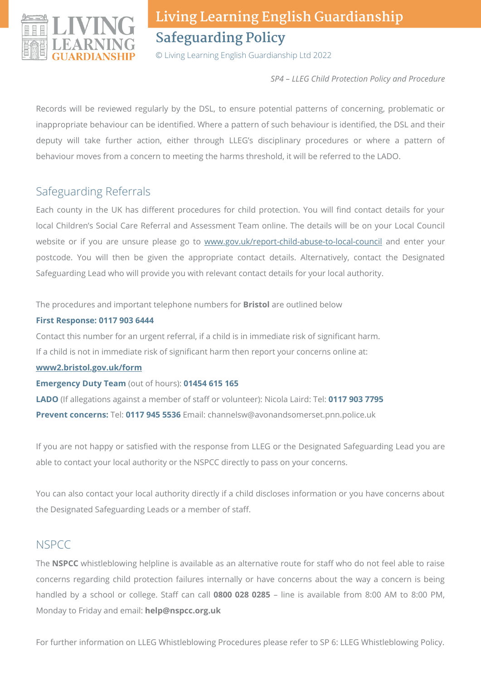

© Living Learning English Guardianship Ltd 2022

*SP4 – LLEG Child Protection Policy and Procedure*

Records will be reviewed regularly by the DSL, to ensure potential patterns of concerning, problematic or inappropriate behaviour can be identified. Where a pattern of such behaviour is identified, the DSL and their deputy will take further action, either through LLEG's disciplinary procedures or where a pattern of behaviour moves from a concern to meeting the harms threshold, it will be referred to the LADO.

### Safeguarding Referrals

Each county in the UK has different procedures for child protection. You will find contact details for your local Children's Social Care Referral and Assessment Team online. The details will be on your Local Council website or if you are unsure please go to [www.gov.uk/report-child-abuse-to-local-council](http://www.gov.uk/report-child-abuse-to-local-council) and enter your postcode. You will then be given the appropriate contact details. Alternatively, contact the Designated Safeguarding Lead who will provide you with relevant contact details for your local authority.

The procedures and important telephone numbers for **Bristol** are outlined below

#### **First Response: 0117 903 6444**

Contact this number for an urgent referral, if a child is in immediate risk of significant harm.

If a child is not in immediate risk of significant harm then report your concerns online at:

**[www2.bristol.gov.uk/form](http://www2.bristol.gov.uk/form)**

**Emergency Duty Team** (out of hours): **01454 615 165**

**LADO** (If allegations against a member of staff or volunteer): Nicola Laird: Tel: **0117 903 7795 Prevent concerns:** Tel: **0117 945 5536** Email: channelsw@avonandsomerset.pnn.police.uk

If you are not happy or satisfied with the response from LLEG or the Designated Safeguarding Lead you are able to contact your local authority or the NSPCC directly to pass on your concerns.

You can also contact your local authority directly if a child discloses information or you have concerns about the Designated Safeguarding Leads or a member of staff.

## **NSPCC**

The **NSPCC** whistleblowing helpline is available as an alternative route for staff who do not feel able to raise concerns regarding child protection failures internally or have concerns about the way a concern is being handled by a school or college. Staff can call **0800 028 0285** – line is available from 8:00 AM to 8:00 PM, Monday to Friday and email: **help@nspcc.org.uk**

For further information on LLEG Whistleblowing Procedures please refer to SP 6: LLEG Whistleblowing Policy.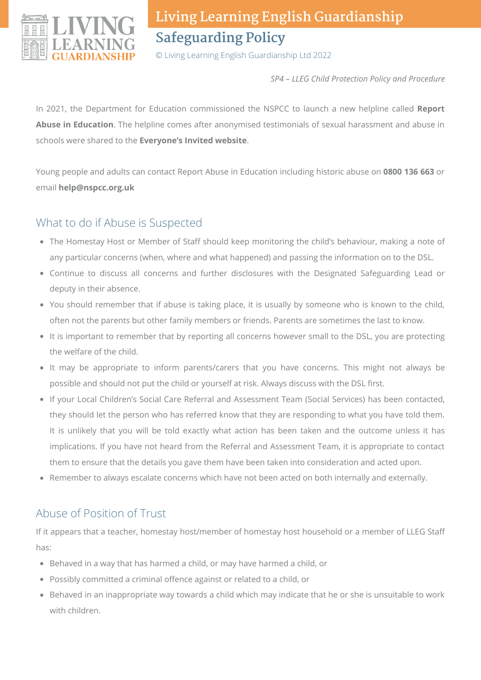

© Living Learning English Guardianship Ltd 2022

*SP4 – LLEG Child Protection Policy and Procedure*

In 2021, the Department for Education commissioned the NSPCC to launch a new helpline called **Report Abuse in Education**. The helpline comes after anonymised testimonials of sexual harassment and abuse in schools were shared to the **Everyone's Invited website**.

Young people and adults can contact Report Abuse in Education including historic abuse on **0800 136 663** or email **help@nspcc.org.uk**

## What to do if Abuse is Suspected

- The Homestay Host or Member of Staff should keep monitoring the child's behaviour, making a note of any particular concerns (when, where and what happened) and passing the information on to the DSL.
- Continue to discuss all concerns and further disclosures with the Designated Safeguarding Lead or deputy in their absence.
- You should remember that if abuse is taking place, it is usually by someone who is known to the child, often not the parents but other family members or friends. Parents are sometimes the last to know.
- It is important to remember that by reporting all concerns however small to the DSL, you are protecting the welfare of the child.
- It may be appropriate to inform parents/carers that you have concerns. This might not always be possible and should not put the child or yourself at risk. Always discuss with the DSL first.
- If your Local Children's Social Care Referral and Assessment Team (Social Services) has been contacted, they should let the person who has referred know that they are responding to what you have told them. It is unlikely that you will be told exactly what action has been taken and the outcome unless it has implications. If you have not heard from the Referral and Assessment Team, it is appropriate to contact them to ensure that the details you gave them have been taken into consideration and acted upon.
- Remember to always escalate concerns which have not been acted on both internally and externally.

## Abuse of Position of Trust

If it appears that a teacher, homestay host/member of homestay host household or a member of LLEG Staff has:

- Behaved in a way that has harmed a child, or may have harmed a child, or
- Possibly committed a criminal offence against or related to a child, or
- Behaved in an inappropriate way towards a child which may indicate that he or she is unsuitable to work with children.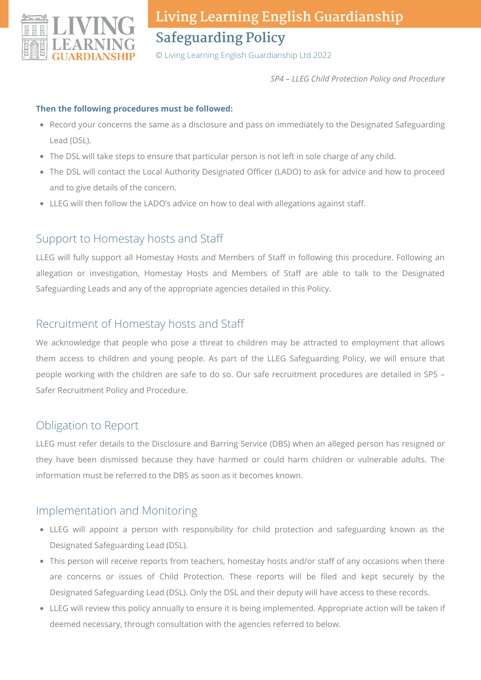

© Living Learning English Guardianship Ltd 2022

*SP4 – LLEG Child Protection Policy and Procedure*

#### **Then the following procedures must be followed:**

- Record your concerns the same as a disclosure and pass on immediately to the Designated Safeguarding Lead (DSL).
- The DSL will take steps to ensure that particular person is not left in sole charge of any child.
- The DSL will contact the Local Authority Designated Officer (LADO) to ask for advice and how to proceed and to give details of the concern.
- LLEG will then follow the LADO's advice on how to deal with allegations against staff.

#### Support to Homestay hosts and Staff

LLEG will fully support all Homestay Hosts and Members of Staff in following this procedure. Following an allegation or investigation, Homestay Hosts and Members of Staff are able to talk to the Designated Safeguarding Leads and any of the appropriate agencies detailed in this Policy.

#### Recruitment of Homestay hosts and Staff

We acknowledge that people who pose a threat to children may be attracted to employment that allows them access to children and young people. As part of the LLEG Safeguarding Policy, we will ensure that people working with the children are safe to do so. Our safe recruitment procedures are detailed in SP5 – Safer Recruitment Policy and Procedure.

#### Obligation to Report

LLEG must refer details to the Disclosure and Barring Service (DBS) when an alleged person has resigned or they have been dismissed because they have harmed or could harm children or vulnerable adults. The information must be referred to the DBS as soon as it becomes known.

#### Implementation and Monitoring

- LLEG will appoint a person with responsibility for child protection and safeguarding known as the Designated Safeguarding Lead (DSL).
- This person will receive reports from teachers, homestay hosts and/or staff of any occasions when there are concerns or issues of Child Protection. These reports will be filed and kept securely by the Designated Safeguarding Lead (DSL). Only the DSL and their deputy will have access to these records.
- LLEG will review this policy annually to ensure it is being implemented. Appropriate action will be taken if deemed necessary, through consultation with the agencies referred to below.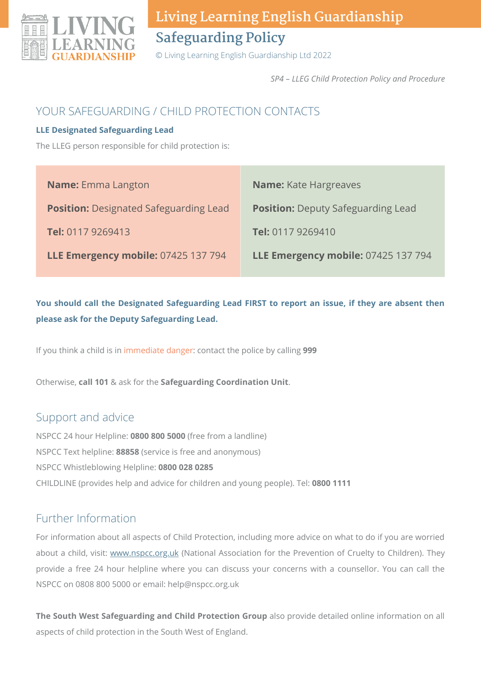

© Living Learning English Guardianship Ltd 2022

*SP4 – LLEG Child Protection Policy and Procedure*

### YOUR SAFEGUARDING / CHILD PROTECTION CONTACTS

#### **LLE Designated Safeguarding Lead**

The LLEG person responsible for child protection is:

| <b>Name:</b> Emma Langton                     | <b>Name:</b> Kate Hargreaves              |
|-----------------------------------------------|-------------------------------------------|
| <b>Position:</b> Designated Safeguarding Lead | <b>Position:</b> Deputy Safeguarding Lead |
| Tel: 0117 9269413                             | Tel: 0117 9269410                         |
| LLE Emergency mobile: 07425 137 794           | LLE Emergency mobile: 07425 137 794       |

**You should call the Designated Safeguarding Lead FIRST to report an issue, if they are absent then please ask for the Deputy Safeguarding Lead.**

If you think a child is in immediate danger: contact the police by calling **999**

Otherwise, **call 101** & ask for the **Safeguarding Coordination Unit**.

### Support and advice

NSPCC 24 hour Helpline: **0800 800 5000** (free from a landline) NSPCC Text helpline: **88858** (service is free and anonymous) NSPCC Whistleblowing Helpline: **0800 028 0285** CHILDLINE (provides help and advice for children and young people). Tel: **0800 1111**

### Further Information

For information about all aspects of Child Protection, including more advice on what to do if you are worried about a child, visit: [www.nspcc.org.uk](http://www.nspcc.org.uk/) (National Association for the Prevention of Cruelty to Children). They provide a free 24 hour helpline where you can discuss your concerns with a counsellor. You can call the NSPCC on 0808 800 5000 or email: help@nspcc.org.uk

**The South West Safeguarding and Child Protection Group** also provide detailed online information on all aspects of child protection in the South West of England.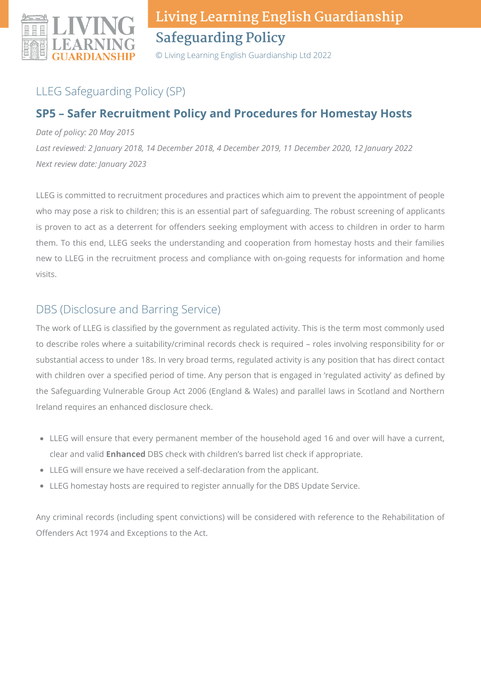

© Living Learning English Guardianship Ltd 2022

## LLEG Safeguarding Policy (SP)

### **SP5 – Safer Recruitment Policy and Procedures for Homestay Hosts**

*Date of policy: 20 May 2015*

*Last reviewed: 2 January 2018, 14 December 2018, 4 December 2019, 11 December 2020, 12 January 2022 Next review date: January 2023*

LLEG is committed to recruitment procedures and practices which aim to prevent the appointment of people who may pose a risk to children; this is an essential part of safeguarding. The robust screening of applicants is proven to act as a deterrent for offenders seeking employment with access to children in order to harm them. To this end, LLEG seeks the understanding and cooperation from homestay hosts and their families new to LLEG in the recruitment process and compliance with on-going requests for information and home visits.

### DBS (Disclosure and Barring Service)

The work of LLEG is classified by the government as regulated activity. This is the term most commonly used to describe roles where a suitability/criminal records check is required – roles involving responsibility for or substantial access to under 18s. In very broad terms, regulated activity is any position that has direct contact with children over a specified period of time. Any person that is engaged in 'regulated activity' as defined by the Safeguarding Vulnerable Group Act 2006 (England & Wales) and parallel laws in Scotland and Northern Ireland requires an enhanced disclosure check.

- LLEG will ensure that every permanent member of the household aged 16 and over will have a current, clear and valid **Enhanced** DBS check with children's barred list check if appropriate.
- LLEG will ensure we have received a self-declaration from the applicant.
- LLEG homestay hosts are required to register annually for the DBS Update Service.

Any criminal records (including spent convictions) will be considered with reference to the Rehabilitation of Offenders Act 1974 and Exceptions to the Act.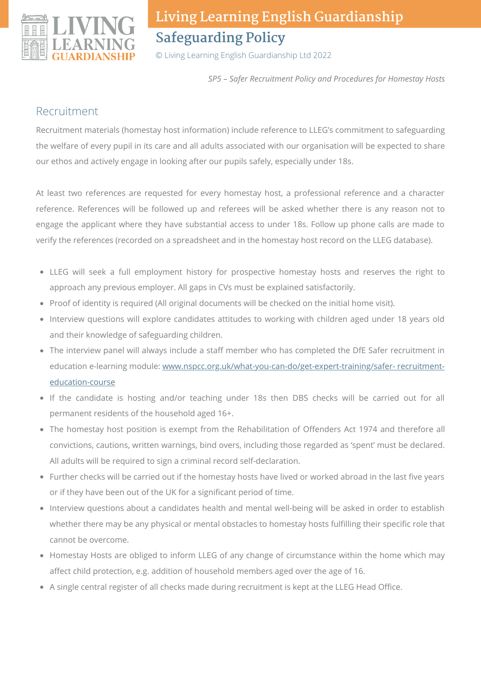

© Living Learning English Guardianship Ltd 2022

*SP5 – Safer Recruitment Policy and Procedures for Homestay Hosts*

#### Recruitment

Recruitment materials (homestay host information) include reference to LLEG's commitment to safeguarding the welfare of every pupil in its care and all adults associated with our organisation will be expected to share our ethos and actively engage in looking after our pupils safely, especially under 18s.

At least two references are requested for every homestay host, a professional reference and a character reference. References will be followed up and referees will be asked whether there is any reason not to engage the applicant where they have substantial access to under 18s. Follow up phone calls are made to verify the references (recorded on a spreadsheet and in the homestay host record on the LLEG database).

- LLEG will seek a full employment history for prospective homestay hosts and reserves the right to approach any previous employer. All gaps in CVs must be explained satisfactorily.
- Proof of identity is required (All original documents will be checked on the initial home visit).
- Interview questions will explore candidates attitudes to working with children aged under 18 years old and their knowledge of safeguarding children.
- The interview panel will always include a staff member who has completed the DfE Safer recruitment in education e-learning module: [www.nspcc.org.uk/what-you-can-do/get-expert-training/safer-](http://www.nspcc.org.uk/what-you-can-do/get-expert-training/safer-%20recruitment-education-course) recruitmenteducation-course
- If the candidate is hosting and/or teaching under 18s then DBS checks will be carried out for all permanent residents of the household aged 16+.
- The homestay host position is exempt from the Rehabilitation of Offenders Act 1974 and therefore all convictions, cautions, written warnings, bind overs, including those regarded as 'spent' must be declared. All adults will be required to sign a criminal record self-declaration.
- Further checks will be carried out if the homestay hosts have lived or worked abroad in the last five years or if they have been out of the UK for a significant period of time.
- Interview questions about a candidates health and mental well-being will be asked in order to establish whether there may be any physical or mental obstacles to homestay hosts fulfilling their specific role that cannot be overcome.
- Homestay Hosts are obliged to inform LLEG of any change of circumstance within the home which may affect child protection, e.g. addition of household members aged over the age of 16.
- A single central register of all checks made during recruitment is kept at the LLEG Head Office.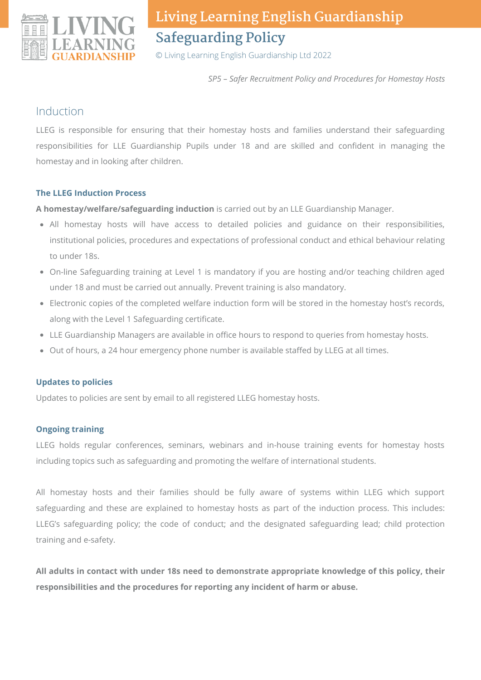

© Living Learning English Guardianship Ltd 2022

*SP5 – Safer Recruitment Policy and Procedures for Homestay Hosts*

#### Induction

LLEG is responsible for ensuring that their homestay hosts and families understand their safeguarding responsibilities for LLE Guardianship Pupils under 18 and are skilled and confident in managing the homestay and in looking after children.

#### **The LLEG Induction Process**

**A homestay/welfare/safeguarding induction** is carried out by an LLE Guardianship Manager.

- All homestay hosts will have access to detailed policies and guidance on their responsibilities, institutional policies, procedures and expectations of professional conduct and ethical behaviour relating to under 18s.
- On-line Safeguarding training at Level 1 is mandatory if you are hosting and/or teaching children aged under 18 and must be carried out annually. Prevent training is also mandatory.
- Electronic copies of the completed welfare induction form will be stored in the homestay host's records, along with the Level 1 Safeguarding certificate.
- LLE Guardianship Managers are available in office hours to respond to queries from homestay hosts.
- Out of hours, a 24 hour emergency phone number is available staffed by LLEG at all times.

#### **Updates to policies**

Updates to policies are sent by email to all registered LLEG homestay hosts.

#### **Ongoing training**

LLEG holds regular conferences, seminars, webinars and in-house training events for homestay hosts including topics such as safeguarding and promoting the welfare of international students.

All homestay hosts and their families should be fully aware of systems within LLEG which support safeguarding and these are explained to homestay hosts as part of the induction process. This includes: LLEG's safeguarding policy; the code of conduct; and the designated safeguarding lead; child protection training and e-safety.

**All adults in contact with under 18s need to demonstrate appropriate knowledge of this policy, their responsibilities and the procedures for reporting any incident of harm or abuse.**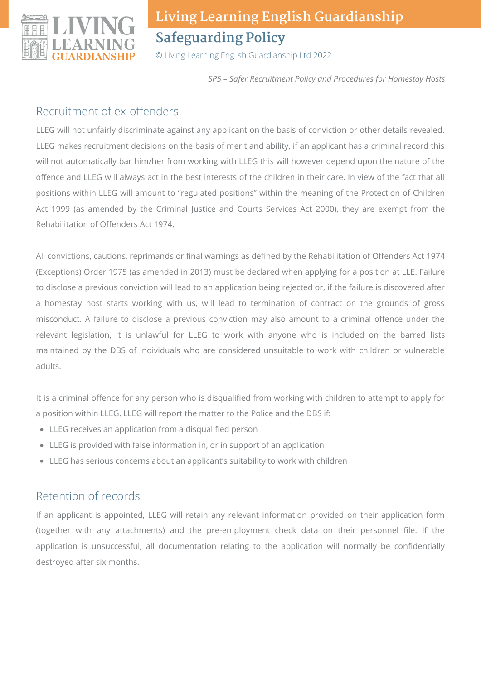

© Living Learning English Guardianship Ltd 2022

*SP5 – Safer Recruitment Policy and Procedures for Homestay Hosts*

#### Recruitment of ex-offenders

LLEG will not unfairly discriminate against any applicant on the basis of conviction or other details revealed. LLEG makes recruitment decisions on the basis of merit and ability, if an applicant has a criminal record this will not automatically bar him/her from working with LLEG this will however depend upon the nature of the offence and LLEG will always act in the best interests of the children in their care. In view of the fact that all positions within LLEG will amount to "regulated positions" within the meaning of the Protection of Children Act 1999 (as amended by the Criminal Justice and Courts Services Act 2000), they are exempt from the Rehabilitation of Offenders Act 1974.

All convictions, cautions, reprimands or final warnings as defined by the Rehabilitation of Offenders Act 1974 (Exceptions) Order 1975 (as amended in 2013) must be declared when applying for a position at LLE. Failure to disclose a previous conviction will lead to an application being rejected or, if the failure is discovered after a homestay host starts working with us, will lead to termination of contract on the grounds of gross misconduct. A failure to disclose a previous conviction may also amount to a criminal offence under the relevant legislation, it is unlawful for LLEG to work with anyone who is included on the barred lists maintained by the DBS of individuals who are considered unsuitable to work with children or vulnerable adults.

It is a criminal offence for any person who is disqualified from working with children to attempt to apply for a position within LLEG. LLEG will report the matter to the Police and the DBS if:

- LLEG receives an application from a disqualified person
- LLEG is provided with false information in, or in support of an application
- LLEG has serious concerns about an applicant's suitability to work with children

### Retention of records

If an applicant is appointed, LLEG will retain any relevant information provided on their application form (together with any attachments) and the pre-employment check data on their personnel file. If the application is unsuccessful, all documentation relating to the application will normally be confidentially destroyed after six months.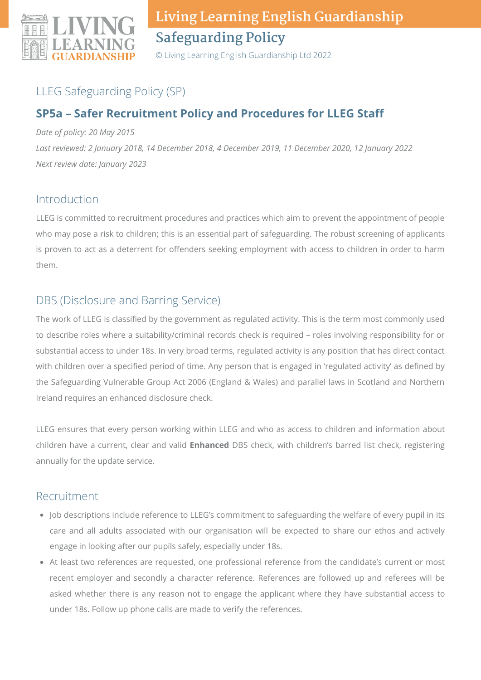

© Living Learning English Guardianship Ltd 2022

### LLEG Safeguarding Policy (SP)

### **SP5a – Safer Recruitment Policy and Procedures for LLEG Staff**

*Date of policy: 20 May 2015*

*Last reviewed: 2 January 2018, 14 December 2018, 4 December 2019, 11 December 2020, 12 January 2022 Next review date: January 2023*

#### Introduction

LLEG is committed to recruitment procedures and practices which aim to prevent the appointment of people who may pose a risk to children; this is an essential part of safeguarding. The robust screening of applicants is proven to act as a deterrent for offenders seeking employment with access to children in order to harm them.

### DBS (Disclosure and Barring Service)

The work of LLEG is classified by the government as regulated activity. This is the term most commonly used to describe roles where a suitability/criminal records check is required – roles involving responsibility for or substantial access to under 18s. In very broad terms, regulated activity is any position that has direct contact with children over a specified period of time. Any person that is engaged in 'regulated activity' as defined by the Safeguarding Vulnerable Group Act 2006 (England & Wales) and parallel laws in Scotland and Northern Ireland requires an enhanced disclosure check.

LLEG ensures that every person working within LLEG and who as access to children and information about children have a current, clear and valid **Enhanced** DBS check, with children's barred list check, registering annually for the update service.

#### Recruitment

- Job descriptions include reference to LLEG's commitment to safeguarding the welfare of every pupil in its care and all adults associated with our organisation will be expected to share our ethos and actively engage in looking after our pupils safely, especially under 18s.
- At least two references are requested, one professional reference from the candidate's current or most recent employer and secondly a character reference. References are followed up and referees will be asked whether there is any reason not to engage the applicant where they have substantial access to under 18s. Follow up phone calls are made to verify the references.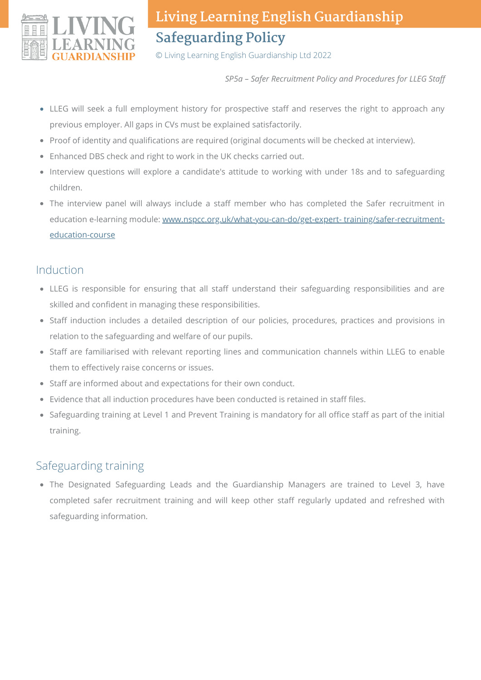

© Living Learning English Guardianship Ltd 2022

*SP5a – Safer Recruitment Policy and Procedures for LLEG Staff*

- LLEG will seek a full employment history for prospective staff and reserves the right to approach any previous employer. All gaps in CVs must be explained satisfactorily.
- Proof of identity and qualifications are required (original documents will be checked at interview).
- Enhanced DBS check and right to work in the UK checks carried out.
- Interview questions will explore a candidate's attitude to working with under 18s and to safeguarding children.
- The interview panel will always include a staff member who has completed the Safer recruitment in education e-learning module: [www.nspcc.org.uk/what-you-can-do/get-expert-](http://www.nspcc.org.uk/what-you-can-do/get-expert-%20training/safer-recruitment-education-course) training/safer-recruitmenteducation-course

#### Induction

- LLEG is responsible for ensuring that all staff understand their safeguarding responsibilities and are skilled and confident in managing these responsibilities.
- Staff induction includes a detailed description of our policies, procedures, practices and provisions in relation to the safeguarding and welfare of our pupils.
- Staff are familiarised with relevant reporting lines and communication channels within LLEG to enable them to effectively raise concerns or issues.
- Staff are informed about and expectations for their own conduct.
- Evidence that all induction procedures have been conducted is retained in staff files.
- Safeguarding training at Level 1 and Prevent Training is mandatory for all office staff as part of the initial training.

### Safeguarding training

• The Designated Safeguarding Leads and the Guardianship Managers are trained to Level 3, have completed safer recruitment training and will keep other staff regularly updated and refreshed with safeguarding information.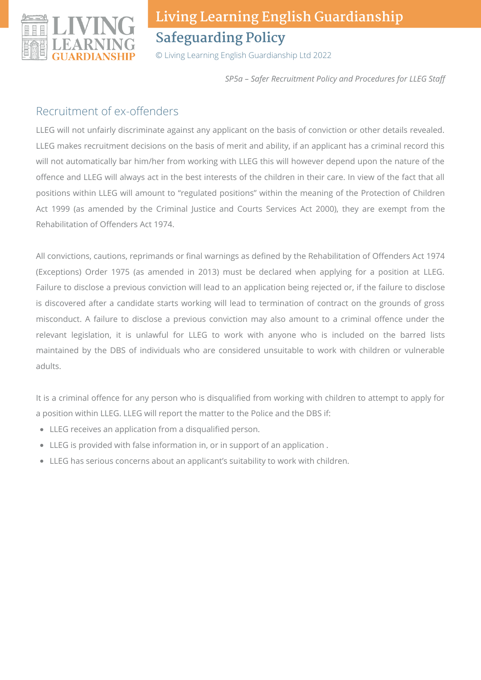

© Living Learning English Guardianship Ltd 2022

*SP5a – Safer Recruitment Policy and Procedures for LLEG Staff*

#### Recruitment of ex-offenders

LLEG will not unfairly discriminate against any applicant on the basis of conviction or other details revealed. LLEG makes recruitment decisions on the basis of merit and ability, if an applicant has a criminal record this will not automatically bar him/her from working with LLEG this will however depend upon the nature of the offence and LLEG will always act in the best interests of the children in their care. In view of the fact that all positions within LLEG will amount to "regulated positions" within the meaning of the Protection of Children Act 1999 (as amended by the Criminal Justice and Courts Services Act 2000), they are exempt from the Rehabilitation of Offenders Act 1974.

All convictions, cautions, reprimands or final warnings as defined by the Rehabilitation of Offenders Act 1974 (Exceptions) Order 1975 (as amended in 2013) must be declared when applying for a position at LLEG. Failure to disclose a previous conviction will lead to an application being rejected or, if the failure to disclose is discovered after a candidate starts working will lead to termination of contract on the grounds of gross misconduct. A failure to disclose a previous conviction may also amount to a criminal offence under the relevant legislation, it is unlawful for LLEG to work with anyone who is included on the barred lists maintained by the DBS of individuals who are considered unsuitable to work with children or vulnerable adults.

It is a criminal offence for any person who is disqualified from working with children to attempt to apply for a position within LLEG. LLEG will report the matter to the Police and the DBS if:

- LLEG receives an application from a disqualified person.
- LLEG is provided with false information in, or in support of an application .
- LLEG has serious concerns about an applicant's suitability to work with children.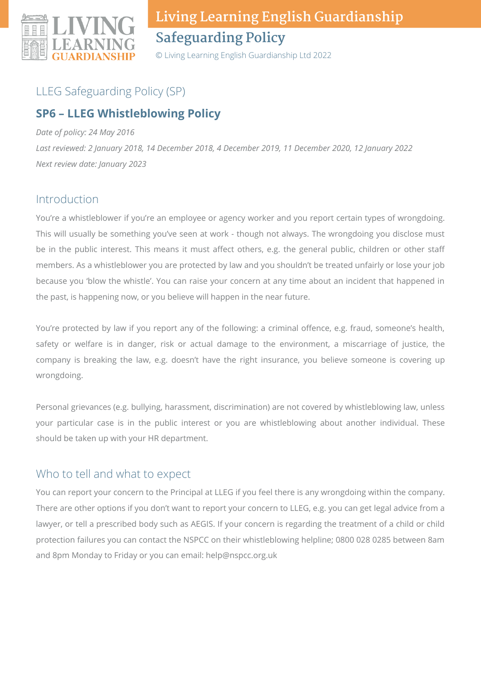

© Living Learning English Guardianship Ltd 2022

### LLEG Safeguarding Policy (SP)

### **SP6 – LLEG Whistleblowing Policy**

#### *Date of policy: 24 May 2016*

*Last reviewed: 2 January 2018, 14 December 2018, 4 December 2019, 11 December 2020, 12 January 2022 Next review date: January 2023*

#### Introduction

You're a whistleblower if you're an employee or agency worker and you report certain types of wrongdoing. This will usually be something you've seen at work - though not always. The wrongdoing you disclose must be in the public interest. This means it must affect others, e.g. the general public, children or other staff members. As a whistleblower you are protected by law and you shouldn't be treated unfairly or lose your job because you 'blow the whistle'. You can raise your concern at any time about an incident that happened in the past, is happening now, or you believe will happen in the near future.

You're protected by law if you report any of the following: a criminal offence, e.g. fraud, someone's health, safety or welfare is in danger, risk or actual damage to the environment, a miscarriage of justice, the company is breaking the law, e.g. doesn't have the right insurance, you believe someone is covering up wrongdoing.

Personal grievances (e.g. bullying, harassment, discrimination) are not covered by whistleblowing law, unless your particular case is in the public interest or you are whistleblowing about another individual. These should be taken up with your HR department.

#### Who to tell and what to expect

You can report your concern to the Principal at LLEG if you feel there is any wrongdoing within the company. There are other options if you don't want to report your concern to LLEG, e.g. you can get legal advice from a lawyer, or tell a prescribed body such as AEGIS. If your concern is regarding the treatment of a child or child protection failures you can contact the NSPCC on their whistleblowing helpline; 0800 028 0285 between 8am and 8pm Monday to Friday or you can email: help@nspcc.org.uk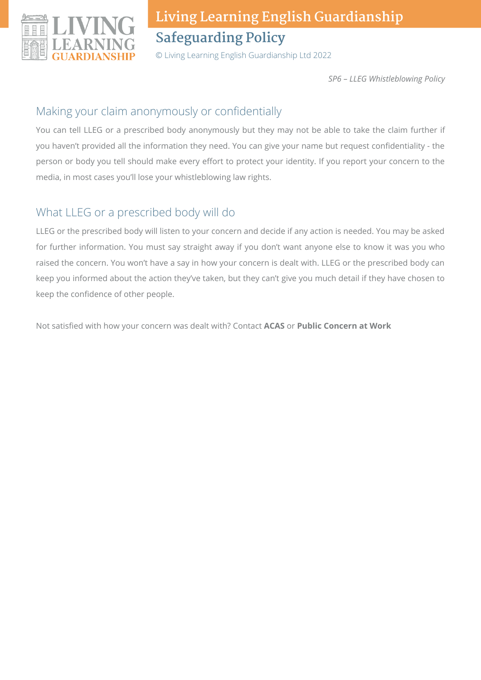

© Living Learning English Guardianship Ltd 2022

*SP6 – LLEG Whistleblowing Policy*

#### Making your claim anonymously or confidentially

You can tell LLEG or a prescribed body anonymously but they may not be able to take the claim further if you haven't provided all the information they need. You can give your name but request confidentiality - the person or body you tell should make every effort to protect your identity. If you report your concern to the media, in most cases you'll lose your whistleblowing law rights.

### What LLEG or a prescribed body will do

LLEG or the prescribed body will listen to your concern and decide if any action is needed. You may be asked for further information. You must say straight away if you don't want anyone else to know it was you who raised the concern. You won't have a say in how your concern is dealt with. LLEG or the prescribed body can keep you informed about the action they've taken, but they can't give you much detail if they have chosen to keep the confidence of other people.

Not satisfied with how your concern was dealt with? Contact **ACAS** or **Public Concern at Work**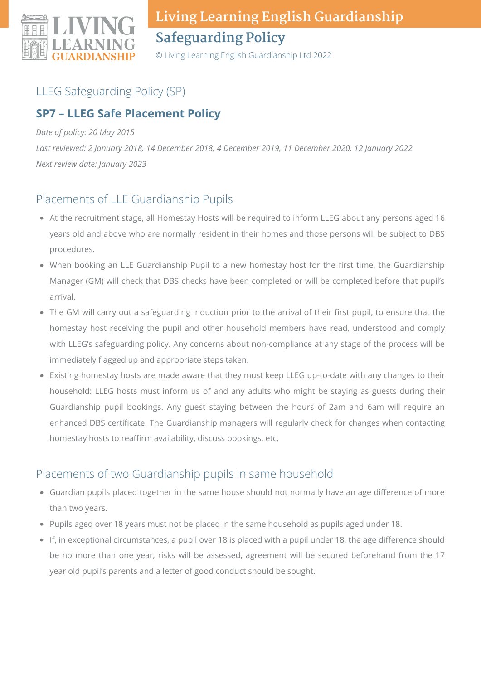

© Living Learning English Guardianship Ltd 2022

## LLEG Safeguarding Policy (SP)

### **SP7 – LLEG Safe Placement Policy**

#### *Date of policy: 20 May 2015*

*Last reviewed: 2 January 2018, 14 December 2018, 4 December 2019, 11 December 2020, 12 January 2022 Next review date: January 2023*

### Placements of LLE Guardianship Pupils

- At the recruitment stage, all Homestay Hosts will be required to inform LLEG about any persons aged 16 years old and above who are normally resident in their homes and those persons will be subject to DBS procedures.
- When booking an LLE Guardianship Pupil to a new homestay host for the first time, the Guardianship Manager (GM) will check that DBS checks have been completed or will be completed before that pupil's arrival.
- The GM will carry out a safeguarding induction prior to the arrival of their first pupil, to ensure that the homestay host receiving the pupil and other household members have read, understood and comply with LLEG's safeguarding policy. Any concerns about non-compliance at any stage of the process will be immediately flagged up and appropriate steps taken.
- Existing homestay hosts are made aware that they must keep LLEG up-to-date with any changes to their household: LLEG hosts must inform us of and any adults who might be staying as guests during their Guardianship pupil bookings. Any guest staying between the hours of 2am and 6am will require an enhanced DBS certificate. The Guardianship managers will regularly check for changes when contacting homestay hosts to reaffirm availability, discuss bookings, etc.

### Placements of two Guardianship pupils in same household

- Guardian pupils placed together in the same house should not normally have an age difference of more than two years.
- Pupils aged over 18 years must not be placed in the same household as pupils aged under 18.
- If, in exceptional circumstances, a pupil over 18 is placed with a pupil under 18, the age difference should be no more than one year, risks will be assessed, agreement will be secured beforehand from the 17 year old pupil's parents and a letter of good conduct should be sought.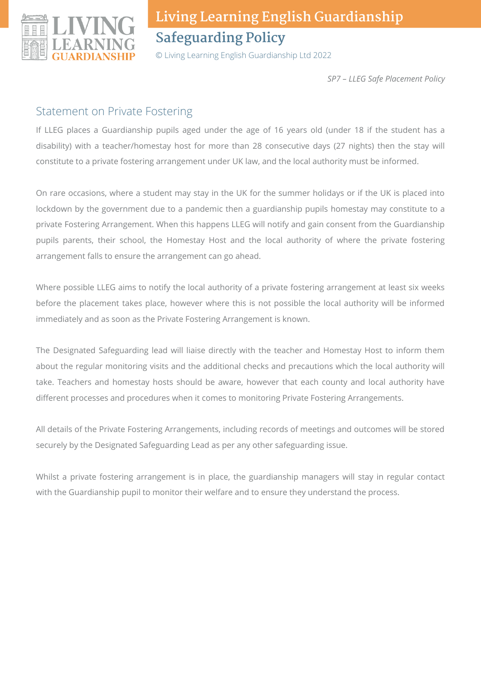

© Living Learning English Guardianship Ltd 2022

*SP7 – LLEG Safe Placement Policy*

#### Statement on Private Fostering

If LLEG places a Guardianship pupils aged under the age of 16 years old (under 18 if the student has a disability) with a teacher/homestay host for more than 28 consecutive days (27 nights) then the stay will constitute to a private fostering arrangement under UK law, and the local authority must be informed.

On rare occasions, where a student may stay in the UK for the summer holidays or if the UK is placed into lockdown by the government due to a pandemic then a guardianship pupils homestay may constitute to a private Fostering Arrangement. When this happens LLEG will notify and gain consent from the Guardianship pupils parents, their school, the Homestay Host and the local authority of where the private fostering arrangement falls to ensure the arrangement can go ahead.

Where possible LLEG aims to notify the local authority of a private fostering arrangement at least six weeks before the placement takes place, however where this is not possible the local authority will be informed immediately and as soon as the Private Fostering Arrangement is known.

The Designated Safeguarding lead will liaise directly with the teacher and Homestay Host to inform them about the regular monitoring visits and the additional checks and precautions which the local authority will take. Teachers and homestay hosts should be aware, however that each county and local authority have different processes and procedures when it comes to monitoring Private Fostering Arrangements.

All details of the Private Fostering Arrangements, including records of meetings and outcomes will be stored securely by the Designated Safeguarding Lead as per any other safeguarding issue.

Whilst a private fostering arrangement is in place, the guardianship managers will stay in regular contact with the Guardianship pupil to monitor their welfare and to ensure they understand the process.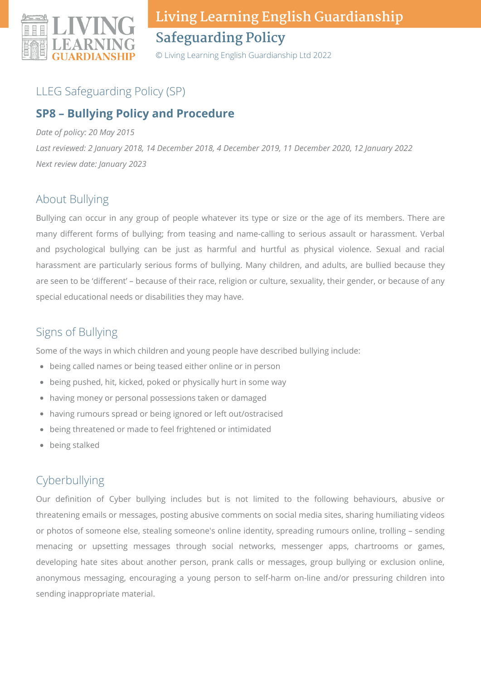

© Living Learning English Guardianship Ltd 2022

### LLEG Safeguarding Policy (SP)

#### **SP8 – Bullying Policy and Procedure**

*Date of policy: 20 May 2015*

*Last reviewed: 2 January 2018, 14 December 2018, 4 December 2019, 11 December 2020, 12 January 2022 Next review date: January 2023*

### About Bullying

Bullying can occur in any group of people whatever its type or size or the age of its members. There are many different forms of bullying; from teasing and name-calling to serious assault or harassment. Verbal and psychological bullying can be just as harmful and hurtful as physical violence. Sexual and racial harassment are particularly serious forms of bullying. Many children, and adults, are bullied because they are seen to be 'different' – because of their race, religion or culture, sexuality, their gender, or because of any special educational needs or disabilities they may have.

### Signs of Bullying

Some of the ways in which children and young people have described bullying include:

- being called names or being teased either online or in person
- being pushed, hit, kicked, poked or physically hurt in some way
- having money or personal possessions taken or damaged
- having rumours spread or being ignored or left out/ostracised
- being threatened or made to feel frightened or intimidated
- being stalked

## Cyberbullying

Our definition of Cyber bullying includes but is not limited to the following behaviours, abusive or threatening emails or messages, posting abusive comments on social media sites, sharing humiliating videos or photos of someone else, stealing someone's online identity, spreading rumours online, trolling – sending menacing or upsetting messages through social networks, messenger apps, chartrooms or games, developing hate sites about another person, prank calls or messages, group bullying or exclusion online, anonymous messaging, encouraging a young person to self-harm on-line and/or pressuring children into sending inappropriate material.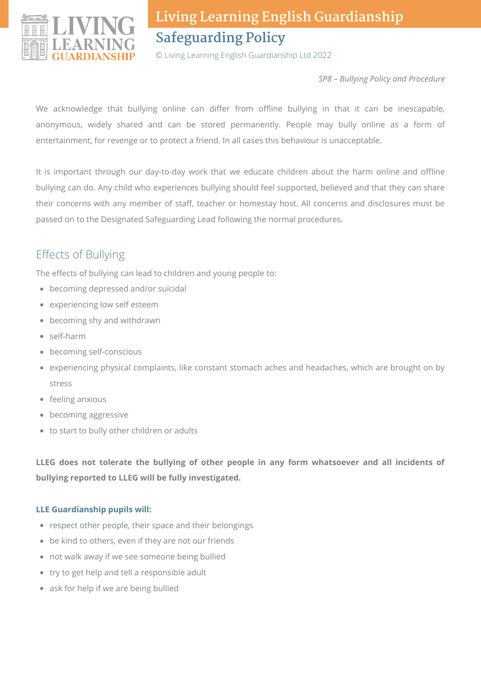

© Living Learning English Guardianship Ltd 2022

*SP8 – Bullying Policy and Procedure*

We acknowledge that bullying online can differ from offline bullying in that it can be inescapable, anonymous, widely shared and can be stored permanently. People may bully online as a form of entertainment, for revenge or to protect a friend. In all cases this behaviour is unacceptable.

It is important through our day-to-day work that we educate children about the harm online and offline bullying can do. Any child who experiences bullying should feel supported, believed and that they can share their concerns with any member of staff, teacher or homestay host. All concerns and disclosures must be passed on to the Designated Safeguarding Lead following the normal procedures.

## Effects of Bullying

The effects of bullying can lead to children and young people to:

- becoming depressed and/or suicidal
- experiencing low self esteem
- becoming shy and withdrawn
- self-harm
- becoming self-conscious
- experiencing physical complaints, like constant stomach aches and headaches, which are brought on by stress
- feeling anxious
- becoming aggressive
- to start to bully other children or adults

**LLEG does not tolerate the bullying of other people in any form whatsoever and all incidents of bullying reported to LLEG will be fully investigated.**

#### **LLE Guardianship pupils will:**

- respect other people, their space and their belongings
- be kind to others, even if they are not our friends
- not walk away if we see someone being bullied
- try to get help and tell a responsible adult
- ask for help if we are being bullied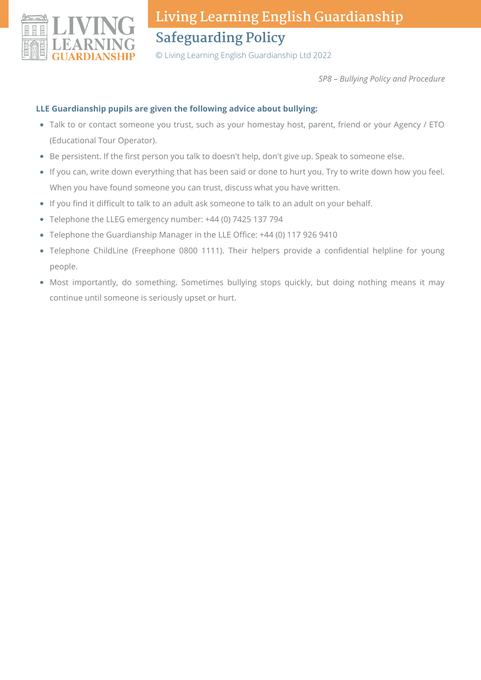

© Living Learning English Guardianship Ltd 2022

*SP8 – Bullying Policy and Procedure*

#### **LLE Guardianship pupils are given the following advice about bullying:**

- Talk to or contact someone you trust, such as your homestay host, parent, friend or your Agency / ETO (Educational Tour Operator).
- Be persistent. If the first person you talk to doesn't help, don't give up. Speak to someone else.
- If you can, write down everything that has been said or done to hurt you. Try to write down how you feel. When you have found someone you can trust, discuss what you have written.
- If you find it difficult to talk to an adult ask someone to talk to an adult on your behalf.
- Telephone the LLEG emergency number: +44 (0) 7425 137 794
- Telephone the Guardianship Manager in the LLE Office: +44 (0) 117 926 9410
- Telephone ChildLine (Freephone 0800 1111). Their helpers provide a confidential helpline for young people.
- Most importantly, do something. Sometimes bullying stops quickly, but doing nothing means it may continue until someone is seriously upset or hurt.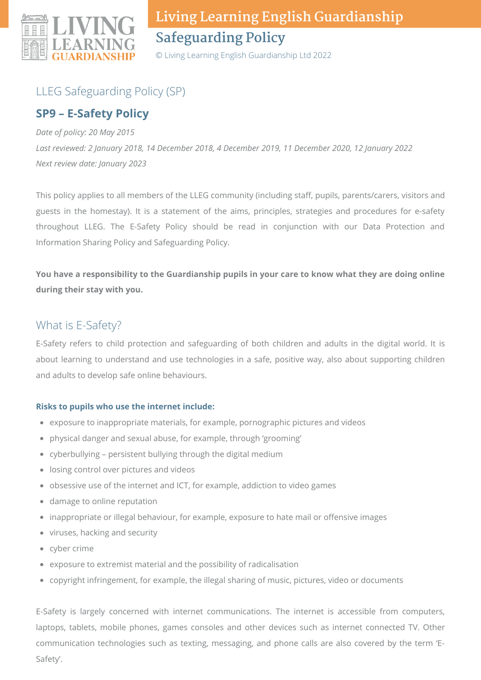

© Living Learning English Guardianship Ltd 2022

## LLEG Safeguarding Policy (SP)

#### **SP9 – E-Safety Policy**

*Date of policy: 20 May 2015 Last reviewed: 2 January 2018, 14 December 2018, 4 December 2019, 11 December 2020, 12 January 2022 Next review date: January 2023*

This policy applies to all members of the LLEG community (including staff, pupils, parents/carers, visitors and guests in the homestay). It is a statement of the aims, principles, strategies and procedures for e-safety throughout LLEG. The E-Safety Policy should be read in conjunction with our Data Protection and Information Sharing Policy and Safeguarding Policy.

You have a responsibility to the Guardianship pupils in your care to know what they are doing online **during their stay with you.**

#### What is E-Safety?

E-Safety refers to child protection and safeguarding of both children and adults in the digital world. It is about learning to understand and use technologies in a safe, positive way, also about supporting children and adults to develop safe online behaviours.

#### **Risks to pupils who use the internet include:**

- exposure to inappropriate materials, for example, pornographic pictures and videos
- physical danger and sexual abuse, for example, through 'grooming'
- cyberbullying persistent bullying through the digital medium
- losing control over pictures and videos
- obsessive use of the internet and ICT, for example, addiction to video games
- damage to online reputation
- inappropriate or illegal behaviour, for example, exposure to hate mail or offensive images
- viruses, hacking and security
- cyber crime
- exposure to extremist material and the possibility of radicalisation
- copyright infringement, for example, the illegal sharing of music, pictures, video or documents

E-Safety is largely concerned with internet communications. The internet is accessible from computers, laptops, tablets, mobile phones, games consoles and other devices such as internet connected TV. Other communication technologies such as texting, messaging, and phone calls are also covered by the term 'E-Safety'.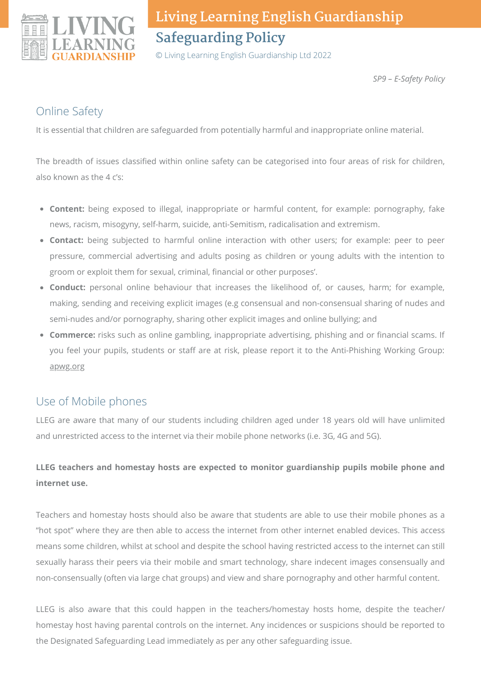

© Living Learning English Guardianship Ltd 2022

*SP9 – E-Safety Policy*

### Online Safety

It is essential that children are safeguarded from potentially harmful and inappropriate online material.

The breadth of issues classified within online safety can be categorised into four areas of risk for children, also known as the 4 c's:

- **Content:** being exposed to illegal, inappropriate or harmful content, for example: pornography, fake news, racism, misogyny, self-harm, suicide, anti-Semitism, radicalisation and extremism.
- **Contact:** being subjected to harmful online interaction with other users; for example: peer to peer pressure, commercial advertising and adults posing as children or young adults with the intention to groom or exploit them for sexual, criminal, financial or other purposes'.
- **Conduct:** personal online behaviour that increases the likelihood of, or causes, harm; for example, making, sending and receiving explicit images (e.g consensual and non-consensual sharing of nudes and semi-nudes and/or pornography, sharing other explicit images and online bullying; and
- **Commerce:** risks such as online gambling, inappropriate advertising, phishing and or financial scams. If you feel your pupils, students or staff are at risk, please report it to the Anti-Phishing Working Group: [apwg.org](https://apwg.org/)

### Use of Mobile phones

LLEG are aware that many of our students including children aged under 18 years old will have unlimited and unrestricted access to the internet via their mobile phone networks (i.e. 3G, 4G and 5G).

#### **LLEG teachers and homestay hosts are expected to monitor guardianship pupils mobile phone and internet use.**

Teachers and homestay hosts should also be aware that students are able to use their mobile phones as a "hot spot" where they are then able to access the internet from other internet enabled devices. This access means some children, whilst at school and despite the school having restricted access to the internet can still sexually harass their peers via their mobile and smart technology, share indecent images consensually and non-consensually (often via large chat groups) and view and share pornography and other harmful content.

LLEG is also aware that this could happen in the teachers/homestay hosts home, despite the teacher/ homestay host having parental controls on the internet. Any incidences or suspicions should be reported to the Designated Safeguarding Lead immediately as per any other safeguarding issue.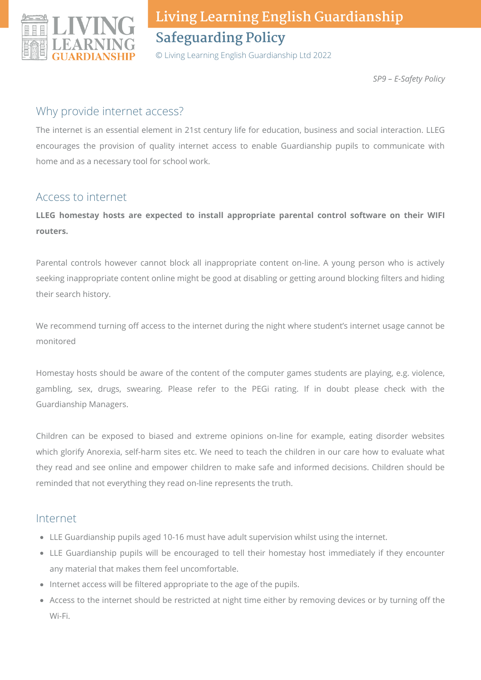

© Living Learning English Guardianship Ltd 2022

*SP9 – E-Safety Policy*

#### Why provide internet access?

The internet is an essential element in 21st century life for education, business and social interaction. LLEG encourages the provision of quality internet access to enable Guardianship pupils to communicate with home and as a necessary tool for school work.

#### Access to internet

**LLEG homestay hosts are expected to install appropriate parental control software on their WIFI routers.**

Parental controls however cannot block all inappropriate content on-line. A young person who is actively seeking inappropriate content online might be good at disabling or getting around blocking filters and hiding their search history.

We recommend turning off access to the internet during the night where student's internet usage cannot be monitored

Homestay hosts should be aware of the content of the computer games students are playing, e.g. violence, gambling, sex, drugs, swearing. Please refer to the PEGi rating. If in doubt please check with the Guardianship Managers.

Children can be exposed to biased and extreme opinions on-line for example, eating disorder websites which glorify Anorexia, self-harm sites etc. We need to teach the children in our care how to evaluate what they read and see online and empower children to make safe and informed decisions. Children should be reminded that not everything they read on-line represents the truth.

#### Internet

- LLE Guardianship pupils aged 10-16 must have adult supervision whilst using the internet.
- LLE Guardianship pupils will be encouraged to tell their homestay host immediately if they encounter any material that makes them feel uncomfortable.
- Internet access will be filtered appropriate to the age of the pupils.
- Access to the internet should be restricted at night time either by removing devices or by turning off the Wi-Fi.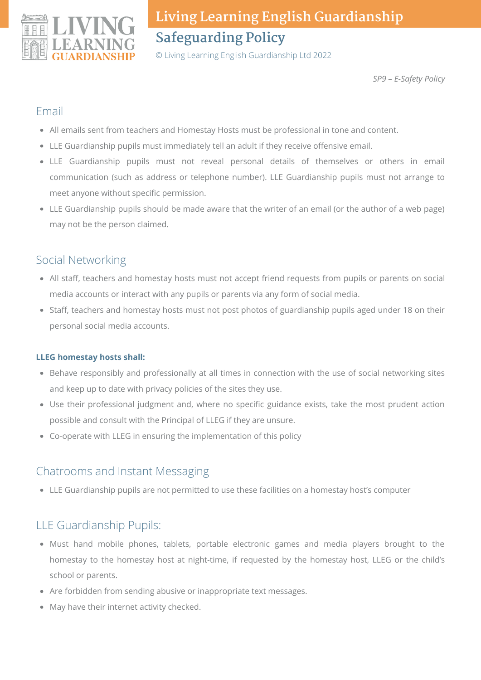

© Living Learning English Guardianship Ltd 2022

*SP9 – E-Safety Policy*

#### Email

- All emails sent from teachers and Homestay Hosts must be professional in tone and content.
- LLE Guardianship pupils must immediately tell an adult if they receive offensive email.
- LLE Guardianship pupils must not reveal personal details of themselves or others in email communication (such as address or telephone number). LLE Guardianship pupils must not arrange to meet anyone without specific permission.
- LLE Guardianship pupils should be made aware that the writer of an email (or the author of a web page) may not be the person claimed.

### Social Networking

- All staff, teachers and homestay hosts must not accept friend requests from pupils or parents on social media accounts or interact with any pupils or parents via any form of social media.
- Staff, teachers and homestay hosts must not post photos of guardianship pupils aged under 18 on their personal social media accounts.

#### **LLEG homestay hosts shall:**

- Behave responsibly and professionally at all times in connection with the use of social networking sites and keep up to date with privacy policies of the sites they use.
- Use their professional judgment and, where no specific guidance exists, take the most prudent action possible and consult with the Principal of LLEG if they are unsure.
- Co-operate with LLEG in ensuring the implementation of this policy

#### Chatrooms and Instant Messaging

LLE Guardianship pupils are not permitted to use these facilities on a homestay host's computer

### LLE Guardianship Pupils:

- Must hand mobile phones, tablets, portable electronic games and media players brought to the homestay to the homestay host at night-time, if requested by the homestay host, LLEG or the child's school or parents.
- Are forbidden from sending abusive or inappropriate text messages.
- May have their internet activity checked.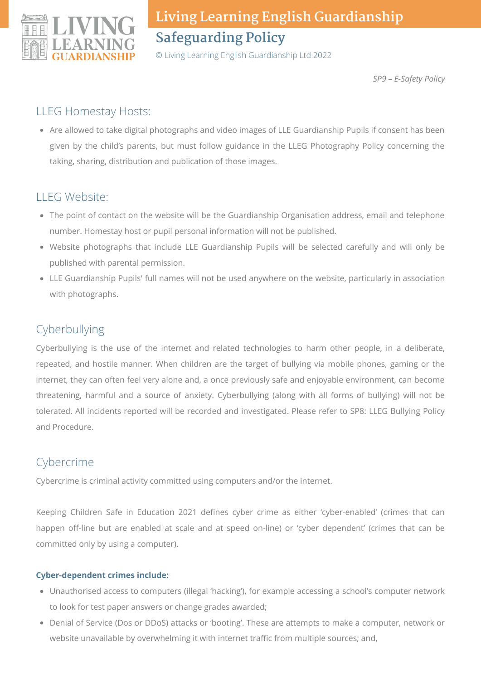

© Living Learning English Guardianship Ltd 2022

*SP9 – E-Safety Policy*

#### LLEG Homestay Hosts:

Are allowed to take digital photographs and video images of LLE Guardianship Pupils if consent has been given by the child's parents, but must follow guidance in the LLEG Photography Policy concerning the taking, sharing, distribution and publication of those images.

### LLEG Website:

- The point of contact on the website will be the Guardianship Organisation address, email and telephone number. Homestay host or pupil personal information will not be published.
- Website photographs that include LLE Guardianship Pupils will be selected carefully and will only be published with parental permission.
- LLE Guardianship Pupils' full names will not be used anywhere on the website, particularly in association with photographs.

## Cyberbullying

Cyberbullying is the use of the internet and related technologies to harm other people, in a deliberate, repeated, and hostile manner. When children are the target of bullying via mobile phones, gaming or the internet, they can often feel very alone and, a once previously safe and enjoyable environment, can become threatening, harmful and a source of anxiety. Cyberbullying (along with all forms of bullying) will not be tolerated. All incidents reported will be recorded and investigated. Please refer to SP8: LLEG Bullying Policy and Procedure.

## Cybercrime

Cybercrime is criminal activity committed using computers and/or the internet.

Keeping Children Safe in Education 2021 defines cyber crime as either 'cyber-enabled' (crimes that can happen off-line but are enabled at scale and at speed on-line) or 'cyber dependent' (crimes that can be committed only by using a computer).

#### **Cyber-dependent crimes include:**

- Unauthorised access to computers (illegal 'hacking'), for example accessing a school's computer network to look for test paper answers or change grades awarded;
- Denial of Service (Dos or DDoS) attacks or 'booting'. These are attempts to make a computer, network or website unavailable by overwhelming it with internet traffic from multiple sources; and,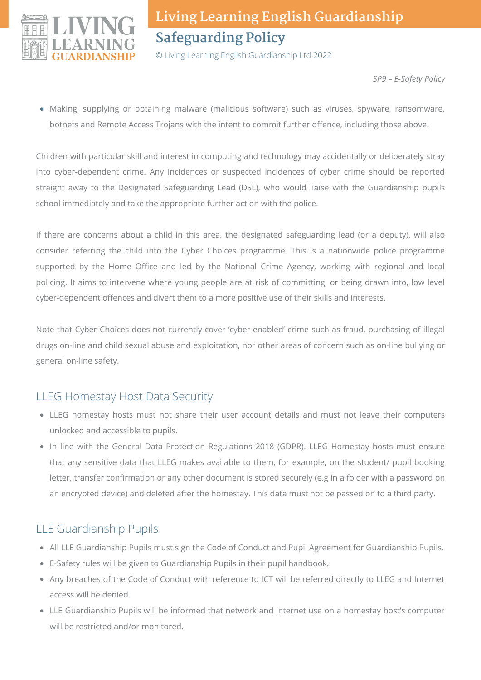

© Living Learning English Guardianship Ltd 2022

*SP9 – E-Safety Policy*

Making, supplying or obtaining malware (malicious software) such as viruses, spyware, ransomware, botnets and Remote Access Trojans with the intent to commit further offence, including those above.

Children with particular skill and interest in computing and technology may accidentally or deliberately stray into cyber-dependent crime. Any incidences or suspected incidences of cyber crime should be reported straight away to the Designated Safeguarding Lead (DSL), who would liaise with the Guardianship pupils school immediately and take the appropriate further action with the police.

If there are concerns about a child in this area, the designated safeguarding lead (or a deputy), will also consider referring the child into the Cyber Choices programme. This is a nationwide police programme supported by the Home Office and led by the National Crime Agency, working with regional and local policing. It aims to intervene where young people are at risk of committing, or being drawn into, low level cyber-dependent offences and divert them to a more positive use of their skills and interests.

Note that Cyber Choices does not currently cover 'cyber-enabled' crime such as fraud, purchasing of illegal drugs on-line and child sexual abuse and exploitation, nor other areas of concern such as on-line bullying or general on-line safety.

### LLEG Homestay Host Data Security

- LLEG homestay hosts must not share their user account details and must not leave their computers unlocked and accessible to pupils.
- In line with the General Data Protection Regulations 2018 (GDPR). LLEG Homestay hosts must ensure that any sensitive data that LLEG makes available to them, for example, on the student/ pupil booking letter, transfer confirmation or any other document is stored securely (e.g in a folder with a password on an encrypted device) and deleted after the homestay. This data must not be passed on to a third party.

## LLE Guardianship Pupils

- All LLE Guardianship Pupils must sign the Code of Conduct and Pupil Agreement for Guardianship Pupils.
- E-Safety rules will be given to Guardianship Pupils in their pupil handbook.
- Any breaches of the Code of Conduct with reference to ICT will be referred directly to LLEG and Internet access will be denied.
- LLE Guardianship Pupils will be informed that network and internet use on a homestay host's computer will be restricted and/or monitored.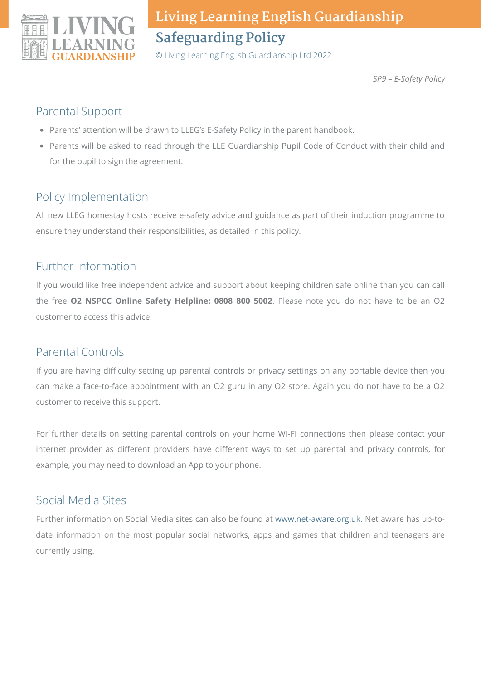

© Living Learning English Guardianship Ltd 2022

*SP9 – E-Safety Policy*

### Parental Support

- Parents' attention will be drawn to LLEG's E-Safety Policy in the parent handbook.
- Parents will be asked to read through the LLE Guardianship Pupil Code of Conduct with their child and for the pupil to sign the agreement.

## Policy Implementation

All new LLEG homestay hosts receive e-safety advice and guidance as part of their induction programme to ensure they understand their responsibilities, as detailed in this policy.

### Further Information

If you would like free independent advice and support about keeping children safe online than you can call the free **O2 NSPCC Online Safety Helpline: 0808 800 5002**. Please note you do not have to be an O2 customer to access this advice.

### Parental Controls

If you are having difficulty setting up parental controls or privacy settings on any portable device then you can make a face-to-face appointment with an O2 guru in any O2 store. Again you do not have to be a O2 customer to receive this support.

For further details on setting parental controls on your home WI-FI connections then please contact your internet provider as different providers have different ways to set up parental and privacy controls, for example, you may need to download an App to your phone.

### Social Media Sites

Further information on Social Media sites can also be found at [www.net-aware.org.uk](http://www.net-aware.org.uk/). Net aware has up-todate information on the most popular social networks, apps and games that children and teenagers are currently using.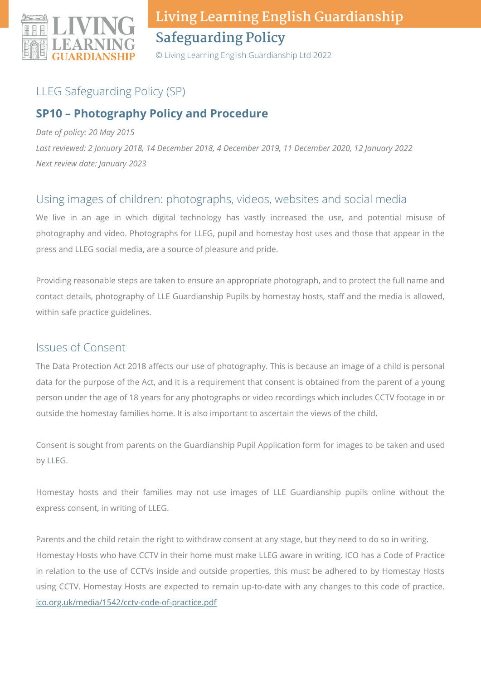

© Living Learning English Guardianship Ltd 2022

### LLEG Safeguarding Policy (SP)

### **SP10 – Photography Policy and Procedure**

*Date of policy: 20 May 2015*

*Last reviewed: 2 January 2018, 14 December 2018, 4 December 2019, 11 December 2020, 12 January 2022 Next review date: January 2023*

#### Using images of children: photographs, videos, websites and social media

We live in an age in which digital technology has vastly increased the use, and potential misuse of photography and video. Photographs for LLEG, pupil and homestay host uses and those that appear in the press and LLEG social media, are a source of pleasure and pride.

Providing reasonable steps are taken to ensure an appropriate photograph, and to protect the full name and contact details, photography of LLE Guardianship Pupils by homestay hosts, staff and the media is allowed, within safe practice guidelines.

#### Issues of Consent

The Data Protection Act 2018 affects our use of photography. This is because an image of a child is personal data for the purpose of the Act, and it is a requirement that consent is obtained from the parent of a young person under the age of 18 years for any photographs or video recordings which includes CCTV footage in or outside the homestay families home. It is also important to ascertain the views of the child.

Consent is sought from parents on the Guardianship Pupil Application form for images to be taken and used by LLEG.

Homestay hosts and their families may not use images of LLE Guardianship pupils online without the express consent, in writing of LLEG.

Parents and the child retain the right to withdraw consent at any stage, but they need to do so in writing. Homestay Hosts who have CCTV in their home must make LLEG aware in writing. ICO has a Code of Practice in relation to the use of CCTVs inside and outside properties, this must be adhered to by Homestay Hosts using CCTV. Homestay Hosts are expected to remain up-to-date with any changes to this code of practice. [ico.org.uk/media/1542/cctv-code-of-practice.pdf](https://ico.org.uk/media/1542/cctv-code-of-practice.pdf)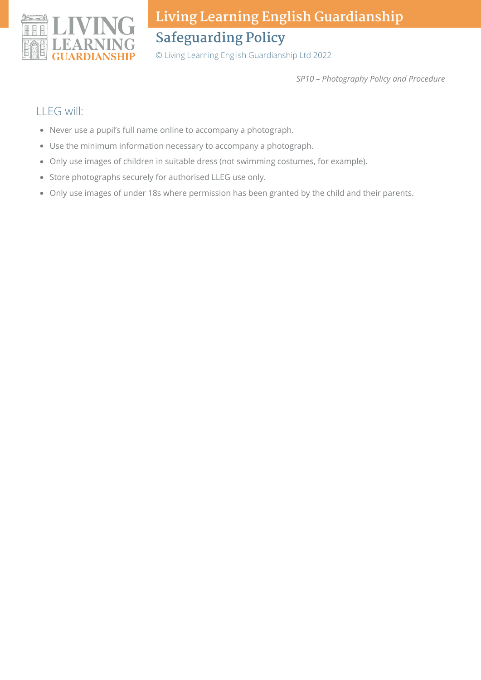

© Living Learning English Guardianship Ltd 2022

*SP10 – Photography Policy and Procedure*

### LLEG will:

- Never use a pupil's full name online to accompany a photograph.
- Use the minimum information necessary to accompany a photograph.
- Only use images of children in suitable dress (not swimming costumes, for example).
- Store photographs securely for authorised LLEG use only.
- Only use images of under 18s where permission has been granted by the child and their parents.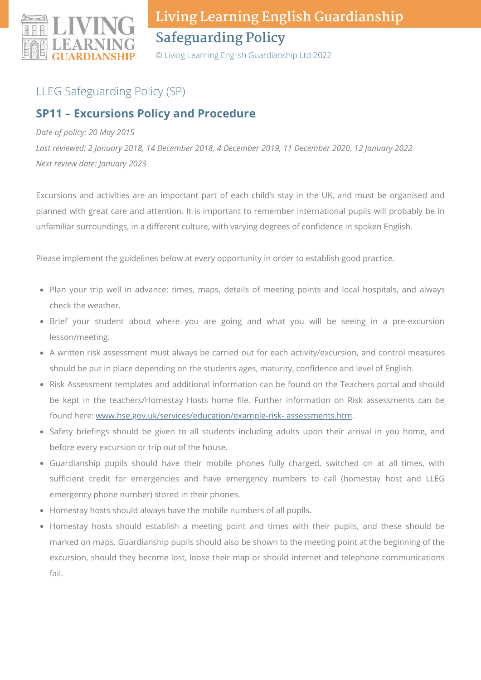

© Living Learning English Guardianship Ltd 2022

## LLEG Safeguarding Policy (SP)

### **SP11 – Excursions Policy and Procedure**

#### *Date of policy: 20 May 2015*

*Last reviewed: 2 January 2018, 14 December 2018, 4 December 2019, 11 December 2020, 12 January 2022 Next review date: January 2023*

Excursions and activities are an important part of each child's stay in the UK, and must be organised and planned with great care and attention. It is important to remember international pupils will probably be in unfamiliar surroundings, in a different culture, with varying degrees of confidence in spoken English.

Please implement the guidelines below at every opportunity in order to establish good practice.

- Plan your trip well in advance: times, maps, details of meeting points and local hospitals, and always check the weather.
- Brief your student about where you are going and what you will be seeing in a pre-excursion lesson/meeting.
- A written risk assessment must always be carried out for each activity/excursion, and control measures should be put in place depending on the students ages, maturity, confidence and level of English.
- Risk Assessment templates and additional information can be found on the Teachers portal and should be kept in the teachers/Homestay Hosts home file. Further information on Risk assessments can be found here: [www.hse.gov.uk/services/education/example-risk-](http://www.hse.gov.uk/services/education/example-risk-%20assessments.htm) assessments.htm.
- Safety briefings should be given to all students including adults upon their arrival in you home, and before every excursion or trip out of the house.
- Guardianship pupils should have their mobile phones fully charged, switched on at all times, with sufficient credit for emergencies and have emergency numbers to call (homestay host and LLEG emergency phone number) stored in their phones.
- Homestay hosts should always have the mobile numbers of all pupils.
- Homestay hosts should establish a meeting point and times with their pupils, and these should be marked on maps. Guardianship pupils should also be shown to the meeting point at the beginning of the excursion, should they become lost, loose their map or should internet and telephone communications fail.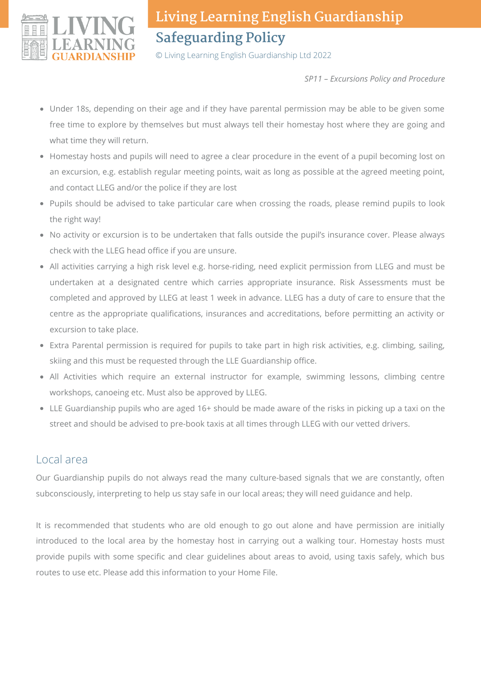

© Living Learning English Guardianship Ltd 2022

*SP11 – Excursions Policy and Procedure*

- Under 18s, depending on their age and if they have parental permission may be able to be given some free time to explore by themselves but must always tell their homestay host where they are going and what time they will return.
- Homestay hosts and pupils will need to agree a clear procedure in the event of a pupil becoming lost on an excursion, e.g. establish regular meeting points, wait as long as possible at the agreed meeting point, and contact LLEG and/or the police if they are lost
- Pupils should be advised to take particular care when crossing the roads, please remind pupils to look the right way!
- No activity or excursion is to be undertaken that falls outside the pupil's insurance cover. Please always check with the LLEG head office if you are unsure.
- All activities carrying a high risk level e.g. horse-riding, need explicit permission from LLEG and must be undertaken at a designated centre which carries appropriate insurance. Risk Assessments must be completed and approved by LLEG at least 1 week in advance. LLEG has a duty of care to ensure that the centre as the appropriate qualifications, insurances and accreditations, before permitting an activity or excursion to take place.
- Extra Parental permission is required for pupils to take part in high risk activities, e.g. climbing, sailing, skiing and this must be requested through the LLE Guardianship office.
- All Activities which require an external instructor for example, swimming lessons, climbing centre workshops, canoeing etc. Must also be approved by LLEG.
- LLE Guardianship pupils who are aged 16+ should be made aware of the risks in picking up a taxi on the street and should be advised to pre-book taxis at all times through LLEG with our vetted drivers.

#### Local area

Our Guardianship pupils do not always read the many culture-based signals that we are constantly, often subconsciously, interpreting to help us stay safe in our local areas; they will need guidance and help.

It is recommended that students who are old enough to go out alone and have permission are initially introduced to the local area by the homestay host in carrying out a walking tour. Homestay hosts must provide pupils with some specific and clear guidelines about areas to avoid, using taxis safely, which bus routes to use etc. Please add this information to your Home File.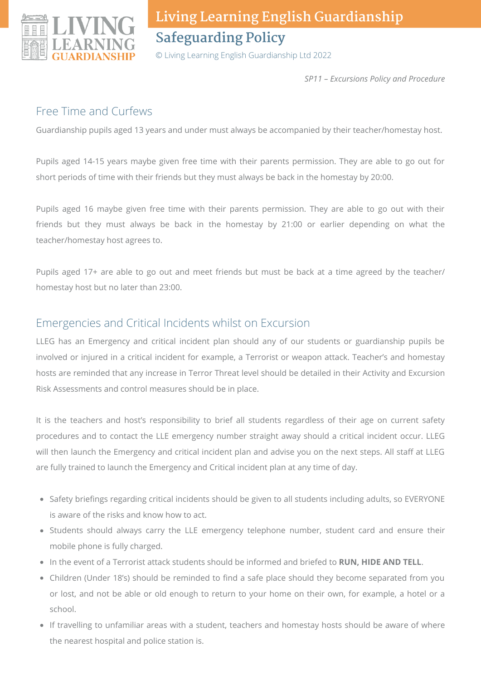

© Living Learning English Guardianship Ltd 2022

*SP11 – Excursions Policy and Procedure*

#### Free Time and Curfews

Guardianship pupils aged 13 years and under must always be accompanied by their teacher/homestay host.

Pupils aged 14-15 years maybe given free time with their parents permission. They are able to go out for short periods of time with their friends but they must always be back in the homestay by 20:00.

Pupils aged 16 maybe given free time with their parents permission. They are able to go out with their friends but they must always be back in the homestay by 21:00 or earlier depending on what the teacher/homestay host agrees to.

Pupils aged 17+ are able to go out and meet friends but must be back at a time agreed by the teacher/ homestay host but no later than 23:00.

#### Emergencies and Critical Incidents whilst on Excursion

LLEG has an Emergency and critical incident plan should any of our students or guardianship pupils be involved or injured in a critical incident for example, a Terrorist or weapon attack. Teacher's and homestay hosts are reminded that any increase in Terror Threat level should be detailed in their Activity and Excursion Risk Assessments and control measures should be in place.

It is the teachers and host's responsibility to brief all students regardless of their age on current safety procedures and to contact the LLE emergency number straight away should a critical incident occur. LLEG will then launch the Emergency and critical incident plan and advise you on the next steps. All staff at LLEG are fully trained to launch the Emergency and Critical incident plan at any time of day.

- Safety briefings regarding critical incidents should be given to all students including adults, so EVERYONE is aware of the risks and know how to act.
- Students should always carry the LLE emergency telephone number, student card and ensure their mobile phone is fully charged.
- In the event of a Terrorist attack students should be informed and briefed to **RUN, HIDE AND TELL**.
- Children (Under 18's) should be reminded to find a safe place should they become separated from you or lost, and not be able or old enough to return to your home on their own, for example, a hotel or a school.
- If travelling to unfamiliar areas with a student, teachers and homestay hosts should be aware of where the nearest hospital and police station is.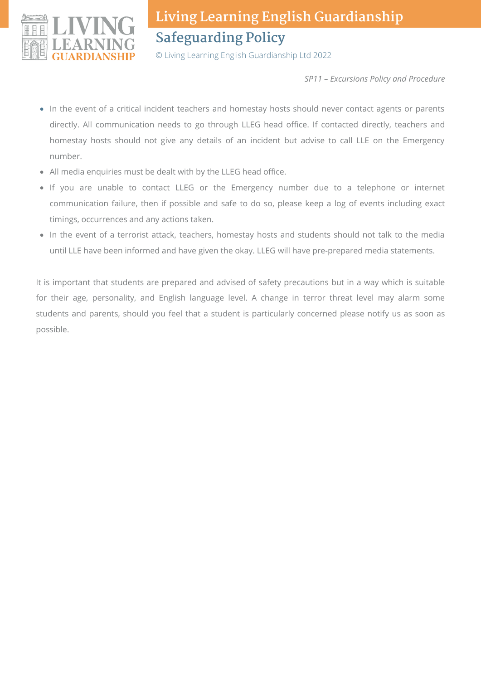

© Living Learning English Guardianship Ltd 2022

*SP11 – Excursions Policy and Procedure*

- In the event of a critical incident teachers and homestay hosts should never contact agents or parents directly. All communication needs to go through LLEG head office. If contacted directly, teachers and homestay hosts should not give any details of an incident but advise to call LLE on the Emergency number.
- All media enquiries must be dealt with by the LLEG head office.
- If you are unable to contact LLEG or the Emergency number due to a telephone or internet communication failure, then if possible and safe to do so, please keep a log of events including exact timings, occurrences and any actions taken.
- In the event of a terrorist attack, teachers, homestay hosts and students should not talk to the media until LLE have been informed and have given the okay. LLEG will have pre-prepared media statements.

It is important that students are prepared and advised of safety precautions but in a way which is suitable for their age, personality, and English language level. A change in terror threat level may alarm some students and parents, should you feel that a student is particularly concerned please notify us as soon as possible.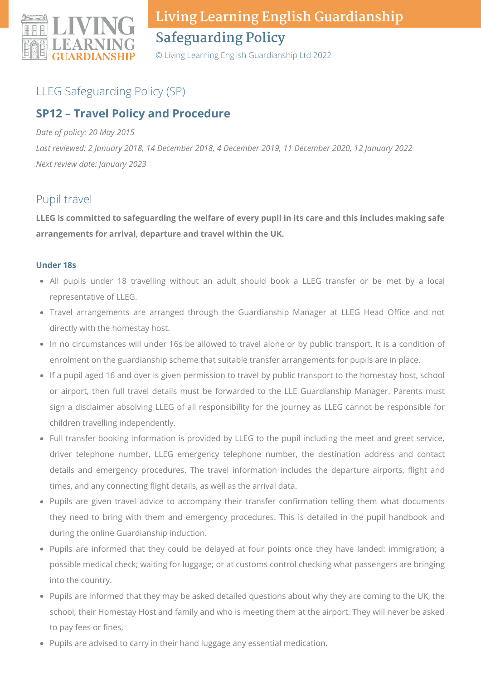

© Living Learning English Guardianship Ltd 2022

### LLEG Safeguarding Policy (SP)

### **SP12 – Travel Policy and Procedure**

#### *Date of policy: 20 May 2015*

*Last reviewed: 2 January 2018, 14 December 2018, 4 December 2019, 11 December 2020, 12 January 2022 Next review date: January 2023*

#### Pupil travel

LLEG is committed to safeguarding the welfare of every pupil in its care and this includes making safe **arrangements for arrival, departure and travel within the UK.**

#### **Under 18s**

- All pupils under 18 travelling without an adult should book a LLEG transfer or be met by a local representative of LLEG.
- Travel arrangements are arranged through the Guardianship Manager at LLEG Head Office and not directly with the homestay host.
- In no circumstances will under 16s be allowed to travel alone or by public transport. It is a condition of enrolment on the guardianship scheme that suitable transfer arrangements for pupils are in place.
- If a pupil aged 16 and over is given permission to travel by public transport to the homestay host, school or airport, then full travel details must be forwarded to the LLE Guardianship Manager. Parents must sign a disclaimer absolving LLEG of all responsibility for the journey as LLEG cannot be responsible for children travelling independently.
- Full transfer booking information is provided by LLEG to the pupil including the meet and greet service, driver telephone number, LLEG emergency telephone number, the destination address and contact details and emergency procedures. The travel information includes the departure airports, flight and times, and any connecting flight details, as well as the arrival data.
- Pupils are given travel advice to accompany their transfer confirmation telling them what documents they need to bring with them and emergency procedures. This is detailed in the pupil handbook and during the online Guardianship induction.
- Pupils are informed that they could be delayed at four points once they have landed: immigration; a possible medical check; waiting for luggage; or at customs control checking what passengers are bringing into the country.
- Pupils are informed that they may be asked detailed questions about why they are coming to the UK, the school, their Homestay Host and family and who is meeting them at the airport. They will never be asked to pay fees or fines,
- Pupils are advised to carry in their hand luggage any essential medication.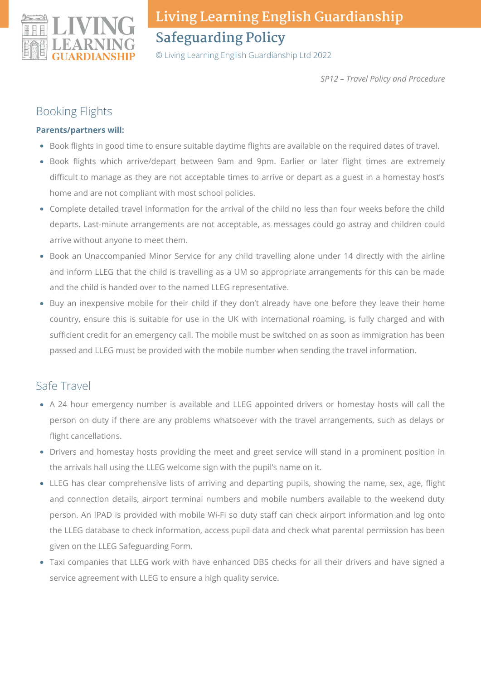

© Living Learning English Guardianship Ltd 2022

*SP12 – Travel Policy and Procedure*

#### Booking Flights

#### **Parents/partners will:**

- Book flights in good time to ensure suitable daytime flights are available on the required dates of travel.
- Book flights which arrive/depart between 9am and 9pm. Earlier or later flight times are extremely difficult to manage as they are not acceptable times to arrive or depart as a guest in a homestay host's home and are not compliant with most school policies.
- Complete detailed travel information for the arrival of the child no less than four weeks before the child departs. Last-minute arrangements are not acceptable, as messages could go astray and children could arrive without anyone to meet them.
- Book an Unaccompanied Minor Service for any child travelling alone under 14 directly with the airline and inform LLEG that the child is travelling as a UM so appropriate arrangements for this can be made and the child is handed over to the named LLEG representative.
- Buy an inexpensive mobile for their child if they don't already have one before they leave their home country, ensure this is suitable for use in the UK with international roaming, is fully charged and with sufficient credit for an emergency call. The mobile must be switched on as soon as immigration has been passed and LLEG must be provided with the mobile number when sending the travel information.

#### Safe Travel

- A 24 hour emergency number is available and LLEG appointed drivers or homestay hosts will call the person on duty if there are any problems whatsoever with the travel arrangements, such as delays or flight cancellations.
- Drivers and homestay hosts providing the meet and greet service will stand in a prominent position in the arrivals hall using the LLEG welcome sign with the pupil's name on it.
- LLEG has clear comprehensive lists of arriving and departing pupils, showing the name, sex, age, flight and connection details, airport terminal numbers and mobile numbers available to the weekend duty person. An IPAD is provided with mobile Wi-Fi so duty staff can check airport information and log onto the LLEG database to check information, access pupil data and check what parental permission has been given on the LLEG Safeguarding Form.
- Taxi companies that LLEG work with have enhanced DBS checks for all their drivers and have signed a service agreement with LLEG to ensure a high quality service.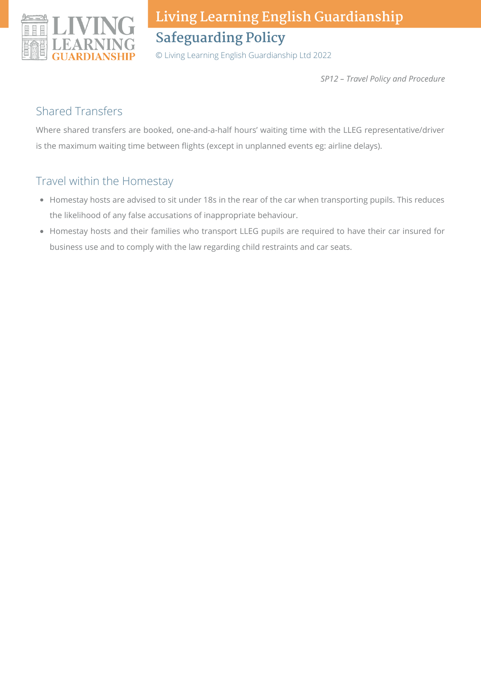

© Living Learning English Guardianship Ltd 2022

*SP12 – Travel Policy and Procedure*

#### Shared Transfers

Where shared transfers are booked, one-and-a-half hours' waiting time with the LLEG representative/driver is the maximum waiting time between flights (except in unplanned events eg: airline delays).

### Travel within the Homestay

- Homestay hosts are advised to sit under 18s in the rear of the car when transporting pupils. This reduces the likelihood of any false accusations of inappropriate behaviour.
- Homestay hosts and their families who transport LLEG pupils are required to have their car insured for business use and to comply with the law regarding child restraints and car seats.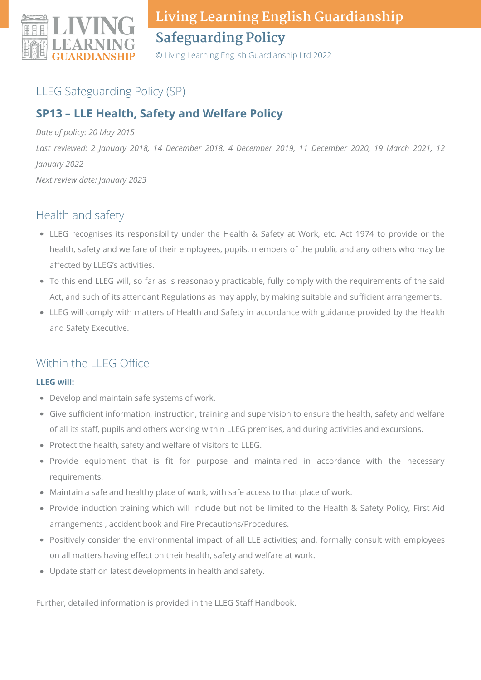

© Living Learning English Guardianship Ltd 2022

### LLEG Safeguarding Policy (SP)

## **SP13 – LLE Health, Safety and Welfare Policy**

*Date of policy: 20 May 2015* Last reviewed: 2 January 2018, 14 December 2018, 4 December 2019, 11 December 2020, 19 March 2021, 12 *January 2022 Next review date: January 2023*

### Health and safety

- LLEG recognises its responsibility under the Health & Safety at Work, etc. Act 1974 to provide or the health, safety and welfare of their employees, pupils, members of the public and any others who may be affected by LLEG's activities.
- To this end LLEG will, so far as is reasonably practicable, fully comply with the requirements of the said Act, and such of its attendant Regulations as may apply, by making suitable and sufficient arrangements.
- LLEG will comply with matters of Health and Safety in accordance with guidance provided by the Health and Safety Executive.

### Within the LLEG Office

#### **LLEG will:**

- Develop and maintain safe systems of work.
- Give sufficient information, instruction, training and supervision to ensure the health, safety and welfare of all its staff, pupils and others working within LLEG premises, and during activities and excursions.
- Protect the health, safety and welfare of visitors to LLEG.
- Provide equipment that is fit for purpose and maintained in accordance with the necessary requirements.
- Maintain a safe and healthy place of work, with safe access to that place of work.
- Provide induction training which will include but not be limited to the Health & Safety Policy, First Aid arrangements , accident book and Fire Precautions/Procedures.
- Positively consider the environmental impact of all LLE activities; and, formally consult with employees on all matters having effect on their health, safety and welfare at work.
- Update staff on latest developments in health and safety.

Further, detailed information is provided in the LLEG Staff Handbook.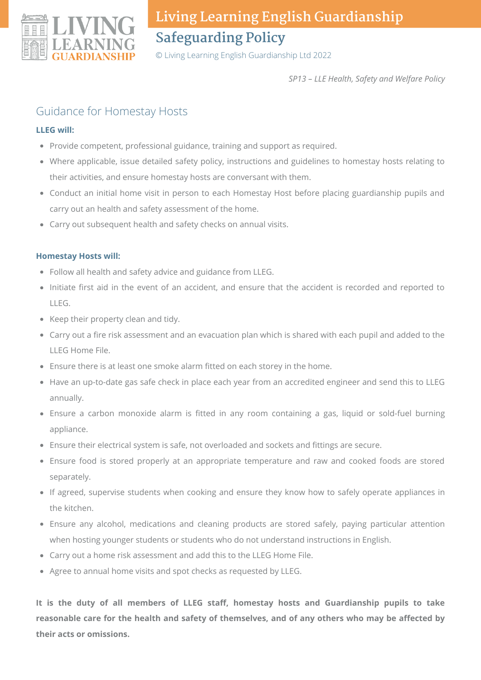

© Living Learning English Guardianship Ltd 2022

*SP13 – LLE Health, Safety and Welfare Policy*

### Guidance for Homestay Hosts

#### **LLEG will:**

- Provide competent, professional guidance, training and support as required.
- Where applicable, issue detailed safety policy, instructions and guidelines to homestay hosts relating to their activities, and ensure homestay hosts are conversant with them.
- Conduct an initial home visit in person to each Homestay Host before placing guardianship pupils and carry out an health and safety assessment of the home.
- Carry out subsequent health and safety checks on annual visits.

#### **Homestay Hosts will:**

- Follow all health and safety advice and guidance from LLEG.
- Initiate first aid in the event of an accident, and ensure that the accident is recorded and reported to LLEG.
- Keep their property clean and tidy.
- Carry out a fire risk assessment and an evacuation plan which is shared with each pupil and added to the LLEG Home File.
- Ensure there is at least one smoke alarm fitted on each storey in the home.
- Have an up-to-date gas safe check in place each year from an accredited engineer and send this to LLEG annually.
- Ensure a carbon monoxide alarm is fitted in any room containing a gas, liquid or sold-fuel burning appliance.
- Ensure their electrical system is safe, not overloaded and sockets and fittings are secure.
- Ensure food is stored properly at an appropriate temperature and raw and cooked foods are stored separately.
- If agreed, supervise students when cooking and ensure they know how to safely operate appliances in the kitchen.
- Ensure any alcohol, medications and cleaning products are stored safely, paying particular attention when hosting younger students or students who do not understand instructions in English.
- Carry out a home risk assessment and add this to the LLEG Home File.
- Agree to annual home visits and spot checks as requested by LLEG.

**It is the duty of all members of LLEG staff, homestay hosts and Guardianship pupils to take reasonable care for the health and safety of themselves, and of any others who may be affected by their acts or omissions.**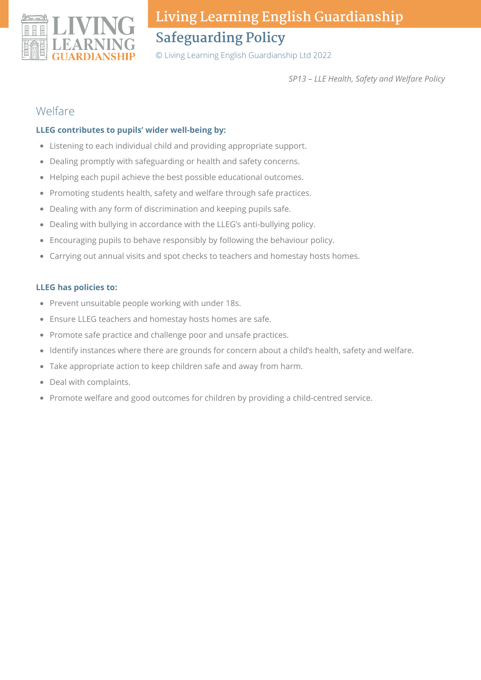

© Living Learning English Guardianship Ltd 2022

*SP13 – LLE Health, Safety and Welfare Policy*

#### Welfare

#### **LLEG contributes to pupils' wider well-being by:**

- Listening to each individual child and providing appropriate support.
- Dealing promptly with safeguarding or health and safety concerns.
- Helping each pupil achieve the best possible educational outcomes.
- Promoting students health, safety and welfare through safe practices.
- Dealing with any form of discrimination and keeping pupils safe.
- Dealing with bullying in accordance with the LLEG's anti-bullying policy.
- Encouraging pupils to behave responsibly by following the behaviour policy.
- Carrying out annual visits and spot checks to teachers and homestay hosts homes.

#### **LLEG has policies to:**

- Prevent unsuitable people working with under 18s.
- Ensure LLEG teachers and homestay hosts homes are safe.
- Promote safe practice and challenge poor and unsafe practices.
- Identify instances where there are grounds for concern about a child's health, safety and welfare.
- Take appropriate action to keep children safe and away from harm.
- Deal with complaints.
- Promote welfare and good outcomes for children by providing a child-centred service.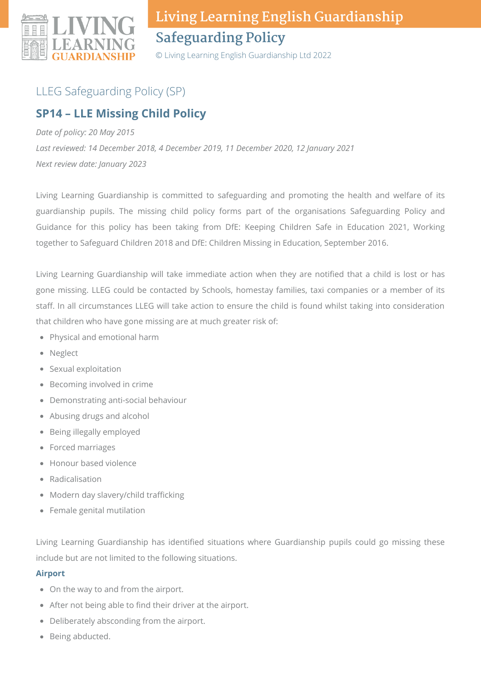

© Living Learning English Guardianship Ltd 2022

## LLEG Safeguarding Policy (SP)

### **SP14 – LLE Missing Child Policy**

*Date of policy: 20 May 2015*

*Last reviewed: 14 December 2018, 4 December 2019, 11 December 2020, 12 January 2021 Next review date: January 2023*

Living Learning Guardianship is committed to safeguarding and promoting the health and welfare of its guardianship pupils. The missing child policy forms part of the organisations Safeguarding Policy and Guidance for this policy has been taking from DfE: Keeping Children Safe in Education 2021, Working together to Safeguard Children 2018 and DfE: Children Missing in Education, September 2016.

Living Learning Guardianship will take immediate action when they are notified that a child is lost or has gone missing. LLEG could be contacted by Schools, homestay families, taxi companies or a member of its staff. In all circumstances LLEG will take action to ensure the child is found whilst taking into consideration that children who have gone missing are at much greater risk of:

- Physical and emotional harm
- Neglect
- Sexual exploitation
- Becoming involved in crime
- Demonstrating anti-social behaviour
- Abusing drugs and alcohol
- Being illegally employed
- Forced marriages
- Honour based violence
- Radicalisation
- Modern day slavery/child trafficking
- Female genital mutilation

Living Learning Guardianship has identified situations where Guardianship pupils could go missing these include but are not limited to the following situations.

#### **Airport**

- On the way to and from the airport.
- After not being able to find their driver at the airport.
- Deliberately absconding from the airport.
- Being abducted.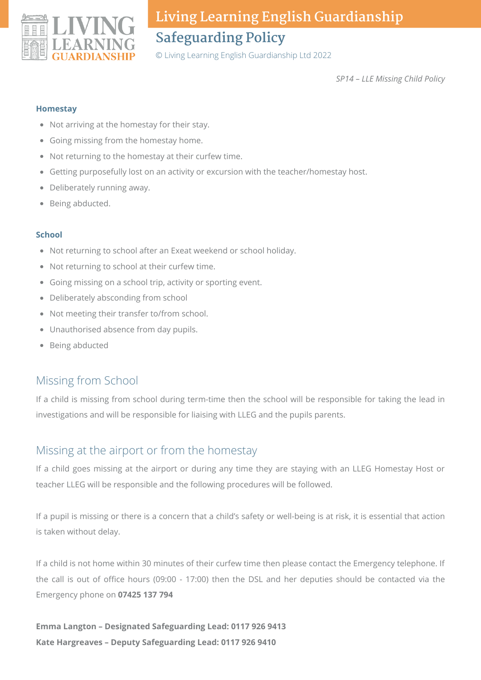

© Living Learning English Guardianship Ltd 2022

*SP14 – LLE Missing Child Policy*

#### **Homestay**

- Not arriving at the homestay for their stay.
- Going missing from the homestay home.
- Not returning to the homestay at their curfew time.
- Getting purposefully lost on an activity or excursion with the teacher/homestay host.
- Deliberately running away.
- Being abducted.

#### **School**

- Not returning to school after an Exeat weekend or school holiday.
- Not returning to school at their curfew time.
- Going missing on a school trip, activity or sporting event.
- Deliberately absconding from school
- Not meeting their transfer to/from school.
- Unauthorised absence from day pupils.
- Being abducted

### Missing from School

If a child is missing from school during term-time then the school will be responsible for taking the lead in investigations and will be responsible for liaising with LLEG and the pupils parents.

### Missing at the airport or from the homestay

If a child goes missing at the airport or during any time they are staying with an LLEG Homestay Host or teacher LLEG will be responsible and the following procedures will be followed.

If a pupil is missing or there is a concern that a child's safety or well-being is at risk, it is essential that action is taken without delay.

If a child is not home within 30 minutes of their curfew time then please contact the Emergency telephone. If the call is out of office hours (09:00 - 17:00) then the DSL and her deputies should be contacted via the Emergency phone on **07425 137 794**

**Emma Langton – Designated Safeguarding Lead: 0117 926 9413 Kate Hargreaves – Deputy Safeguarding Lead: 0117 926 9410**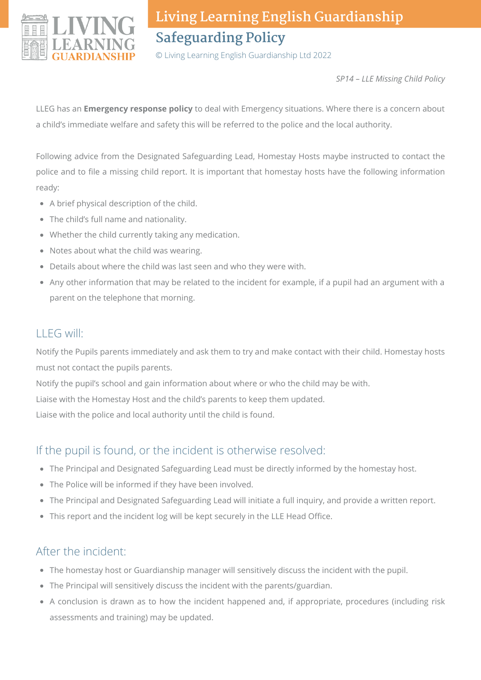

© Living Learning English Guardianship Ltd 2022

*SP14 – LLE Missing Child Policy*

LLEG has an **Emergency response policy** to deal with Emergency situations. Where there is a concern about a child's immediate welfare and safety this will be referred to the police and the local authority.

Following advice from the Designated Safeguarding Lead, Homestay Hosts maybe instructed to contact the police and to file a missing child report. It is important that homestay hosts have the following information ready:

- A brief physical description of the child.
- The child's full name and nationality.
- Whether the child currently taking any medication.
- Notes about what the child was wearing.
- Details about where the child was last seen and who they were with.
- Any other information that may be related to the incident for example, if a pupil had an argument with a parent on the telephone that morning.

### LLEG will:

Notify the Pupils parents immediately and ask them to try and make contact with their child. Homestay hosts must not contact the pupils parents.

Notify the pupil's school and gain information about where or who the child may be with.

Liaise with the Homestay Host and the child's parents to keep them updated.

Liaise with the police and local authority until the child is found.

### If the pupil is found, or the incident is otherwise resolved:

- The Principal and Designated Safeguarding Lead must be directly informed by the homestay host.
- The Police will be informed if they have been involved.
- The Principal and Designated Safeguarding Lead will initiate a full inquiry, and provide a written report.
- This report and the incident log will be kept securely in the LLE Head Office.

### After the incident:

- The homestay host or Guardianship manager will sensitively discuss the incident with the pupil.
- The Principal will sensitively discuss the incident with the parents/guardian.
- A conclusion is drawn as to how the incident happened and, if appropriate, procedures (including risk assessments and training) may be updated.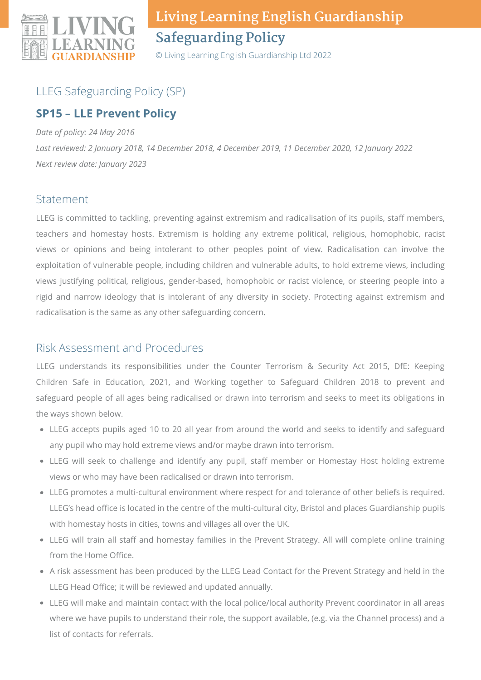

© Living Learning English Guardianship Ltd 2022

## LLEG Safeguarding Policy (SP)

## **SP15 – LLE Prevent Policy**

*Date of policy: 24 May 2016*

*Last reviewed: 2 January 2018, 14 December 2018, 4 December 2019, 11 December 2020, 12 January 2022 Next review date: January 2023*

### Statement

LLEG is committed to tackling, preventing against extremism and radicalisation of its pupils, staff members, teachers and homestay hosts. Extremism is holding any extreme political, religious, homophobic, racist views or opinions and being intolerant to other peoples point of view. Radicalisation can involve the exploitation of vulnerable people, including children and vulnerable adults, to hold extreme views, including views justifying political, religious, gender-based, homophobic or racist violence, or steering people into a rigid and narrow ideology that is intolerant of any diversity in society. Protecting against extremism and radicalisation is the same as any other safeguarding concern.

### Risk Assessment and Procedures

LLEG understands its responsibilities under the Counter Terrorism & Security Act 2015, DfE: Keeping Children Safe in Education, 2021, and Working together to Safeguard Children 2018 to prevent and safeguard people of all ages being radicalised or drawn into terrorism and seeks to meet its obligations in the ways shown below.

- LLEG accepts pupils aged 10 to 20 all year from around the world and seeks to identify and safeguard any pupil who may hold extreme views and/or maybe drawn into terrorism.
- LLEG will seek to challenge and identify any pupil, staff member or Homestay Host holding extreme views or who may have been radicalised or drawn into terrorism.
- LLEG promotes a multi-cultural environment where respect for and tolerance of other beliefs is required. LLEG's head office is located in the centre of the multi-cultural city, Bristol and places Guardianship pupils with homestay hosts in cities, towns and villages all over the UK.
- LLEG will train all staff and homestay families in the Prevent Strategy. All will complete online training from the Home Office.
- A risk assessment has been produced by the LLEG Lead Contact for the Prevent Strategy and held in the LLEG Head Office; it will be reviewed and updated annually.
- LLEG will make and maintain contact with the local police/local authority Prevent coordinator in all areas where we have pupils to understand their role, the support available, (e.g. via the Channel process) and a list of contacts for referrals.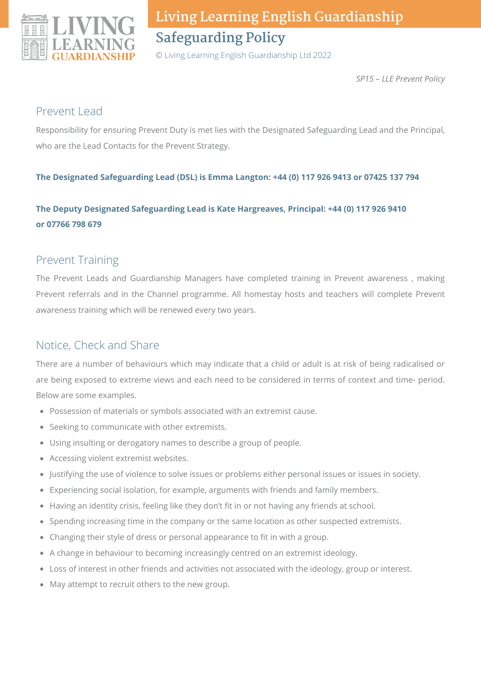

© Living Learning English Guardianship Ltd 2022

*SP15 – LLE Prevent Policy*

### Prevent Lead

Responsibility for ensuring Prevent Duty is met lies with the Designated Safeguarding Lead and the Principal, who are the Lead Contacts for the Prevent Strategy.

#### **The Designated Safeguarding Lead (DSL) is Emma Langton: +44 (0) 117 926 9413 or 07425 137 794**

### **The Deputy Designated Safeguarding Lead is Kate Hargreaves, Principal: +44 (0) 117 926 9410 or 07766 798 679**

### Prevent Training

The Prevent Leads and Guardianship Managers have completed training in Prevent awareness , making Prevent referrals and in the Channel programme. All homestay hosts and teachers will complete Prevent awareness training which will be renewed every two years.

## Notice, Check and Share

There are a number of behaviours which may indicate that a child or adult is at risk of being radicalised or are being exposed to extreme views and each need to be considered in terms of context and time- period. Below are some examples.

- Possession of materials or symbols associated with an extremist cause.
- Seeking to communicate with other extremists.
- Using insulting or derogatory names to describe a group of people.
- Accessing violent extremist websites.
- Justifying the use of violence to solve issues or problems either personal issues or issues in society.
- Experiencing social isolation, for example, arguments with friends and family members.
- Having an identity crisis, feeling like they don't fit in or not having any friends at school.
- Spending increasing time in the company or the same location as other suspected extremists.
- Changing their style of dress or personal appearance to fit in with a group.
- A change in behaviour to becoming increasingly centred on an extremist ideology.
- Loss of interest in other friends and activities not associated with the ideology, group or interest.
- May attempt to recruit others to the new group.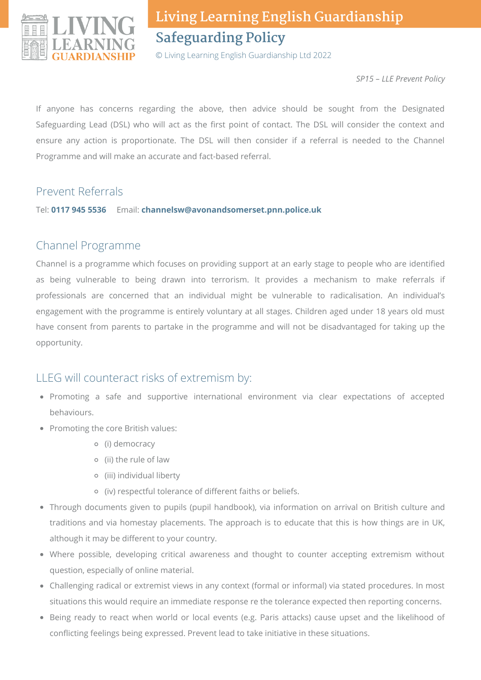

© Living Learning English Guardianship Ltd 2022

*SP15 – LLE Prevent Policy*

If anyone has concerns regarding the above, then advice should be sought from the Designated Safeguarding Lead (DSL) who will act as the first point of contact. The DSL will consider the context and ensure any action is proportionate. The DSL will then consider if a referral is needed to the Channel Programme and will make an accurate and fact-based referral.

### Prevent Referrals

Tel: **0117 945 5536** Email: **channelsw@avonandsomerset.pnn.police.uk**

### Channel Programme

Channel is a programme which focuses on providing support at an early stage to people who are identified as being vulnerable to being drawn into terrorism. It provides a mechanism to make referrals if professionals are concerned that an individual might be vulnerable to radicalisation. An individual's engagement with the programme is entirely voluntary at all stages. Children aged under 18 years old must have consent from parents to partake in the programme and will not be disadvantaged for taking up the opportunity.

### LLEG will counteract risks of extremism by:

- Promoting a safe and supportive international environment via clear expectations of accepted behaviours.
- Promoting the core British values:
	- (i) democracy
	- (ii) the rule of law
	- (iii) individual liberty
	- (iv) respectful tolerance of different faiths or beliefs.
- Through documents given to pupils (pupil handbook), via information on arrival on British culture and traditions and via homestay placements. The approach is to educate that this is how things are in UK, although it may be different to your country.
- Where possible, developing critical awareness and thought to counter accepting extremism without question, especially of online material.
- Challenging radical or extremist views in any context (formal or informal) via stated procedures. In most situations this would require an immediate response re the tolerance expected then reporting concerns.
- Being ready to react when world or local events (e.g. Paris attacks) cause upset and the likelihood of conflicting feelings being expressed. Prevent lead to take initiative in these situations.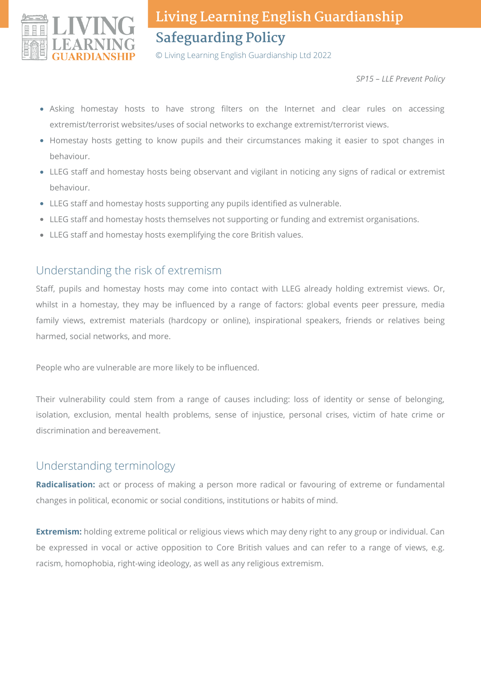

© Living Learning English Guardianship Ltd 2022

*SP15 – LLE Prevent Policy*

- Asking homestay hosts to have strong filters on the Internet and clear rules on accessing extremist/terrorist websites/uses of social networks to exchange extremist/terrorist views.
- Homestay hosts getting to know pupils and their circumstances making it easier to spot changes in behaviour.
- LLEG staff and homestay hosts being observant and vigilant in noticing any signs of radical or extremist behaviour.
- LLEG staff and homestay hosts supporting any pupils identified as vulnerable.
- LLEG staff and homestay hosts themselves not supporting or funding and extremist organisations.
- LLEG staff and homestay hosts exemplifying the core British values.

### Understanding the risk of extremism

Staff, pupils and homestay hosts may come into contact with LLEG already holding extremist views. Or, whilst in a homestay, they may be influenced by a range of factors: global events peer pressure, media family views, extremist materials (hardcopy or online), inspirational speakers, friends or relatives being harmed, social networks, and more.

People who are vulnerable are more likely to be influenced.

Their vulnerability could stem from a range of causes including: loss of identity or sense of belonging, isolation, exclusion, mental health problems, sense of injustice, personal crises, victim of hate crime or discrimination and bereavement.

### Understanding terminology

**Radicalisation:** act or process of making a person more radical or favouring of extreme or fundamental changes in political, economic or social conditions, institutions or habits of mind.

**Extremism:** holding extreme political or religious views which may deny right to any group or individual. Can be expressed in vocal or active opposition to Core British values and can refer to a range of views, e.g. racism, homophobia, right-wing ideology, as well as any religious extremism.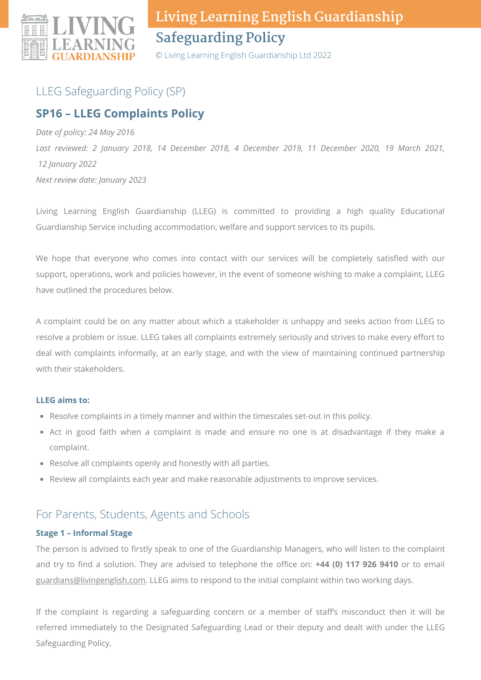

© Living Learning English Guardianship Ltd 2022

## LLEG Safeguarding Policy (SP)

## **SP16 – LLEG Complaints Policy**

*Date of policy: 24 May 2016 Last reviewed: 2 January 2018, 14 December 2018, 4 December 2019, 11 December 2020, 19 March 2021, 12 January 2022 Next review date: January 2023*

Living Learning English Guardianship (LLEG) is committed to providing a high quality Educational Guardianship Service including accommodation, welfare and support services to its pupils.

We hope that everyone who comes into contact with our services will be completely satisfied with our support, operations, work and policies however, in the event of someone wishing to make a complaint, LLEG have outlined the procedures below.

A complaint could be on any matter about which a stakeholder is unhappy and seeks action from LLEG to resolve a problem or issue. LLEG takes all complaints extremely seriously and strives to make every effort to deal with complaints informally, at an early stage, and with the view of maintaining continued partnership with their stakeholders.

#### **LLEG aims to:**

- Resolve complaints in a timely manner and within the timescales set-out in this policy.
- Act in good faith when a complaint is made and ensure no one is at disadvantage if they make a complaint.
- Resolve all complaints openly and honestly with all parties.
- Review all complaints each year and make reasonable adjustments to improve services.

### For Parents, Students, Agents and Schools

#### **Stage 1 – Informal Stage**

The person is advised to firstly speak to one of the Guardianship Managers, who will listen to the complaint and try to find a solution. They are advised to telephone the office on: **+44 (0) 117 926 9410** or to email [guardians@livingenglish.com](mailto:guardians@livingenglish.com). LLEG aims to respond to the initial complaint within two working days.

If the complaint is regarding a safeguarding concern or a member of staff's misconduct then it will be referred immediately to the Designated Safeguarding Lead or their deputy and dealt with under the LLEG Safeguarding Policy.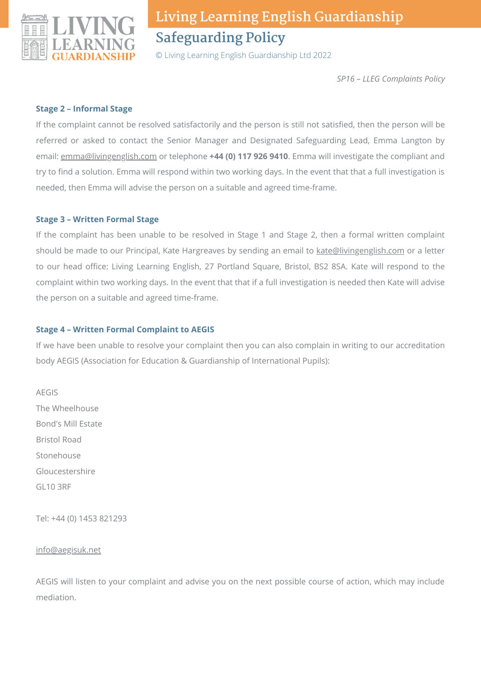

© Living Learning English Guardianship Ltd 2022

*SP16 – LLEG Complaints Policy*

#### **Stage 2 – Informal Stage**

If the complaint cannot be resolved satisfactorily and the person is still not satisfied, then the person will be referred or asked to contact the Senior Manager and Designated Safeguarding Lead, Emma Langton by email: [emma@livingenglish.com](mailto:emma@livingenglish.com) or telephone **+44 (0) 117 926 9410**. Emma will investigate the compliant and try to find a solution. Emma will respond within two working days. In the event that that a full investigation is needed, then Emma will advise the person on a suitable and agreed time-frame.

#### **Stage 3 – Written Formal Stage**

If the complaint has been unable to be resolved in Stage 1 and Stage 2, then a formal written complaint should be made to our Principal, Kate Hargreaves by sending an email to [kate@livingenglish.com](mailto:kate@livingenglish.com) or a letter to our head office: Living Learning English, 27 Portland Square, Bristol, BS2 8SA. Kate will respond to the complaint within two working days. In the event that that if a full investigation is needed then Kate will advise the person on a suitable and agreed time-frame.

#### **Stage 4 – Written Formal Complaint to AEGIS**

If we have been unable to resolve your complaint then you can also complain in writing to our accreditation body AEGIS (Association for Education & Guardianship of International Pupils):

AEGIS The Wheelhouse Bond's Mill Estate Bristol Road Stonehouse Gloucestershire GL10 3RF

Tel: +44 (0) 1453 821293

#### [info@aegisuk.net](mailto:info@aegisuk.net)

AEGIS will listen to your complaint and advise you on the next possible course of action, which may include mediation.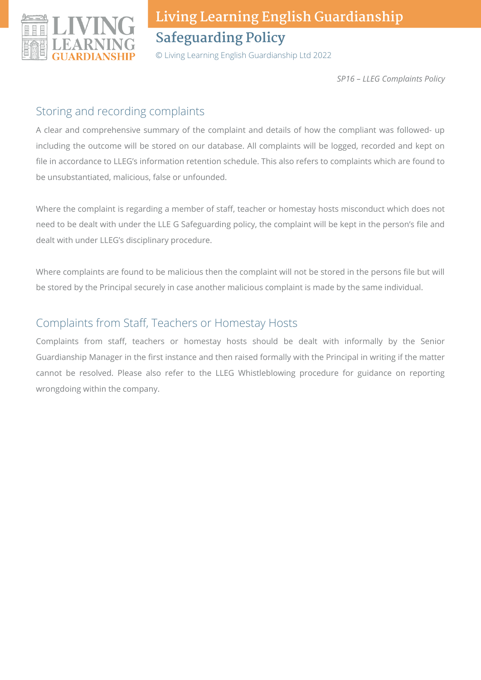

© Living Learning English Guardianship Ltd 2022

*SP16 – LLEG Complaints Policy*

### Storing and recording complaints

A clear and comprehensive summary of the complaint and details of how the compliant was followed- up including the outcome will be stored on our database. All complaints will be logged, recorded and kept on file in accordance to LLEG's information retention schedule. This also refers to complaints which are found to be unsubstantiated, malicious, false or unfounded.

Where the complaint is regarding a member of staff, teacher or homestay hosts misconduct which does not need to be dealt with under the LLE G Safeguarding policy, the complaint will be kept in the person's file and dealt with under LLEG's disciplinary procedure.

Where complaints are found to be malicious then the complaint will not be stored in the persons file but will be stored by the Principal securely in case another malicious complaint is made by the same individual.

## Complaints from Staff, Teachers or Homestay Hosts

Complaints from staff, teachers or homestay hosts should be dealt with informally by the Senior Guardianship Manager in the first instance and then raised formally with the Principal in writing if the matter cannot be resolved. Please also refer to the LLEG Whistleblowing procedure for guidance on reporting wrongdoing within the company.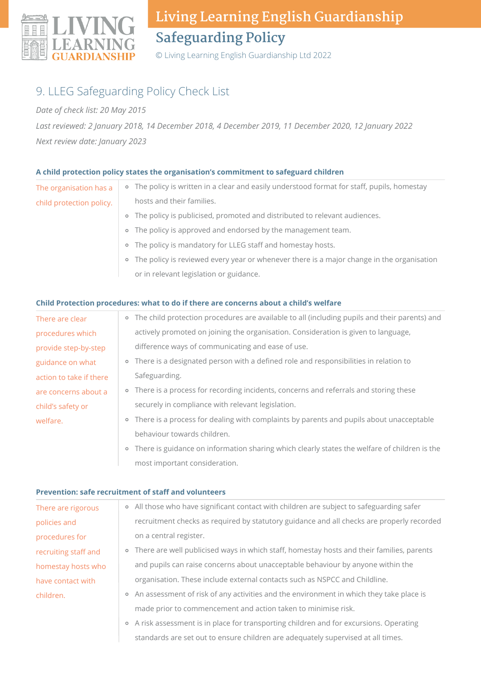

© Living Learning English Guardianship Ltd 2022

## 9. LLEG Safeguarding Policy Check List

#### *Date of check list: 20 May 2015*

*Last reviewed: 2 January 2018, 14 December 2018, 4 December 2019, 11 December 2020, 12 January 2022 Next review date: January 2023*

#### **A child protection policy states the organisation's commitment to safeguard children**

| The organisation has a   | • The policy is written in a clear and easily understood format for staff, pupils, homestay |
|--------------------------|---------------------------------------------------------------------------------------------|
| child protection policy. | hosts and their families.                                                                   |
|                          | • The policy is publicised, promoted and distributed to relevant audiences.                 |
|                          | • The policy is approved and endorsed by the management team.                               |
|                          | • The policy is mandatory for LLEG staff and homestay hosts.                                |
|                          | • The policy is reviewed every year or whenever there is a major change in the organisation |

or in relevant legislation or guidance.

#### **Child Protection procedures: what to do if there are concerns about a child's welfare**

most important consideration.

| There are clear         | • The child protection procedures are available to all (including pupils and their parents) and |
|-------------------------|-------------------------------------------------------------------------------------------------|
| procedures which        | actively promoted on joining the organisation. Consideration is given to language,              |
| provide step-by-step    | difference ways of communicating and ease of use.                                               |
| guidance on what        | • There is a designated person with a defined role and responsibilities in relation to          |
| action to take if there | Safeguarding.                                                                                   |
| are concerns about a    | • There is a process for recording incidents, concerns and referrals and storing these          |
| child's safety or       | securely in compliance with relevant legislation.                                               |
| welfare.                | • There is a process for dealing with complaints by parents and pupils about unacceptable       |
|                         | behaviour towards children.                                                                     |
|                         | • There is guidance on information sharing which clearly states the welfare of children is the  |

#### **Prevention: safe recruitment of staff and volunteers**

| There are rigorous   | • All those who have significant contact with children are subject to safeguarding safer    |
|----------------------|---------------------------------------------------------------------------------------------|
| policies and         | recruitment checks as required by statutory guidance and all checks are properly recorded   |
| procedures for       | on a central register.                                                                      |
| recruiting staff and | • There are well publicised ways in which staff, homestay hosts and their families, parents |
| homestay hosts who   | and pupils can raise concerns about unacceptable behaviour by anyone within the             |
| have contact with    | organisation. These include external contacts such as NSPCC and Childline.                  |
| children.            | • An assessment of risk of any activities and the environment in which they take place is   |
|                      | made prior to commencement and action taken to minimise risk.                               |
|                      | • A risk assessment is in place for transporting children and for excursions. Operating     |

standards are set out to ensure children are adequately supervised at all times.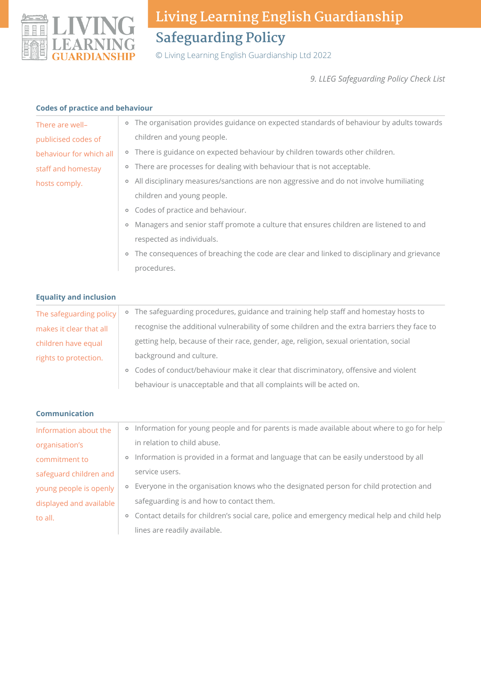

© Living Learning English Guardianship Ltd 2022

*9. LLEG Safeguarding Policy Check List*

| <b>Codes of practice and behaviour</b> |
|----------------------------------------|
|----------------------------------------|

| coues or practice and behaviour |                                                                                                  |
|---------------------------------|--------------------------------------------------------------------------------------------------|
| There are well-                 | • The organisation provides guidance on expected standards of behaviour by adults towards        |
| publicised codes of             | children and young people.                                                                       |
| behaviour for which all         | • There is guidance on expected behaviour by children towards other children.                    |
| staff and homestay              | • There are processes for dealing with behaviour that is not acceptable.                         |
| hosts comply.                   | All disciplinary measures/sanctions are non aggressive and do not involve humiliating<br>$\circ$ |
|                                 | children and young people.                                                                       |
|                                 | Codes of practice and behaviour.<br>$\circ$                                                      |
|                                 | Managers and senior staff promote a culture that ensures children are listened to and<br>$\circ$ |
|                                 | respected as individuals.                                                                        |
|                                 | • The consequences of breaching the code are clear and linked to disciplinary and grievance      |
|                                 | procedures.                                                                                      |
|                                 |                                                                                                  |
| <b>Equality and inclusion</b>   |                                                                                                  |
| The safeguarding policy         | • The safeguarding procedures, guidance and training help staff and homestay hosts to            |
| makes it clear that all         | recognise the additional vulnerability of some children and the extra barriers they face to      |
| children have equal             | getting help, because of their race, gender, age, religion, sexual orientation, social           |
| rights to protection.           | background and culture.                                                                          |
|                                 | • Codes of conduct/behaviour make it clear that discriminatory, offensive and violent            |
|                                 | behaviour is unacceptable and that all complaints will be acted on.                              |
|                                 |                                                                                                  |
| <b>Communication</b>            |                                                                                                  |
| Information about the           | o Information for young people and for parents is made available about where to go for help      |
| organisation's                  | in relation to child abuse.                                                                      |
| commitment to                   | o Information is provided in a format and language that can be easily understood by all          |
| safeguard children and          | service users.                                                                                   |
| young people is openly          | • Everyone in the organisation knows who the designated person for child protection and          |
| displayed and available         | safeguarding is and how to contact them.                                                         |
| to all.                         | o Contact details for children's social care, police and emergency medical help and child help   |
|                                 | lines are readily available.                                                                     |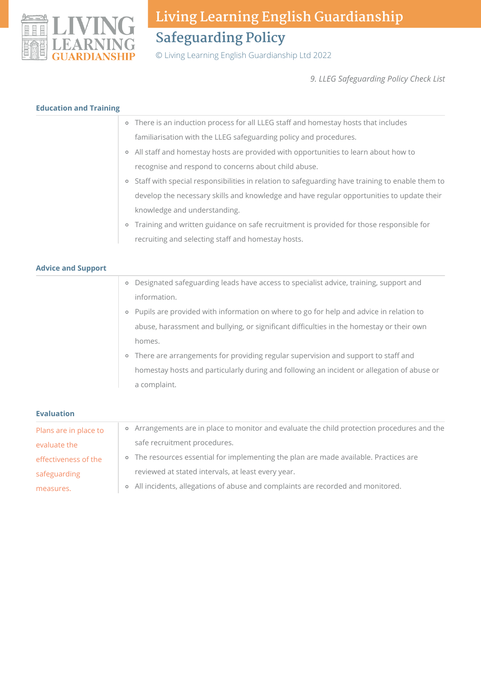

© Living Learning English Guardianship Ltd 2022

*9. LLEG Safeguarding Policy Check List*

|                           | <b>Education and Training</b>                                                                              |
|---------------------------|------------------------------------------------------------------------------------------------------------|
|                           | • There is an induction process for all LLEG staff and homestay hosts that includes                        |
|                           | familiarisation with the LLEG safeguarding policy and procedures.                                          |
|                           | All staff and homestay hosts are provided with opportunities to learn about how to<br>$\circ$              |
|                           | recognise and respond to concerns about child abuse.                                                       |
|                           | Staff with special responsibilities in relation to safeguarding have training to enable them to<br>$\circ$ |
|                           | develop the necessary skills and knowledge and have regular opportunities to update their                  |
|                           | knowledge and understanding.                                                                               |
|                           | o Training and written guidance on safe recruitment is provided for those responsible for                  |
|                           | recruiting and selecting staff and homestay hosts.                                                         |
|                           |                                                                                                            |
| <b>Advice and Support</b> |                                                                                                            |
|                           | Designated safeguarding leads have access to specialist advice, training, support and<br>$\circ$           |
|                           | information.                                                                                               |
|                           | Pupils are provided with information on where to go for help and advice in relation to<br>$\circ$          |
|                           | abuse, harassment and bullying, or significant difficulties in the homestay or their own                   |
|                           | homes.                                                                                                     |
|                           | There are arrangements for providing regular supervision and support to staff and<br>$\circ$               |
|                           | homestay hosts and particularly during and following an incident or allegation of abuse or                 |
|                           |                                                                                                            |
|                           | a complaint.                                                                                               |

| Plans are in place to | • Arrangements are in place to monitor and evaluate the child protection procedures and the |
|-----------------------|---------------------------------------------------------------------------------------------|
| evaluate the          | safe recruitment procedures.                                                                |
| effectiveness of the  | • The resources essential for implementing the plan are made available. Practices are       |
| safeguarding          | reviewed at stated intervals, at least every year.                                          |
| measures.             | • All incidents, allegations of abuse and complaints are recorded and monitored.            |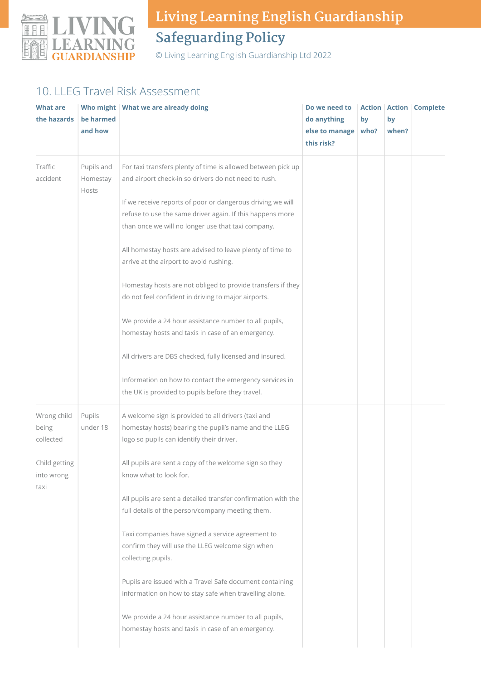

© Living Learning English Guardianship Ltd 2022

## 10. LLEG Travel Risk Assessment

| What are<br>the hazards           | be harmed<br>and how            | Who might   What we are already doing                                                                                                                                         | Do we need to<br>do anything<br>else to manage   who?<br>this risk? | by | by<br>when? | <b>Action Action Complete</b> |
|-----------------------------------|---------------------------------|-------------------------------------------------------------------------------------------------------------------------------------------------------------------------------|---------------------------------------------------------------------|----|-------------|-------------------------------|
| Traffic<br>accident               | Pupils and<br>Homestay<br>Hosts | For taxi transfers plenty of time is allowed between pick up<br>and airport check-in so drivers do not need to rush.                                                          |                                                                     |    |             |                               |
|                                   |                                 | If we receive reports of poor or dangerous driving we will<br>refuse to use the same driver again. If this happens more<br>than once we will no longer use that taxi company. |                                                                     |    |             |                               |
|                                   |                                 | All homestay hosts are advised to leave plenty of time to<br>arrive at the airport to avoid rushing.                                                                          |                                                                     |    |             |                               |
|                                   |                                 | Homestay hosts are not obliged to provide transfers if they<br>do not feel confident in driving to major airports.                                                            |                                                                     |    |             |                               |
|                                   |                                 | We provide a 24 hour assistance number to all pupils,<br>homestay hosts and taxis in case of an emergency.                                                                    |                                                                     |    |             |                               |
|                                   |                                 | All drivers are DBS checked, fully licensed and insured.                                                                                                                      |                                                                     |    |             |                               |
|                                   |                                 | Information on how to contact the emergency services in<br>the UK is provided to pupils before they travel.                                                                   |                                                                     |    |             |                               |
| Wrong child<br>being<br>collected | Pupils<br>under 18              | A welcome sign is provided to all drivers (taxi and<br>homestay hosts) bearing the pupil's name and the LLEG<br>logo so pupils can identify their driver.                     |                                                                     |    |             |                               |
| Child getting<br>into wrong       |                                 | All pupils are sent a copy of the welcome sign so they<br>know what to look for.                                                                                              |                                                                     |    |             |                               |
| taxi                              |                                 | All pupils are sent a detailed transfer confirmation with the<br>full details of the person/company meeting them.                                                             |                                                                     |    |             |                               |
|                                   |                                 | Taxi companies have signed a service agreement to<br>confirm they will use the LLEG welcome sign when<br>collecting pupils.                                                   |                                                                     |    |             |                               |
|                                   |                                 | Pupils are issued with a Travel Safe document containing<br>information on how to stay safe when travelling alone.                                                            |                                                                     |    |             |                               |
|                                   |                                 | We provide a 24 hour assistance number to all pupils,<br>homestay hosts and taxis in case of an emergency.                                                                    |                                                                     |    |             |                               |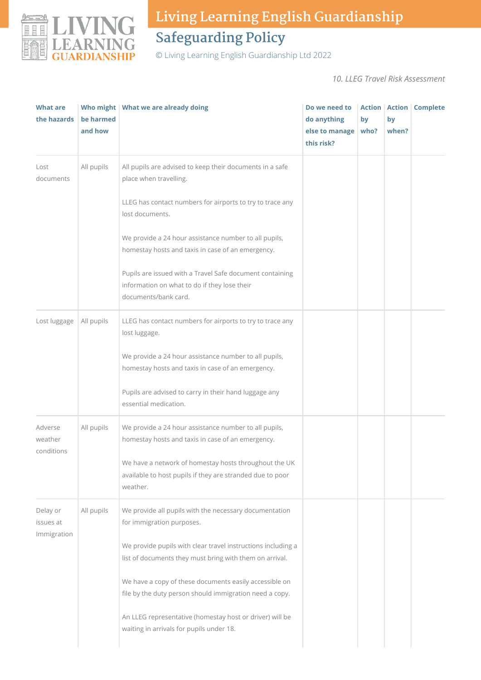

© Living Learning English Guardianship Ltd 2022

*10. LLEG Travel Risk Assessment*

| <b>What are</b><br>the hazards   | be harmed<br>and how | Who might   What we are already doing                                                                                            | Do we need to<br>do anything<br>else to manage<br>this risk? | by<br>who? | by<br>when? | <b>Action   Action   Complete</b> |
|----------------------------------|----------------------|----------------------------------------------------------------------------------------------------------------------------------|--------------------------------------------------------------|------------|-------------|-----------------------------------|
| Lost<br>documents                | All pupils           | All pupils are advised to keep their documents in a safe<br>place when travelling.                                               |                                                              |            |             |                                   |
|                                  |                      | LLEG has contact numbers for airports to try to trace any<br>lost documents.                                                     |                                                              |            |             |                                   |
|                                  |                      | We provide a 24 hour assistance number to all pupils,<br>homestay hosts and taxis in case of an emergency.                       |                                                              |            |             |                                   |
|                                  |                      | Pupils are issued with a Travel Safe document containing<br>information on what to do if they lose their<br>documents/bank card. |                                                              |            |             |                                   |
| Lost luggage                     | All pupils           | LLEG has contact numbers for airports to try to trace any<br>lost luggage.                                                       |                                                              |            |             |                                   |
|                                  |                      | We provide a 24 hour assistance number to all pupils,<br>homestay hosts and taxis in case of an emergency.                       |                                                              |            |             |                                   |
|                                  |                      | Pupils are advised to carry in their hand luggage any<br>essential medication.                                                   |                                                              |            |             |                                   |
| Adverse<br>weather<br>conditions | All pupils           | We provide a 24 hour assistance number to all pupils,<br>homestay hosts and taxis in case of an emergency.                       |                                                              |            |             |                                   |
|                                  |                      | We have a network of homestay hosts throughout the UK<br>available to host pupils if they are stranded due to poor<br>weather.   |                                                              |            |             |                                   |
| Delay or<br>issues at            | All pupils           | We provide all pupils with the necessary documentation<br>for immigration purposes.                                              |                                                              |            |             |                                   |
| Immigration                      |                      | We provide pupils with clear travel instructions including a<br>list of documents they must bring with them on arrival.          |                                                              |            |             |                                   |
|                                  |                      | We have a copy of these documents easily accessible on<br>file by the duty person should immigration need a copy.                |                                                              |            |             |                                   |
|                                  |                      | An LLEG representative (homestay host or driver) will be<br>waiting in arrivals for pupils under 18.                             |                                                              |            |             |                                   |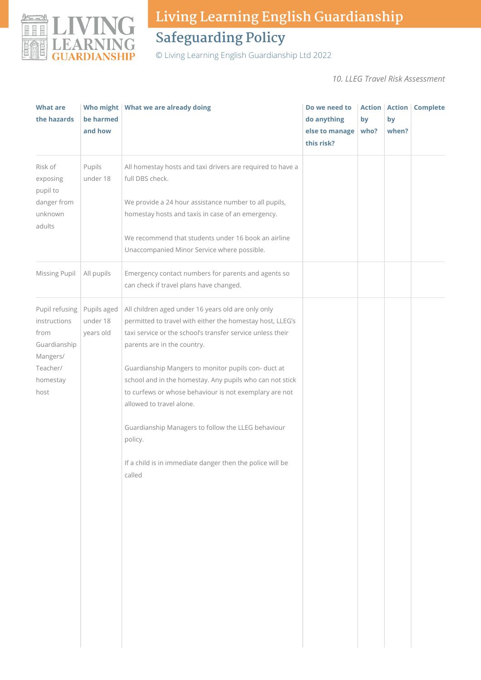

© Living Learning English Guardianship Ltd 2022

*10. LLEG Travel Risk Assessment*

| <b>What are</b><br>the hazards                                                                     | be harmed<br>and how                 | Who might   What we are already doing                                                                                                                                                                                                                                                                                                                                                                                                                                                                                                                         | Do we need to<br>do anything<br>else to manage<br>this risk? | by<br>who? | by<br>when? | <b>Action   Action   Complete</b> |
|----------------------------------------------------------------------------------------------------|--------------------------------------|---------------------------------------------------------------------------------------------------------------------------------------------------------------------------------------------------------------------------------------------------------------------------------------------------------------------------------------------------------------------------------------------------------------------------------------------------------------------------------------------------------------------------------------------------------------|--------------------------------------------------------------|------------|-------------|-----------------------------------|
| Risk of<br>exposing<br>pupil to<br>danger from<br>unknown<br>adults                                | Pupils<br>under 18                   | All homestay hosts and taxi drivers are required to have a<br>full DBS check.<br>We provide a 24 hour assistance number to all pupils,<br>homestay hosts and taxis in case of an emergency.<br>We recommend that students under 16 book an airline<br>Unaccompanied Minor Service where possible.                                                                                                                                                                                                                                                             |                                                              |            |             |                                   |
| Missing Pupil                                                                                      | All pupils                           | Emergency contact numbers for parents and agents so<br>can check if travel plans have changed.                                                                                                                                                                                                                                                                                                                                                                                                                                                                |                                                              |            |             |                                   |
| Pupil refusing<br>instructions<br>from<br>Guardianship<br>Mangers/<br>Teacher/<br>homestay<br>host | Pupils aged<br>under 18<br>years old | All children aged under 16 years old are only only<br>permitted to travel with either the homestay host, LLEG's<br>taxi service or the school's transfer service unless their<br>parents are in the country.<br>Guardianship Mangers to monitor pupils con- duct at<br>school and in the homestay. Any pupils who can not stick<br>to curfews or whose behaviour is not exemplary are not<br>allowed to travel alone.<br>Guardianship Managers to follow the LLEG behaviour<br>policy.<br>If a child is in immediate danger then the police will be<br>called |                                                              |            |             |                                   |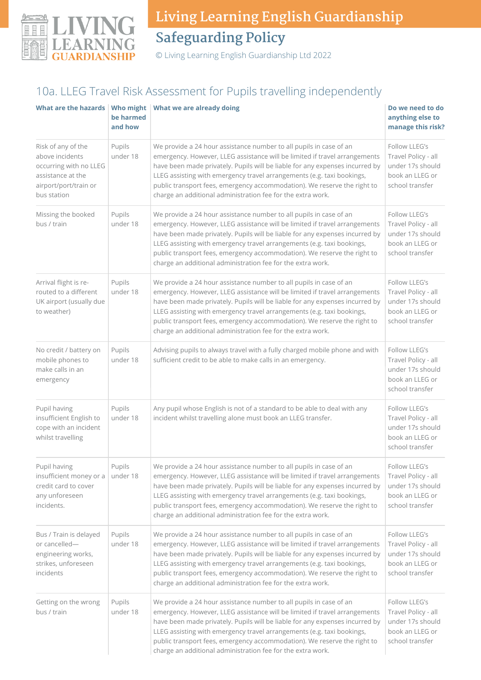

© Living Learning English Guardianship Ltd 2022

## 10a. LLEG Travel Risk Assessment for Pupils travelling independently

| What are the hazards   Who might                                                                                             | be harmed<br>and how                                                                                                                                                                                                                                                                                                                                                                                                                                                        | What we are already doing                                                                                                                                                                                                                                                                                                                                                                                                                             | Do we need to do<br>anything else to<br>manage this risk?                                      |  |
|------------------------------------------------------------------------------------------------------------------------------|-----------------------------------------------------------------------------------------------------------------------------------------------------------------------------------------------------------------------------------------------------------------------------------------------------------------------------------------------------------------------------------------------------------------------------------------------------------------------------|-------------------------------------------------------------------------------------------------------------------------------------------------------------------------------------------------------------------------------------------------------------------------------------------------------------------------------------------------------------------------------------------------------------------------------------------------------|------------------------------------------------------------------------------------------------|--|
| Risk of any of the<br>above incidents<br>occurring with no LLEG<br>assistance at the<br>airport/port/train or<br>bus station | Pupils<br>under 18                                                                                                                                                                                                                                                                                                                                                                                                                                                          | We provide a 24 hour assistance number to all pupils in case of an<br>emergency. However, LLEG assistance will be limited if travel arrangements<br>have been made privately. Pupils will be liable for any expenses incurred by<br>LLEG assisting with emergency travel arrangements (e.g. taxi bookings,<br>public transport fees, emergency accommodation). We reserve the right to<br>charge an additional administration fee for the extra work. | Follow LLEG's<br>Travel Policy - all<br>under 17s should<br>book an LLEG or<br>school transfer |  |
| Missing the booked<br>bus / train                                                                                            | Pupils<br>under 18                                                                                                                                                                                                                                                                                                                                                                                                                                                          | We provide a 24 hour assistance number to all pupils in case of an<br>emergency. However, LLEG assistance will be limited if travel arrangements<br>have been made privately. Pupils will be liable for any expenses incurred by<br>LLEG assisting with emergency travel arrangements (e.g. taxi bookings,<br>public transport fees, emergency accommodation). We reserve the right to<br>charge an additional administration fee for the extra work. | Follow LLEG's<br>Travel Policy - all<br>under 17s should<br>book an LLEG or<br>school transfer |  |
| Arrival flight is re-<br>routed to a different<br>UK airport (usually due<br>to weather)                                     | Pupils<br>We provide a 24 hour assistance number to all pupils in case of an<br>under 18<br>emergency. However, LLEG assistance will be limited if travel arrangements<br>have been made privately. Pupils will be liable for any expenses incurred by<br>LLEG assisting with emergency travel arrangements (e.g. taxi bookings,<br>public transport fees, emergency accommodation). We reserve the right to<br>charge an additional administration fee for the extra work. |                                                                                                                                                                                                                                                                                                                                                                                                                                                       | Follow LLEG's<br>Travel Policy - all<br>under 17s should<br>book an LLEG or<br>school transfer |  |
| No credit / battery on<br>mobile phones to<br>make calls in an<br>emergency                                                  | Pupils<br>Advising pupils to always travel with a fully charged mobile phone and with<br>under 18<br>sufficient credit to be able to make calls in an emergency.                                                                                                                                                                                                                                                                                                            |                                                                                                                                                                                                                                                                                                                                                                                                                                                       | Follow LLEG's<br>Travel Policy - all<br>under 17s should<br>book an LLEG or<br>school transfer |  |
| Pupil having<br>insufficient English to<br>cope with an incident<br>whilst travelling                                        | Pupils<br>under 18                                                                                                                                                                                                                                                                                                                                                                                                                                                          | Any pupil whose English is not of a standard to be able to deal with any<br>incident whilst travelling alone must book an LLEG transfer.                                                                                                                                                                                                                                                                                                              | Follow LLEG's<br>Travel Policy - all<br>under 17s should<br>book an LLEG or<br>school transfer |  |
| Pupil having<br>insufficient money or a<br>credit card to cover<br>any unforeseen<br>incidents.                              | Pupils<br>We provide a 24 hour assistance number to all pupils in case of an<br>under 18<br>emergency. However, LLEG assistance will be limited if travel arrangements<br>have been made privately. Pupils will be liable for any expenses incurred by<br>LLEG assisting with emergency travel arrangements (e.g. taxi bookings,<br>public transport fees, emergency accommodation). We reserve the right to<br>charge an additional administration fee for the extra work. |                                                                                                                                                                                                                                                                                                                                                                                                                                                       | Follow LLEG's<br>Travel Policy - all<br>under 17s should<br>book an LLEG or<br>school transfer |  |
| Bus / Train is delayed<br>or cancelled-<br>engineering works,<br>strikes, unforeseen<br>incidents                            | Pupils<br>under 18                                                                                                                                                                                                                                                                                                                                                                                                                                                          | We provide a 24 hour assistance number to all pupils in case of an<br>emergency. However, LLEG assistance will be limited if travel arrangements<br>have been made privately. Pupils will be liable for any expenses incurred by<br>LLEG assisting with emergency travel arrangements (e.g. taxi bookings,<br>public transport fees, emergency accommodation). We reserve the right to<br>charge an additional administration fee for the extra work. |                                                                                                |  |
| Getting on the wrong<br>bus / train                                                                                          | We provide a 24 hour assistance number to all pupils in case of an<br>Pupils<br>under 18<br>emergency. However, LLEG assistance will be limited if travel arrangements<br>have been made privately. Pupils will be liable for any expenses incurred by<br>LLEG assisting with emergency travel arrangements (e.g. taxi bookings,<br>public transport fees, emergency accommodation). We reserve the right to<br>charge an additional administration fee for the extra work. |                                                                                                                                                                                                                                                                                                                                                                                                                                                       | Follow LLEG's<br>Travel Policy - all<br>under 17s should<br>book an LLEG or<br>school transfer |  |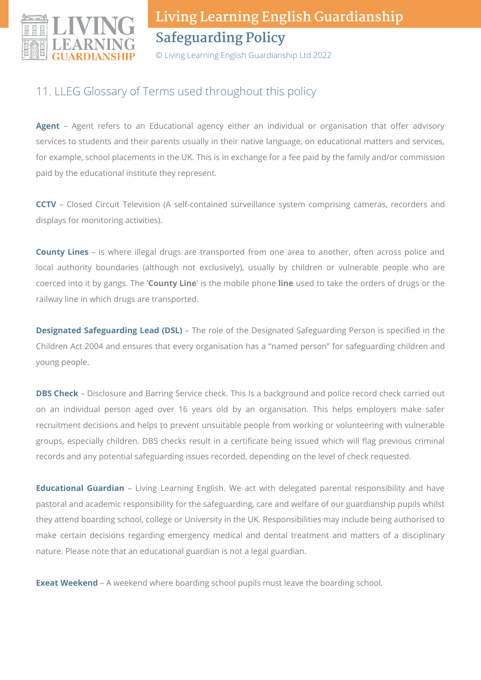

© Living Learning English Guardianship Ltd 2022

## 11. LLEG Glossary of Terms used throughout this policy

**Agent** – Agent refers to an Educational agency either an individual or organisation that offer advisory services to students and their parents usually in their native language, on educational matters and services, for example, school placements in the UK. This is in exchange for a fee paid by the family and/or commission paid by the educational institute they represent.

**CCTV** – Closed Circuit Television (A self-contained surveillance system comprising cameras, recorders and displays for monitoring activities).

**County Lines** – is where illegal drugs are transported from one area to another, often across police and local authority boundaries (although not exclusively), usually by children or vulnerable people who are coerced into it by gangs. The '**County Line**' is the mobile phone **line** used to take the orders of drugs or the railway line in which drugs are transported.

**Designated Safeguarding Lead (DSL)** – The role of the Designated Safeguarding Person is specified in the Children Act 2004 and ensures that every organisation has a "named person" for safeguarding children and young people.

**DBS Check** – Disclosure and Barring Service check. This Is a background and police record check carried out on an individual person aged over 16 years old by an organisation. This helps employers make safer recruitment decisions and helps to prevent unsuitable people from working or volunteering with vulnerable groups, especially children. DBS checks result in a certificate being issued which will flag previous criminal records and any potential safeguarding issues recorded, depending on the level of check requested.

**Educational Guardian** – Living Learning English. We act with delegated parental responsibility and have pastoral and academic responsibility for the safeguarding, care and welfare of our guardianship pupils whilst they attend boarding school, college or University in the UK. Responsibilities may include being authorised to make certain decisions regarding emergency medical and dental treatment and matters of a disciplinary nature. Please note that an educational guardian is not a legal guardian.

**Exeat Weekend** – A weekend where boarding school pupils must leave the boarding school.